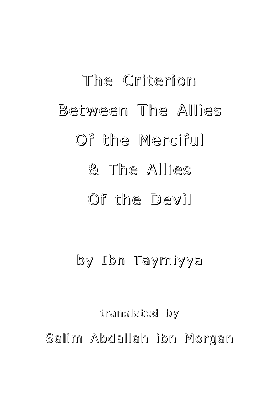# The Criterion Between The Allies Of the Merciful & The Allies Of the Devil

# by Ibn Taymiyya

translated by Salim Abdallah ibn Morgan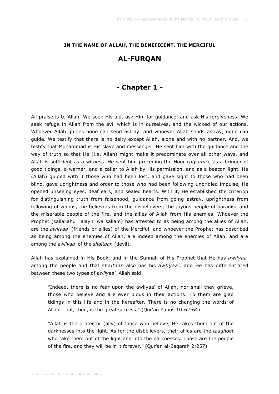#### **IN THE NAME OF ALLAH, THE BENEFICENT, THE MERCIFUL**

#### **AL-FURQAN**

#### **- Chapter 1 -**

All praise is to Allah. We seek His aid, ask Him for guidance, and ask His forgiveness. We seek refuge in Allah from the evil which is in ourselves, and the wicked of our actions. Whoever Allah guides none can send astray, and whoever Allah sends astray, none can guide. We testify that there is no deity except Allah, alone and with no partner. And, we testify that Muhammad is His slave and messenger. He sent him with the guidance and the way of truth so that He (i.e. Allah) might make it predominate over all other ways, and Allah is sufficient as a witness. He sent him preceding the Hour (*qiyama*), as a bringer of good tidings, a warner, and a caller to Allah by His permission, and as a beacon light. He (Allah) guided with it those who had been lost, and gave sight to those who had been blind, gave uprightness and order to those who had been following unbridled impulse, He opened unseeing eyes, deaf ears, and sealed hearts. With it, He established the criterion for distinguishing truth from falsehood, guidance from going astray, uprightness from following of whims, the believers from the disbelievers, the joyous people of paradise and the miserable people of the fire, and the allies of Allah from His enemies. Whoever the Prophet (sallallahu `alayhi wa sallam) has attested to as being among the allies of Allah, are the *awliyaa'* (friends or allies) of the Merciful, and whoever the Prophet has described as being among the enemies of Allah, are indeed among the enemies of Allah, and are among the *awliyaa'* of the *shaitaan* (devil).

Allah has explained in His Book, and in the Sunnah of His Prophet that He has *awliyaa'* among the people and that *shaitaan* also has his *awliyaa'*, and He has differentiated between these two types of *awliyaa'*. Allah said:

"Indeed, there is no fear upon the awliyaa' of Allah, nor shall they grieve, those who believe and are ever pious in their actions. To them are glad tidings in this life and in the hereafter. There is no changing the words of Allah. That, then, is the great success." (Qur'an Yunus 10:62-64)

"Allah is the protector (ally) of those who believe, He takes them out of the darknesses into the light. As for the disbelievers, their allies are the *taaghoot* who take them out of the light and into the darknesses. Those are the people of the fire, and they will be in it forever." (Qur'an al-Baqarah 2:257)

Translated by Salim Abdallah ibn Morgan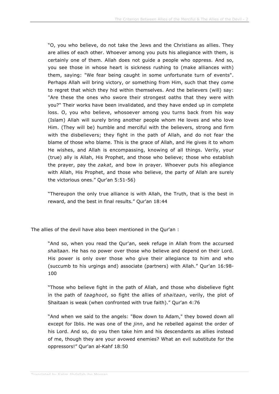"O, you who believe, do not take the Jews and the Christians as allies. They are allies of each other. Whoever among you puts his allegiance with them, is certainly one of them. Allah does not guide a people who oppress. And so, you see those in whose heart is sickness rushing to (make alliances with) them, saying: "We fear being caught in some unfortunate turn of events". Perhaps Allah will bring victory, or something from Him, such that they come to regret that which they hid within themselves. And the believers (will) say: "Are these the ones who swore their strongest oaths that they were with you?" Their works have been invalidated, and they have ended up in complete loss. O, you who believe, whosoever among you turns back from his way (Islam) Allah will surely bring another people whom He loves and who love Him. (They will be) humble and merciful with the believers, strong and firm with the disbelievers; they fight in the path of Allah, and do not fear the blame of those who blame. This is the grace of Allah, and He gives it to whom He wishes, and Allah is encompassing, knowing of all things. Verily, your (true) ally is Allah, His Prophet, and those who believe; those who establish the prayer, pay the *zakat*, and bow in prayer. Whoever puts his allegiance with Allah, His Prophet, and those who believe, the party of Allah are surely the victorious ones." Qur'an 5:51-56)

"Thereupon the only true alliance is with Allah, the Truth, that is the best in reward, and the best in final results." Qur'an 18:44

The allies of the devil have also been mentioned in the Qur'an :

"And so, when you read the Qur'an, seek refuge in Allah from the accursed *shaitaan*. He has no power over those who believe and depend on their Lord. His power is only over those who give their allegiance to him and who (succumb to his urgings and) associate (partners) with Allah." Qur'an 16:98- 100

"Those who believe fight in the path of Allah, and those who disbelieve fight in the path of *taaghoot*, so fight the allies of *shaitaan*, verily, the plot of Shaitaan is weak (when confronted with true faith)." Qur'an 4:76

"And when we said to the angels: "Bow down to Adam," they bowed down all except for Iblis. He was one of the *jinn*, and he rebelled against the order of his Lord. And so, do you then take him and his descendants as allies instead of me, though they are your avowed enemies? What an evil substitute for the oppressors!" Qur'an al-Kahf 18:50

Translated by Salim Abdallah ibn Morgan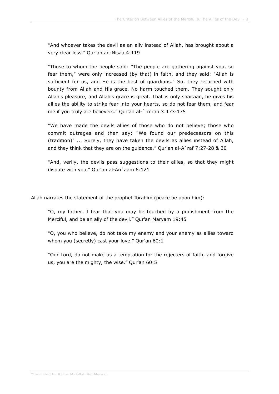"And whoever takes the devil as an ally instead of Allah, has brought about a very clear loss." Qur'an an-Nisaa 4:119

"Those to whom the people said: "The people are gathering against you, so fear them," were only increased (by that) in faith, and they said: "Allah is sufficient for us, and He is the best of guardians." So, they returned with bounty from Allah and His grace. No harm touched them. They sought only Allah's pleasure, and Allah's grace is great. That is only shaitaan, he gives his allies the ability to strike fear into your hearts, so do not fear them, and fear me if you truly are believers." Qur'an al-`Imran 3:173-175

"We have made the devils allies of those who do not believe; those who commit outrages and then say: "We found our predecessors on this (tradition)" ... Surely, they have taken the devils as allies instead of Allah, and they think that they are on the guidance." Qur'an al-A`raf 7:27-28 & 30

"And, verily, the devils pass suggestions to their allies, so that they might dispute with you." Qur'an al-An`aam 6:121

Allah narrates the statement of the prophet Ibrahim (peace be upon him):

"O, my father, I fear that you may be touched by a punishment from the Merciful, and be an ally of the devil." Qur'an Maryam 19:45

"O, you who believe, do not take my enemy and your enemy as allies toward whom you (secretly) cast your love." Qur'an 60:1

"Our Lord, do not make us a temptation for the rejecters of faith, and forgive us, you are the mighty, the wise." Qur'an 60:5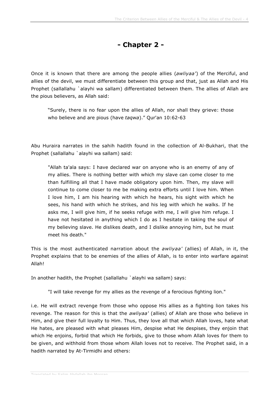## **- Chapter 2 -**

Once it is known that there are among the people allies (*awliyaa'*) of the Merciful, and allies of the devil, we must differentiate between this group and that, just as Allah and His Prophet (sallallahu `alayhi wa sallam) differentiated between them. The allies of Allah are the pious believers, as Allah said:

"Surely, there is no fear upon the allies of Allah, nor shall they grieve: those who believe and are pious (have *taqwa*)." Qur'an 10:62-63

Abu Huraira narrates in the sahih hadith found in the collection of Al-Bukhari, that the Prophet (sallallahu `alayhi wa sallam) said:

"Allah ta'ala says: I have declared war on anyone who is an enemy of any of my allies. There is nothing better with which my slave can come closer to me than fulfilling all that I have made obligatory upon him. Then, my slave will continue to come closer to me be making extra efforts until I love him. When I love him, I am his hearing with which he hears, his sight with which he sees, his hand with which he strikes, and his leg with which he walks. If he asks me, I will give him, if he seeks refuge with me, I will give him refuge. I have not hesitated in anything which I do as I hesitate in taking the soul of my believing slave. He dislikes death, and I dislike annoying him, but he must meet his death."

This is the most authenticated narration about the *awliyaa'* (allies) of Allah, in it, the Prophet explains that to be enemies of the allies of Allah, is to enter into warfare against Allah!

In another hadith, the Prophet (sallallahu `alayhi wa sallam) says:

"I will take revenge for my allies as the revenge of a ferocious fighting lion."

i.e. He will extract revenge from those who oppose His allies as a fighting lion takes his revenge. The reason for this is that the *awliyaa'* (allies) of Allah are those who believe in Him, and give their full loyalty to Him. Thus, they love all that which Allah loves, hate what He hates, are pleased with what pleases Him, despise what He despises, they enjoin that which He enjoins, forbid that which He forbids, give to those whom Allah loves for them to be given, and withhold from those whom Allah loves not to receive. The Prophet said, in a hadith narrated by At-Tirmidhi and others: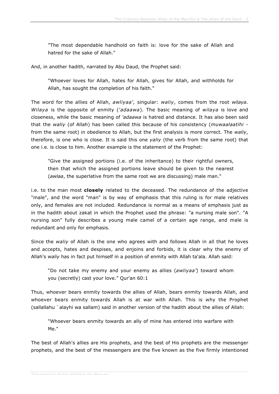"The most dependable handhold on faith is: love for the sake of Allah and hatred for the sake of Allah."

And, in another hadith, narrated by Abu Daud, the Prophet said:

"Whoever loves for Allah, hates for Allah, gives for Allah, and withholds for Allah, has sought the completion of his faith."

The word for the allies of Allah, *awliyaa'*, singular: *waliy*, comes from the root *wilaya*. *Wilaya* is the opposite of enmity (*'adaawa*). The basic meaning of *wilaya* is love and closeness, while the basic meaning of *'adaawa* is hatred and distance. It has also been said that the *waliy* (of Allah) has been called this because of his consistency (*muwaalaatihi* from the same root) in obedience to Allah, but the first analysis is more correct. The *waliy*, therefore, is one who is close. It is said this one *yaliy* (the verb from the same root) that one i.e. is close to him. Another example is the statement of the Prophet:

"Give the assigned portions (i.e. of the inheritance) to their rightful owners, then that which the assigned portions leave should be given to the nearest (*awlaa*, the superlative from the same root we are discussing) male man."

i.e. to the man most **closely** related to the deceased. The redundance of the adjective "male", and the word "man" is by way of emphasis that this ruling is for male relatives only, and females are not included. Redundance is normal as a means of emphasis just as in the hadith about zakat in which the Prophet used the phrase: "a nursing male son". "A nursing son" fully describes a young male camel of a certain age range, and male is redundant and only for emphasis.

Since the *waliy* of Allah is the one who agrees with and follows Allah in all that he loves and accepts, hates and despises, and enjoins and forbids, it is clear why the enemy of Allah's *waliy* has in fact put himself in a position of enmity with Allah ta'ala. Allah said:

"Do not take my enemy and your enemy as allies (*awliyaa'*) toward whom you (secretly) cast your love." Qur'an 60:1

Thus, whoever bears enmity towards the allies of Allah, bears enmity towards Allah, and whoever bears enmity towards Allah is at war with Allah. This is why the Prophet (sallallahu `alayhi wa sallam) said in another version of the hadith about the allies of Allah:

"Whoever bears enmity towards an ally of mine has entered into warfare with Me."

The best of Allah's allies are His prophets, and the best of His prophets are the messenger prophets, and the best of the messengers are the five known as the five firmly intentioned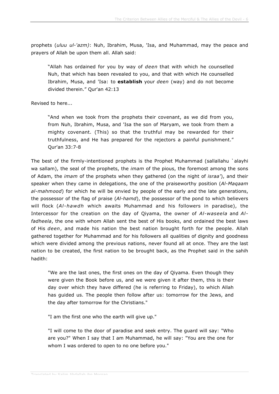prophets (*uluu ul-'azm)*: Nuh, Ibrahim, Musa, 'Isa, and Muhammad, may the peace and prayers of Allah be upon them all. Allah said:

"Allah has ordained for you by way of *deen* that with which he counselled Nuh, that which has been revealed to you, and that with which He counselled Ibrahim, Musa, and 'Isa: to **establish** your *deen* (way) and do not become divided therein." Qur'an 42:13

Revised to here...

"And when we took from the prophets their covenant, as we did from you, from Nuh, Ibrahim, Musa, and 'Isa the son of Maryam, we took from them a mighty covenant. (This) so that the truthful may be rewarded for their truthfulness, and He has prepared for the rejectors a painful punishment." Qur'an 33:7-8

The best of the firmly-intentioned prophets is the Prophet Muhammad (sallallahu `alayhi wa sallam), the seal of the prophets, the *imam* of the pious, the foremost among the sons of Adam, the *imam* of the prophets when they gathered (on the night of *israa'*), and their speaker when they came in delegations, the one of the praiseworthy position (*Al-Maqaam al-mahmood*) for which he will be envied by people of the early and the late generations, the possessor of the flag of praise (*Al-hamd*), the possessor of the pond to which believers will flock (*Al-hawdh* which awaits Muhammad and his followers in paradise), the Intercessor for the creation on the day of Qiyama, the owner of *Al-waseela* and *Alfadheela*, the one with whom Allah sent the best of His books, and ordained the best laws of His *deen*, and made his nation the best nation brought forth for the people. Allah gathered together for Muhammad and for his followers all qualities of dignity and goodness which were divided among the previous nations, never found all at once. They are the last nation to be created, the first nation to be brought back, as the Prophet said in the sahih hadith:

"We are the last ones, the first ones on the day of Qiyama. Even though they were given the Book before us, and we were given it after them, this is their day over which they have differed (he is referring to Friday), to which Allah has guided us. The people then follow after us: tomorrow for the Jews, and the day after tomorrow for the Christians."

"I am the first one who the earth will give up."

"I will come to the door of paradise and seek entry. The guard will say: "Who are you?" When I say that I am Muhammad, he will say: "You are the one for whom I was ordered to open to no one before you."

Translated by Salim Abdallah ibn Morgan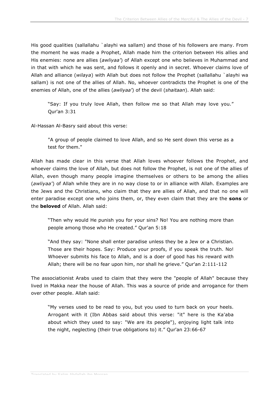His good qualities (sallallahu `alayhi wa sallam) and those of his followers are many. From the moment he was made a Prophet, Allah made him the criterion between His allies and His enemies: none are allies (*awliyaa'*) of Allah except one who believes in Muhammad and in that with which he was sent, and follows it openly and in secret. Whoever claims love of Allah and alliance (*wilaya*) with Allah but does not follow the Prophet (sallallahu `alayhi wa sallam) is not one of the allies of Allah. No, whoever contradicts the Prophet is one of the enemies of Allah, one of the allies (*awliyaa'*) of the devil (*shaitaan*). Allah said:

"Say: If you truly love Allah, then follow me so that Allah may love you." Qur'an 3:31

Al-Hassan Al-Basry said about this verse:

"A group of people claimed to love Allah, and so He sent down this verse as a test for them."

Allah has made clear in this verse that Allah loves whoever follows the Prophet, and whoever claims the love of Allah, but does not follow the Prophet, is not one of the allies of Allah, even though many people imagine themselves or others to be among the allies (*awliyaa'*) of Allah while they are in no way close to or in alliance with Allah. Examples are the Jews and the Christians, who claim that they are allies of Allah, and that no one will enter paradise except one who joins them, or, they even claim that they are the **sons** or the **beloved** of Allah. Allah said:

"Then why would He punish you for your sins? No! You are nothing more than people among those who He created." Qur'an 5:18

"And they say: "None shall enter paradise unless they be a Jew or a Christian. Those are their hopes. Say: Produce your proofs, if you speak the truth. No! Whoever submits his face to Allah, and is a doer of good has his reward with Allah; there will be no fear upon him, nor shall he grieve." Qur'an 2:111-112

The associationist Arabs used to claim that they were the "people of Allah" because they lived in Makka near the house of Allah. This was a source of pride and arrogance for them over other people. Allah said:

"My verses used to be read to you, but you used to turn back on your heels. Arrogant with it (Ibn Abbas said about this verse: "it" here is the Ka'aba about which they used to say: "We are its people"), enjoying light talk into the night, neglecting (their true obligations to) it." Qur'an 23:66-67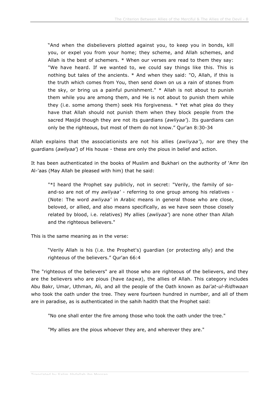"And when the disbelievers plotted against you, to keep you in bonds, kill you, or expel you from your home; they scheme, and Allah schemes, and Allah is the best of schemers. \* When our verses are read to them they say: "We have heard. If we wanted to, we could say things like this. This is nothing but tales of the ancients. \* And when they said: "O, Allah, if this is the truth which comes from You, then send down on us a rain of stones from the sky, or bring us a painful punishment." \* Allah is not about to punish them while you are among them, and He is not about to punish them while they (i.e. some among them) seek His forgiveness. \* Yet what plea do they have that Allah should not punish them when they block people from the sacred Masjid though they are not its guardians (*awliyaa'*). Its guardians can only be the righteous, but most of them do not know." Qur'an 8:30-34

Allah explains that the associationists are not his allies (*awliyaa'*), nor are they the guardians (*awliyaa'*) of His house - these are only the pious in belief and action.

It has been authenticated in the books of Muslim and Bukhari on the authority of 'Amr ibn Al-'aas (May Allah be pleased with him) that he said:

"\*I heard the Prophet say publicly, not in secret: "Verily, the family of soand-so are not of my *awliyaa'* - referring to one group among his relatives - (Note: The word *awliyaa'* in Arabic means in general those who are close, beloved, or allied, and also means specifically, as we have seen those closely related by blood, i.e. relatives) My allies (*awliyaa'*) are none other than Allah and the righteous believers."

This is the same meaning as in the verse:

"Verily Allah is his (i.e. the Prophet's) guardian (or protecting ally) and the righteous of the believers." Qur'an 66:4

The "righteous of the believers" are all those who are righteous of the believers, and they are the believers who are pious (have *taqwa*), the allies of Allah. This category includes Abu Bakr, Umar, Uthman, Ali, and all the people of the Oath known as *bai'at-ul-Ridhwaan* who took the oath under the tree. They were fourteen hundred in number, and all of them are in paradise, as is authenticated in the sahih hadith that the Prophet said:

"No one shall enter the fire among those who took the oath under the tree."

"My allies are the pious whoever they are, and wherever they are."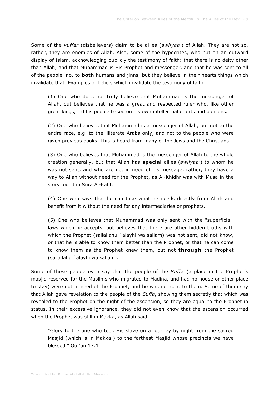Some of the *kuffar* (disbelievers) claim to be allies (*awliyaa'*) of Allah. They are not so, rather, they are enemies of Allah. Also, some of the hypocrites, who put on an outward display of Islam, acknowledging publicly the testimony of faith: that there is no deity other than Allah, and that Muhammad is His Prophet and messenger, and that he was sent to all of the people, no, to **both** humans and jinns, but they believe in their hearts things which invalidate that. Examples of beliefs which invalidate the testimony of faith:

(1) One who does not truly believe that Muhammad is the messenger of Allah, but believes that he was a great and respected ruler who, like other great kings, led his people based on his own intellectual efforts and opinions.

(2) One who believes that Muhammad is a messenger of Allah, but not to the entire race, e.g. to the illiterate Arabs only, and not to the people who were given previous books. This is heard from many of the Jews and the Christians.

(3) One who believes that Muhammad is the messenger of Allah to the whole creation generally, but that Allah has **special** allies (*awliyaa'*) to whom he was not sent, and who are not in need of his message, rather, they have a way to Allah without need for the Prophet, as Al-Khidhr was with Musa in the story found in Sura Al-Kahf.

(4) One who says that he can take what he needs directly from Allah and benefit from it without the need for any intermediaries or prophets.

(5) One who believes that Muhammad was only sent with the "superficial" laws which he accepts, but believes that there are other hidden truths with which the Prophet (sallallahu `alayhi wa sallam) was not sent, did not know, or that he is able to know them better than the Prophet, or that he can come to know them as the Prophet knew them, but not **through** the Prophet (sallallahu `alayhi wa sallam).

Some of these people even say that the people of the *Suffa* (a place in the Prophet's masjid reserved for the Muslims who migrated to Madina, and had no house or other place to stay) were not in need of the Prophet, and he was not sent to them. Some of them say that Allah gave revelation to the people of the *Suffa*, showing them secretly that which was revealed to the Prophet on the night of the ascension, so they are equal to the Prophet in status. In their excessive ignorance, they did not even know that the ascension occurred when the Prophet was still in Makka, as Allah said:

"Glory to the one who took His slave on a journey by night from the sacred Masjid (which is in Makka!) to the farthest Masjid whose precincts we have blessed." Qur'an 17:1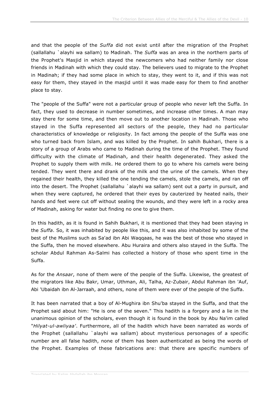and that the people of the *Suffa* did not exist until after the migration of the Prophet (sallallahu `alayhi wa sallam) to Madinah. The *Suffa* was an area in the northern parts of the Prophet's Masjid in which stayed the newcomers who had neither family nor close friends in Madinah with which they could stay. The believers used to migrate to the Prophet in Madinah; if they had some place in which to stay, they went to it, and if this was not easy for them, they stayed in the masjid until it was made easy for them to find another place to stay.

The "people of the Suffa" were not a particular group of people who never left the Suffa. In fact, they used to decrease in number sometimes, and increase other times. A man may stay there for some time, and then move out to another location in Madinah. Those who stayed in the Suffa represented all sectors of the people, they had no particular characteristics of knowledge or religiosity. In fact among the people of the Suffa was one who turned back from Islam, and was killed by the Prophet. In sahih Bukhari, there is a story of a group of Arabs who came to Madinah during the time of the Prophet. They found difficulty with the climate of Madinah, and their health degenerated. They asked the Prophet to supply them with milk. He ordered them to go to where his camels were being tended. They went there and drank of the milk and the urine of the camels. When they regained their health, they killed the one tending the camels, stole the camels, and ran off into the desert. The Prophet (sallallahu `alayhi wa sallam) sent out a party in pursuit, and when they were captured, he ordered that their eyes by cauterized by heated nails, their hands and feet were cut off without sealing the wounds, and they were left in a rocky area of Madinah, asking for water but finding no one to give them.

In this hadith, as it is found in Sahih Bukhari, it is mentioned that they had been staying in the *Suffa*. So, it was inhabited by people like this, and it was also inhabited by some of the best of the Muslims such as Sa'ad ibn Abi Waqqaas, he was the best of those who stayed in the Suffa, then he moved elsewhere. Abu Huraira and others also stayed in the Suffa. The scholar Abdul Rahman As-Salmi has collected a history of those who spent time in the Suffa.

As for the *Ansaar*, none of them were of the people of the Suffa. Likewise, the greatest of the migrators like Abu Bakr, Umar, Uthman, Ali, Talha, Az-Zubair, Abdul Rahman ibn 'Auf, Abi 'Ubaidah ibn Al-Jarraah, and others, none of them were ever of the people of the Suffa.

It has been narrated that a boy of Al-Mughira ibn Shu'ba stayed in the Suffa, and that the Prophet said about him: "He is one of the seven." This hadith is a forgery and a lie in the unanimous opinion of the scholars, even though it is found in the book by Abu Na'im called "*Hilyat-ul-awliyaa'*. Furthermore, all of the hadith which have been narrated as words of the Prophet (sallallahu `alayhi wa sallam) about mysterious personages of a specific number are all false hadith, none of them has been authenticated as being the words of the Prophet. Examples of these fabrications are: that there are specific numbers of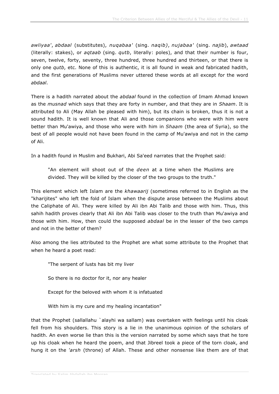*awliyaa'*, *abdaal* (substitutes), *nuqabaa'* (sing. *naqib)*, *nujabaa'* (sing. *najib*), *awtaad* (literally: stakes), or *aqtaab* (sing. *qutb*, literally: poles), and that their number is four, seven, twelve, forty, seventy, three hundred, three hundred and thirteen, or that there is only one *qutb*, etc. None of this is authentic, it is all found in weak and fabricated hadith, and the first generations of Muslims never uttered these words at all except for the word *abdaal*.

There is a hadith narrated about the *abdaal* found in the collection of Imam Ahmad known as the *musnad* which says that they are forty in number, and that they are in *Shaam*. It is attributed to Ali (May Allah be pleased with him), but its chain is broken, thus it is not a sound hadith. It is well known that Ali and those companions who were with him were better than Mu'awiya, and those who were with him in *Shaam* (the area of Syria), so the best of all people would not have been found in the camp of Mu'awiya and not in the camp of Ali.

In a hadith found in Muslim and Bukhari, Abi Sa'eed narrates that the Prophet said:

"An element will shoot out of the *deen* at a time when the Muslims are divided. They will be killed by the closer of the two groups to the truth."

This element which left Islam are the *khawaarij* (sometimes referred to in English as the "kharijites" who left the fold of Islam when the dispute arose between the Muslims about the Caliphate of Ali. They were killed by Ali ibn Abi Talib and those with him. Thus, this sahih hadith proves clearly that Ali ibn Abi Talib was closer to the truth than Mu'awiya and those with him. How, then could the supposed *abdaal* be in the lesser of the two camps and not in the better of them?

Also among the lies attributed to the Prophet are what some attribute to the Prophet that when he heard a poet read:

"The serpent of lusts has bit my liver

So there is no doctor for it, nor any healer

Except for the beloved with whom it is infatuated

With him is my cure and my healing incantation"

that the Prophet (sallallahu `alayhi wa sallam) was overtaken with feelings until his cloak fell from his shoulders. This story is a lie in the unanimous opinion of the scholars of hadith. An even worse lie than this is the version narrated by some which says that he tore up his cloak when he heard the poem, and that Jibreel took a piece of the torn cloak, and hung it on the *'arsh* (throne) of Allah. These and other nonsense like them are of that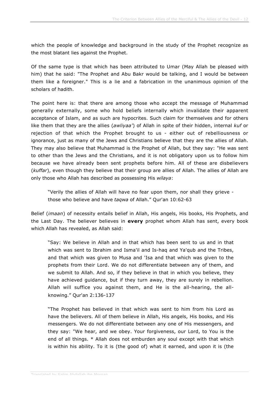which the people of knowledge and background in the study of the Prophet recognize as the most blatant lies against the Prophet.

Of the same type is that which has been attributed to Umar (May Allah be pleased with him) that he said: "The Prophet and Abu Bakr would be talking, and I would be between them like a foreigner." This is a lie and a fabrication in the unanimous opinion of the scholars of hadith.

The point here is: that there are among those who accept the message of Muhammad generally externally, some who hold beliefs internally which invalidate their apparent acceptance of Islam, and as such are hypocrites. Such claim for themselves and for others like them that they are the allies (*awliyaa'*) of Allah in spite of their hidden, internal *kuf* or rejection of that which the Prophet brought to us - either out of rebelliousness or ignorance, just as many of the Jews and Christians believe that they are the allies of Allah. They may also believe that Muhammad is the Prophet of Allah, but they say: "He was sent to other than the Jews and the Christians, and it is not obligatory upon us to follow him because we have already been sent prophets before him. All of these are disbelievers (*kuffar*), even though they believe that their group are allies of Allah. The allies of Allah are only those who Allah has described as possessing His *wilaya*:

"Verily the allies of Allah will have no fear upon them, nor shall they grieve those who believe and have *taqwa* of Allah." Qur'an 10:62-63

Belief (*imaan*) of necessity entails belief in Allah, His angels, His books, His Prophets, and the Last Day. The believer believes in **every** prophet whom Allah has sent, every book which Allah has revealed, as Allah said:

"Say: We believe in Allah and in that which has been sent to us and in that which was sent to Ibrahim and Isma'il and Is-haq and Ya'qub and the Tribes, and that which was given to Musa and 'Isa and that which was given to the prophets from their Lord. We do not differentiate between any of them, and we submit to Allah. And so, if they believe in that in which you believe, they have achieved guidance, but if they turn away, they are surely in rebellion. Allah will suffice you against them, and He is the all-hearing, the allknowing." Qur'an 2:136-137

"The Prophet has believed in that which was sent to him from his Lord as have the believers. All of them believe in Allah, His angels, His books, and His messengers. We do not differentiate between any one of His messengers, and they say: "We hear, and we obey. Your forgiveness, our Lord, to You is the end of all things. \* Allah does not emburden any soul except with that which is within his ability. To it is (the good of) what it earned, and upon it is (the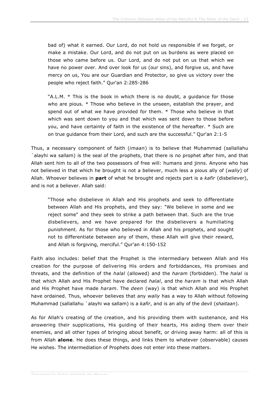bad of) what it earned. Our Lord, do not hold us responsible if we forget, or make a mistake. Our Lord, and do not put on us burdens as were placed on those who came before us. Our Lord, and do not put on us that which we have no power over. And over look for us (our sins), and forgive us, and have mercy on us, You are our Guardian and Protector, so give us victory over the people who reject faith." Qur'an 2:285-286

"A.L.M. \* This is the book in which there is no doubt, a guidance for those who are pious. \* Those who believe in the unseen, establish the prayer, and spend out of what we have provided for them. \* Those who believe in that which was sent down to you and that which was sent down to those before you, and have certainty of faith in the existence of the hereafter. \* Such are on true guidance from their Lord, and such are the successful." Qur'an 2:1-5

Thus, a necessary component of faith (*imaan*) is to believe that Muhammad (sallallahu `alayhi wa sallam) is the seal of the prophets, that there is no prophet after him, and that Allah sent him to all of the two possessors of free will: humans and jinns. Anyone who has not believed in that which he brought is not a believer, much less a pious ally of (*waliy*) of Allah. Whoever believes in **part** of what he brought and rejects part is a *kafir* (disbeliever), and is not a believer. Allah said:

"Those who disbelieve in Allah and His prophets and seek to differentiate between Allah and His prophets, and they say: "We believe in some and we reject some" and they seek to strike a path between that. Such are the true disbelievers, and we have prepared for the disbelievers a humiliating punishment. As for those who believed in Allah and his prophets, and sought not to differentiate between any of them, these Allah will give their reward, and Allah is forgiving, merciful." Qur'an 4:150-152

Faith also includes: belief that the Prophet is the intermediary between Allah and His creation for the purpose of delivering His orders and forbiddances, His promises and threats, and the definition of the *halal* (allowed) and the *haram* (forbidden). The *halal* is that which Allah and His Prophet have declared *halal*, and the *haram* is that which Allah and His Prophet have made *haram*. The *deen* (way) is that which Allah and His Prophet have ordained. Thus, whoever believes that any *waliy* has a way to Allah without following Muhammad (sallallahu `alayhi wa sallam) is a *kafir*, and is an ally of the devil (*shaitaan*).

As for Allah's creating of the creation, and his providing them with sustenance, and His answering their supplications, His guiding of their hearts, His aiding them over their enemies, and all other types of bringing about benefit, or driving away harm: all of this is from Allah **alone**. He does these things, and links them to whatever (observable) causes He wishes. The intermediation of Prophets does not enter into these matters.

Translated by Salim Abdallah ibn Morgan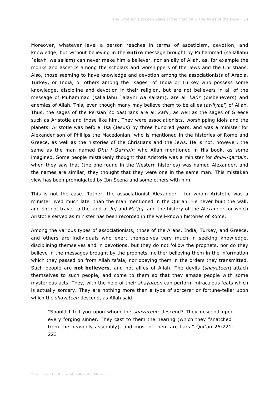Moreover, whatever level a person reaches in terms of asceticism, devotion, and knowledge, but without believing in the **entire** message brought by Muhammad (sallallahu `alayhi wa sallam) can never make him a believer, nor an ally of Allah, as, for example the monks and ascetics among the scholars and worshippers of the Jews and the Christians. Also, those seeming to have knowledge and devotion among the associationists of Arabia, Turkey, or India, or others among the "sages" of India or Turkey who possess some knowledge, discipline and devotion in their religion, but are not believers in all of the message of Muhammad (sallallahu `alayhi wa sallam), are all *kafir* (disbelievers) and enemies of Allah. This, even though many may believe them to be allies (*awliyaa'*) of Allah. Thus, the sages of the Persian Zoroastrians are all *kafir*, as well as the sages of Greece such as Aristotle and those like him. They were associationists, worshipping idols and the planets. Aristotle was before 'Isa (Jesus) by three hundred years, and was a minister for Alexander son of Phillips the Macedonian, who is mentioned in the histories of Rome and Greece, as well as the histories of the Christians and the Jews. He is not, however, the same as the man named *Dhu-l-Qarnain* who Allah mentioned in His book, as some imagined. Some people mistakenly thought that Aristotle was a minister for *dhu-l-qarnain*, when they saw that (the one found in the Western histories) was named Alexander, and the names are similar, they thought that they were one in the same man. This mistaken view has been promulgated by Ibn Seena and some others with him.

This is not the case. Rather, the associationist Alexander - for whom Aristotle was a minister lived much later than the man mentioned in the Qur'an. He never built the wall, and did not travel to the land of *Juj* and *Ma'juj*, and the history of the Alexander for which Aristotle served as minister has been recorded in the well-known histories of Rome.

Among the various types of associationists, those of the Arabs, India, Turkey, and Greece, and others are individuals who exert themselves very much in seeking knowledge, disciplining themselves and in devotions, but they do not follow the prophets, nor do they believe in the messages brought by the prophets, neither believing them in the information which they passed on from Allah ta'ala, nor obeying them in the orders they transmitted. Such people are **not believers**, and not allies of Allah. The devils (*shayateen*) attach themselves to such people, and come to them so that they amaze people with some mysterious acts. They, with the help of their *shayateen* can perform miraculous feats which is actually sorcery. They are nothing more than a type of sorcerer or fortune-teller upon which the *shayateen* descend, as Allah said:

"Should I tell you upon whom the *shayateen* descend? They descend upon every forging sinner. They cast to them the hearing (which they "snatched" from the heavenly assembly), and most of them are liars." Qur'an 26:221- 223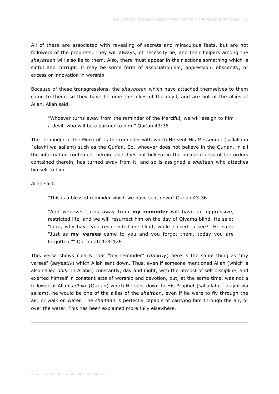All of these are associated with revealing of secrets and miraculous feats, but are not followers of the prophets. They will always, of necessity lie, and their helpers among the *shayateen* will also lie to them. Also, there must appear in their actions something which is sinful and corrupt. It may be some form of associationism, oppression, obscenity, or excess or innovation in worship.

Because of these transgressions, the *shayateen* which have attached themselves to them come to them, so they have become the allies of the devil, and are not of the allies of Allah. Allah said:

"Whoever turns away from the reminder of the Merciful, we will assign to him a devil, who will be a partner to him." Qur'an 43:36

The "reminder of the Merciful" is the reminder with which He sent His Messenger (sallallahu `alayhi wa sallam) such as the Qur'an. So, whoever does not believe in the Qur'an, in all the information contained therein, and does not believe in the obligatoriness of the orders contained therein, has turned away from it, and so is assigned a *shaitaan* who attaches himself to him.

Allah said:

"This is a blessed reminder which we have sent down" Qur'an 43:36

"And whoever turns away from **my reminder** will have an oppressive, restricted life, and we will resurrect him on the day of Qiyama blind. He said: "Lord, why have you resurrected me blind, while I used to see?" He said: "Just as **my verses** came to you and you forgot them, today you are forgotten."" Qur'an 20:124-126

This verse shows clearly that "my reminder" (*dhikriy*) here is the same thing as "my verses" (*aayaatiy*) which Allah sent down. Thus, even if someone mentioned Allah (which is also called *dhikr* in Arabic) constantly, day and night, with the utmost of self discipline, and exerted himself in constant acts of worship and devotion, but, at the same time, was not a follower of Allah's *dhikr* (Qur'an) which He sent down to His Prophet (sallallahu `alayhi wa sallam), he would be one of the allies of the *shaitaan*, even if he were to fly through the air, or walk on water. The *shaitaan* is perfectly capable of carrying him through the air, or over the water. This has been explained more fully elsewhere.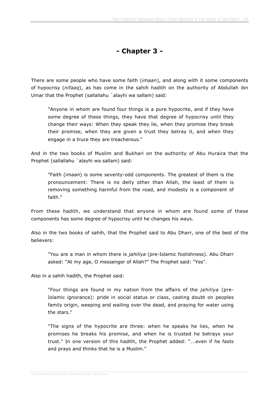#### **- Chapter 3 -**

There are some people who have some faith (*imaan*), and along with it some components of hypocrisy (*nifaaq*), as has come in the sahih hadith on the authority of Abdullah ibn Umar that the Prophet (sallallahu `alayhi wa sallam) said:

"Anyone in whom are found four things is a pure hypocrite, and if they have some degree of these things, they have that degree of hypocrisy until they change their ways: When they speak they lie, when they promise they break their promise, when they are given a trust they betray it, and when they engage in a truce they are treacherous."

And in the two books of Muslim and Bukhari on the authority of Abu Huraira that the Prophet (sallallahu `alayhi wa sallam) said:

"Faith (*imaan*) is some seventy-odd components. The greatest of them is the pronouncement: There is no deity other than Allah, the least of them is removing something harmful from the road, and modesty is a component of faith."

From these hadith, we understand that anyone in whom are found some of these components has some degree of hypocrisy until he changes his ways.

Also in the two books of sahih, that the Prophet said to Abu Dharr, one of the best of the believers:

"You are a man in whom there is *jahiliya* (pre-Islamic foolishness). Abu Dharr asked: "At my age, O messenger of Allah?" The Prophet said: "Yes".

Also in a sahih hadith, the Prophet said:

"Four things are found in my nation from the affairs of the *jahiliya* (pre-Islamic ignorance): pride in social status or class, casting doubt on peoples family origin, weeping and wailing over the dead, and praying for water using the stars."

"The signs of the hypocrite are three: when he speaks he lies, when he promises he breaks his promise, and when he is trusted he betrays your trust." In one version of this hadith, the Prophet added: "...even if he fasts and prays and thinks that he is a Muslim."

Translated by Salim Abdallah ibn Morgan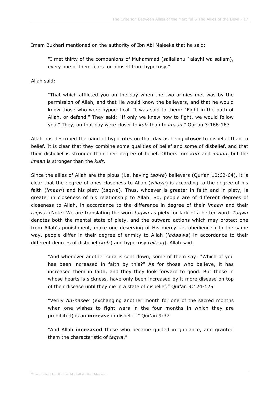Imam Bukhari mentioned on the authority of Ibn Abi Maleeka that he said:

"I met thirty of the companions of Muhammad (sallallahu `alayhi wa sallam), every one of them fears for himself from hypocrisy."

Allah said:

"That which afflicted you on the day when the two armies met was by the permission of Allah, and that He would know the believers, and that he would know those who were hypocritical. It was said to them: "Fight in the path of Allah, or defend." They said: "If only we knew how to fight, we would follow you." They, on that day were closer to *kufr* than to *imaan*." Qur'an 3:166-167

Allah has described the band of hypocrites on that day as being **closer** to disbelief than to belief. It is clear that they combine some qualities of belief and some of disbelief, and that their disbelief is stronger than their degree of belief. Others mix *kufr* and *imaan*, but the *imaan* is stronger than the *kufr*.

Since the allies of Allah are the pious (i.e. having *taqwa*) believers (Qur'an 10:62-64), it is clear that the degree of ones closeness to Allah (*wilaya*) is according to the degree of his faith (*imaan*) and his piety (*taqwa*). Thus, whoever is greater in faith and in piety, is greater in closeness of his relationship to Allah. So, people are of different degrees of closeness to Allah, in accordance to the difference in degree of their *imaan* and their *taqwa*. (Note: We are translating the word *taqwa* as piety for lack of a better word. *Taqwa* denotes both the mental state of piety, and the outward actions which may protect one from Allah's punishment, make one deserving of His mercy i.e. obedience.) In the same way, people differ in their degree of enmity to Allah (*'adaawa*) in accordance to their different degrees of disbelief (*kufr*) and hypocrisy (*nifaaq*). Allah said:

"And whenever another sura is sent down, some of them say: "Which of you has been increased in faith by this?" As for those who believe, it has increased them in faith, and they they look forward to good. But those in whose hearts is sickness, have only been increased by it more disease on top of their disease until they die in a state of disbelief." Qur'an 9:124-125

"Verily *An-nasee'* (exchanging another month for one of the sacred months when one wishes to fight wars in the four months in which they are prohibited) is an **increase** in disbelief." Qur'an 9:37

"And Allah **increased** those who became guided in guidance, and granted them the characteristic of *taqwa*."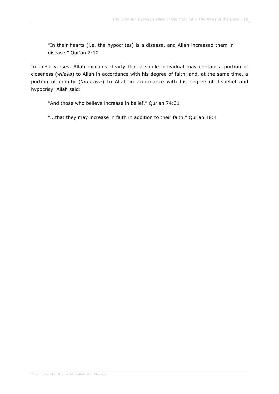"In their hearts (i.e. the hypocrites) is a disease, and Allah increased them in disease." Qur'an 2:10

In these verses, Allah explains clearly that a single individual may contain a portion of closeness (*wilaya*) to Allah in accordance with his degree of faith, and, at the same time, a portion of enmity (*'adaawa*) to Allah in accordance with his degree of disbelief and hypocrisy. Allah said:

"And those who believe increase in belief." Qur'an 74:31

"...that they may increase in faith in addition to their faith." Qur'an 48:4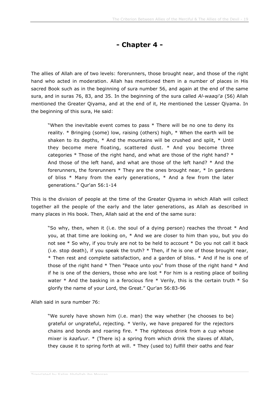#### **- Chapter 4 -**

The allies of Allah are of two levels: forerunners, those brought near, and those of the right hand who acted in moderation. Allah has mentioned them in a number of places in His sacred Book such as in the beginning of sura number 56, and again at the end of the same sura, and in suras 76, 83, and 35. In the beginning of the sura called *Al-waaqi'a* (56) Allah mentioned the Greater Qiyama, and at the end of it, He mentioned the Lesser Qiyama. In the beginning of this sura, He said:

"When the inevitable event comes to pass \* There will be no one to deny its reality. \* Bringing (some) low, raising (others) high, \* When the earth will be shaken to its depths, \* And the mountains will be crushed and split, \* Until they become mere floating, scattered dust. \* And you become three categories \* Those of the right hand, and what are those of the right hand? \* And those of the left hand, and what are those of the left hand? \* And the forerunners, the forerunners \* They are the ones brought near, \* In gardens of bliss \* Many from the early generations, \* And a few from the later generations." Qur'an 56:1-14

This is the division of people at the time of the Greater Qiyama in which Allah will collect together all the people of the early and the later generations, as Allah as described in many places in His book. Then, Allah said at the end of the same sura:

"So why, then, when it (i.e. the soul of a dying person) reaches the throat \* And you, at that time are looking on, \* And we are closer to him than you, but you do not see \* So why, if you truly are not to be held to account \* Do you not call it back (i.e. stop death), if you speak the truth? \* Then, if he is one of those brought near, \* Then rest and complete satisfaction, and a garden of bliss. \* And if he is one of those of the right hand \* Then "Peace unto you" from those of the right hand \* And if he is one of the deniers, those who are lost  $*$  For him is a resting place of boiling water  $*$  And the basking in a ferocious fire  $*$  Verily, this is the certain truth  $*$  So glorify the name of your Lord, the Great." Qur'an 56:83-96

Allah said in sura number 76:

"We surely have shown him (i.e. man) the way whether (he chooses to be) grateful or ungrateful, rejecting. \* Verily, we have prepared for the rejectors chains and bonds and roaring fire. \* The righteous drink from a cup whose mixer is *kaafuur*. \* (There is) a spring from which drink the slaves of Allah, they cause it to spring forth at will. \* They (used to) fulfill their oaths and fear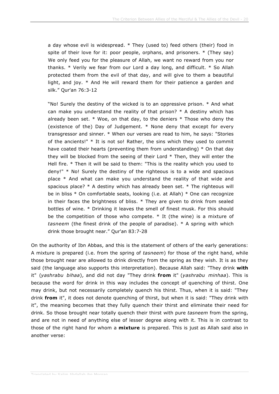a day whose evil is widespread. \* They (used to) feed others (their) food in spite of their love for it: poor people, orphans, and prisoners. \* (They say) We only feed you for the pleasure of Allah, we want no reward from you nor thanks. \* Verily we fear from our Lord a day long, and difficult. \* So Allah protected them from the evil of that day, and will give to them a beautiful light, and joy. \* And He will reward them for their patience a garden and silk." Qur'an 76:3-12

"No! Surely the destiny of the wicked is to an oppressive prison. \* And what can make you understand the reality of that prison?  $*$  A destiny which has already been set.  $*$  Woe, on that day, to the deniers  $*$  Those who deny the (existence of the) Day of Judgement. \* None deny that except for every transgressor and sinner. \* When our verses are read to him, he says: "Stories of the ancients!" \* It is not so! Rather, the sins which they used to commit have coated their hearts (preventing them from understanding) \* On that day they will be blocked from the seeing of their Lord \* Then, they will enter the Hell fire. \* Then it will be said to them: "This is the reality which you used to deny!" \* No! Surely the destiny of the righteous is to a wide and spacious place \* And what can make you understand the reality of that wide and spacious place? \* A destiny which has already been set. \* The righteous will be in bliss \* On comfortable seats, looking (i.e. at Allah) \* One can recognize in their faces the brightness of bliss. \* They are given to drink from sealed bottles of wine. \* Drinking it leaves the smell of finest musk. For this should be the competition of those who compete. \* It (the wine) is a mixture of *tasneem* (the finest drink of the people of paradise). \* A spring with which drink those brought near." Qur'an 83:7-28

On the authority of Ibn Abbas, and this is the statement of others of the early generations: A mixture is prepared (i.e. from the spring of *tasneem*) for those of the right hand, while those brought near are allowed to drink directly from the spring as they wish. It is as they said (the language also supports this interpretation). Because Allah said: "They drink **with** it" (*yashrabu bihaa*), and did not day "They drink **from** it" (*yashrabu minhaa*). This is because the word for drink in this way includes the concept of quenching of thirst. One may drink, but not necessarily completely quench his thirst. Thus, when it is said: "They drink **from** it", it does not denote quenching of thirst, but when it is said: "They drink with it", the meaning becomes that they fully quench their thirst and eliminate their need for drink. So those brought near totally quench their thirst with pure *tasneem* from the spring, and are not in need of anything else of lesser degree along with it. This is in contrast to those of the right hand for whom a **mixture** is prepared. This is just as Allah said also in another verse: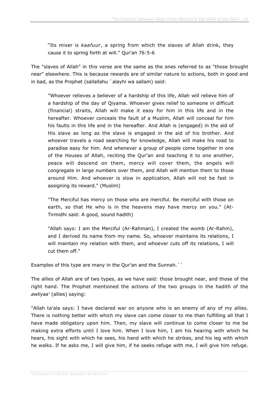"Its mixer is *kaafuur*, a spring from which the slaves of Allah drink, they cause it to spring forth at will." Qur'an 76:5-6

The "slaves of Allah" in this verse are the same as the ones referred to as "those brought near" elsewhere. This is because rewards are of similar nature to actions, both in good and in bad, as the Prophet (sallallahu `alayhi wa sallam) said:

"Whoever relieves a believer of a hardship of this life, Allah will relieve him of a hardship of the day of Qiyama. Whoever gives relief to someone in difficult (financial) straits, Allah will make it easy for him in this life and in the hereafter. Whoever conceals the fault of a Muslim, Allah will conceal for him his faults in this life and in the hereafter. And Allah is (engaged) in the aid of His slave as long as the slave is engaged in the aid of his brother. And whoever travels a road searching for knowledge, Allah will make his road to paradise easy for him. And whenever a group of people come together in one of the Houses of Allah, reciting the Qur'an and teaching it to one another, peace will descend on them, mercy will cover them, the angels will congregate in large numbers over them, and Allah will mention them to those around Him. And whoever is slow in application, Allah will not be fast in assigning its reward." (Muslim)

"The Merciful has mercy on those who are merciful. Be merciful with those on earth, so that He who is in the heavens may have mercy on you." (At-Tirmidhi said: A good, sound hadith)

"Allah says: I am the Merciful (Ar-Rahman), I created the womb (Ar-Rahm), and I derived its name from my name. So, whoever maintains its relations, I will maintain my relation with them, and whoever cuts off its relations, I will cut them off."

Examples of this type are many in the Qur'an and the Sunnah.

The allies of Allah are of two types, as we have said: those brought near, and those of the right hand. The Prophet mentioned the actions of the two groups in the hadith of the *awliyaa'* (allies) saying:

"Allah ta'ala says: I have declared war on anyone who is an enemy of any of my allies. There is nothing better with which my slave can come closer to me than fulfilling all that I have made obligatory upon him. Then, my slave will continue to come closer to me be making extra efforts until I love him. When I love him, I am his hearing with which he hears, his sight with which he sees, his hand with which he strikes, and his leg with which he walks. If he asks me, I will give him, if he seeks refuge with me, I will give him refuge.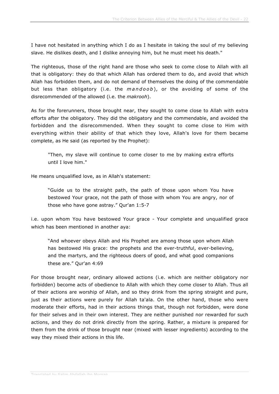I have not hesitated in anything which I do as I hesitate in taking the soul of my believing slave. He dislikes death, and I dislike annoying him, but he must meet his death."

The righteous, those of the right hand are those who seek to come close to Allah with all that is obligatory: they do that which Allah has ordered them to do, and avoid that which Allah has forbidden them, and do not demand of themselves the doing of the commendable but less than obligatory (i.e. the *mandoob* ), or the avoiding of some of the disrecommended of the allowed (i.e. the *makrooh*).

As for the forerunners, those brought near, they sought to come close to Allah with extra efforts after the obligatory. They did the obligatory and the commendable, and avoided the forbidden and the disrecommended. When they sought to come close to Him with everything within their ability of that which they love, Allah's love for them became complete, as He said (as reported by the Prophet):

"Then, my slave will continue to come closer to me by making extra efforts until I love him."

He means unqualified love, as in Allah's statement:

"Guide us to the straight path, the path of those upon whom You have bestowed Your grace, not the path of those with whom You are angry, nor of those who have gone astray." Qur'an 1:5-7

i.e. upon whom You have bestowed Your grace - Your complete and unqualified grace which has been mentioned in another aya:

"And whoever obeys Allah and His Prophet are among those upon whom Allah has bestowed His grace: the prophets and the ever-truthful, ever-believing, and the martyrs, and the righteous doers of good, and what good companions these are." Qur'an 4:69

For those brought near, ordinary allowed actions (i.e. which are neither obligatory nor forbidden) become acts of obedience to Allah with which they come closer to Allah. Thus all of their actions are worship of Allah, and so they drink from the spring straight and pure, just as their actions were purely for Allah ta'ala. On the other hand, those who were moderate their efforts, had in their actions things that, though not forbidden, were done for their selves and in their own interest. They are neither punished nor rewarded for such actions, and they do not drink directly from the spring. Rather, a mixture is prepared for them from the drink of those brought near (mixed with lesser ingredients) according to the way they mixed their actions in this life.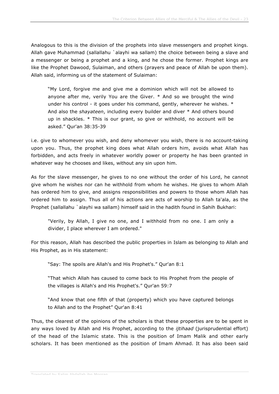Analogous to this is the division of the prophets into slave messengers and prophet kings. Allah gave Muhammad (sallallahu `alayhi wa sallam) the choice between being a slave and a messenger or being a prophet and a king, and he chose the former. Prophet kings are like the Prophet Dawood, Sulaiman, and others (prayers and peace of Allah be upon them). Allah said, informing us of the statement of Sulaiman:

"My Lord, forgive me and give me a dominion which will not be allowed to anyone after me, verily You are the Giver. \* And so we brought the wind under his control - it goes under his command, gently, wherever he wishes. \* And also the *shayateen*, including every builder and diver \* And others bound up in shackles. \* This is our grant, so give or withhold, no account will be asked." Qur'an 38:35-39

i.e. give to whomever you wish, and deny whomever you wish, there is no account-taking upon you. Thus, the prophet king does what Allah orders him, avoids what Allah has forbidden, and acts freely in whatever worldly power or property he has been granted in whatever way he chooses and likes, without any sin upon him.

As for the slave messenger, he gives to no one without the order of his Lord, he cannot give whom he wishes nor can he withhold from whom he wishes. He gives to whom Allah has ordered him to give, and assigns responsibilities and powers to those whom Allah has ordered him to assign. Thus all of his actions are acts of worship to Allah ta'ala, as the Prophet (sallallahu `alayhi wa sallam) himself said in the hadith found in Sahih Bukhari:

"Verily, by Allah, I give no one, and I withhold from no one. I am only a divider, I place wherever I am ordered."

For this reason, Allah has described the public properties in Islam as belonging to Allah and His Prophet, as in His statement:

"Say: The spoils are Allah's and His Prophet's." Qur'an 8:1

"That which Allah has caused to come back to His Prophet from the people of the villages is Allah's and His Prophet's." Qur'an 59:7

"And know that one fifth of that (property) which you have captured belongs to Allah and to the Prophet" Qur'an 8:41

Thus, the clearest of the opinions of the scholars is that these properties are to be spent in any ways loved by Allah and His Prophet, according to the *ijtihaad* (jurisprudential effort) of the head of the Islamic state. This is the position of Imam Malik and other early scholars. It has been mentioned as the position of Imam Ahmad. It has also been said

Translated by Salim Abdallah ibn Morgan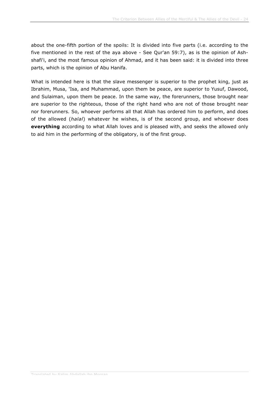about the one-fifth portion of the spoils: It is divided into five parts (i.e. according to the five mentioned in the rest of the aya above - See Qur'an 59:7), as is the opinion of Ashshafi'i, and the most famous opinion of Ahmad, and it has been said: it is divided into three parts, which is the opinion of Abu Hanifa.

What is intended here is that the slave messenger is superior to the prophet king, just as Ibrahim, Musa, 'Isa, and Muhammad, upon them be peace, are superior to Yusuf, Dawood, and Sulaiman, upon them be peace. In the same way, the forerunners, those brought near are superior to the righteous, those of the right hand who are not of those brought near nor forerunners. So, whoever performs all that Allah has ordered him to perform, and does of the allowed (*halal*) whatever he wishes, is of the second group, and whoever does **everything** according to what Allah loves and is pleased with, and seeks the allowed only to aid him in the performing of the obligatory, is of the first group.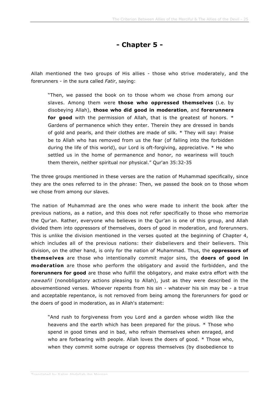**- Chapter 5 -**

Allah mentioned the two groups of His allies - those who strive moderately, and the forerunners - in the sura called *Fatir*, saying:

"Then, we passed the book on to those whom we chose from among our slaves. Among them were **those who oppressed themselves** (i.e. by disobeying Allah), **those who did good in moderation**, and **forerunners for good** with the permission of Allah, that is the greatest of honors. \* Gardens of permanence which they enter. Therein they are dressed in bands of gold and pearls, and their clothes are made of silk. \* They will say: Praise be to Allah who has removed from us the fear (of falling into the forbidden during the life of this world), our Lord is oft-forgiving, appreciative. \* He who settled us in the home of permanence and honor, no weariness will touch them therein, neither spiritual nor physical." Qur'an 35:32-35

The three groups mentioned in these verses are the nation of Muhammad specifically, since they are the ones referred to in the phrase: Then, we passed the book on to those whom we chose from among our slaves.

The nation of Muhammad are the ones who were made to inherit the book after the previous nations, as a nation, and this does not refer specifically to those who memorize the Qur'an. Rather, everyone who believes in the Qur'an is one of this group, and Allah divided them into oppressors of themselves, doers of good in moderation, and forerunners. This is unlike the division mentioned in the verses quoted at the beginning of Chapter 4, which includes all of the previous nations: their disbelievers and their believers. This division, on the other hand, is only for the nation of Muhammad. Thus, the **oppressors of themselves** are those who intentionally commit major sins, the **doers of good in moderation** are those who perform the obligatory and avoid the forbidden, and the **forerunners for good** are those who fulfill the obligatory, and make extra effort with the *nawaafil* (nonobligatory actions pleasing to Allah), just as they were described in the abovementioned verses. Whoever repents from his sin - whatever his sin may be - a true and acceptable repentance, is not removed from being among the forerunners for good or the doers of good in moderation, as in Allah's statement:

"And rush to forgiveness from you Lord and a garden whose width like the heavens and the earth which has been prepared for the pious. \* Those who spend in good times and in bad, who refrain themselves when enraged, and who are forbearing with people. Allah loves the doers of good. \* Those who, when they commit some outrage or oppress themselves (by disobedience to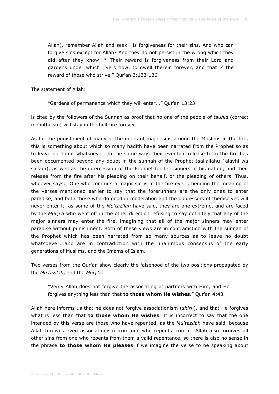Allah), remember Allah and seek His forgiveness for their sins. And who can forgive sins except for Allah? And they do not persist in the wrong which they did after they know. \* Their reward is forgiveness from their Lord and gardens under which rivers flow, to dwell therein forever, and that is the reward of those who strive." Qur'an 3:133-136

The statement of Allah:

"Gardens of permanence which they will enter..." Qur'an 13:23

is cited by the followers of the Sunnah as proof that no one of the people of *tauhid* (correct monotheism) will stay in the hell-fire forever.

As for the punishment of many of the doers of major sins among the Muslims in the fire, this is something about which so many hadith have been narrated from the Prophet so as to leave no doubt whatsoever. In the same way, their eventual release from the fire has been documented beyond any doubt in the sunnah of the Prophet (sallallahu `alayhi wa sallam), as well as the intercession of the Prophet for the sinners of his nation, and their release from the fire after his pleading on their behalf, or the pleading of others. Thus, whoever says: "One who commits a major sin is in the fire ever", bending the meaning of the verses mentioned earlier to say that the forerunners are the only ones to enter paradise, and both those who do good in moderation and the oppressors of themselves will never enter it, as some of the *Mu'tazilah* have said, they are one extreme, and are faced by the *Murji'a* who went off in the other direction refusing to say definitely that any of the major sinners may enter the fire, imagining that all of the major sinners may enter paradise without punishment. Both of these views are in contradiction with the sunnah of the Prophet which has been narrated from so many sources as to leave no doubt whatsoever, and are in contradiction with the unanimous consensus of the early generations of Muslims, and the Imams of Islam.

Two verses from the Qur'an show clearly the falsehood of the two positions propagated by the *Mu'tazilah*, and the *Murji'a*:

"Verily Allah does not forgive the associating of partners with Him, and He forgives anything less than that **to those whom He wishes**." Qur'an 4:48

Allah here informs us that he does not forgive associationism (*shirk*), and that He forgives what is less than that **to those whom He wishes**. It is incorrect to say that the one intended by this verse are those who have repented, as the *Mu'tazilah* have said, because Allah forgives even associationism from one who repents from it. Allah also forgives all other sins from one who repents from them a valid repentance, so there is also no sense in the phrase **to those whom He pleases** if we imagine the verse to be speaking about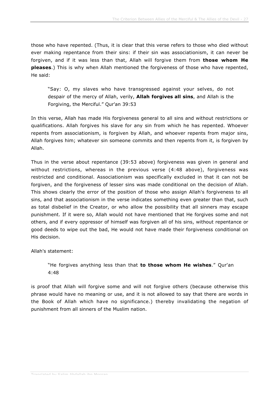those who have repented. (Thus, it is clear that this verse refers to those who died without ever making repentance from their sins: if their sin was associationism, it can never be forgiven, and if it was less than that, Allah will forgive them from **those whom He pleases**.) This is why when Allah mentioned the forgiveness of those who have repented, He said:

"Say: O, my slaves who have transgressed against your selves, do not despair of the mercy of Allah, verily, **Allah forgives all sins**, and Allah is the Forgiving, the Merciful." Qur'an 39:53

In this verse, Allah has made His forgiveness general to all sins and without restrictions or qualifications. Allah forgives his slave for any sin from which he has repented. Whoever repents from associationism, is forgiven by Allah, and whoever repents from major sins, Allah forgives him; whatever sin someone commits and then repents from it, is forgiven by Allah.

Thus in the verse about repentance (39:53 above) forgiveness was given in general and without restrictions, whereas in the previous verse (4:48 above), forgiveness was restricted and conditional. Associationism was specifically excluded in that it can not be forgiven, and the forgiveness of lesser sins was made conditional on the decision of Allah. This shows clearly the error of the position of those who assign Allah's forgiveness to all sins, and that associationism in the verse indicates something even greater than that, such as total disbelief in the Creator, or who allow the possibility that all sinners may escape punishment. If it were so, Allah would not have mentioned that He forgives some and not others, and if every oppressor of himself was forgiven all of his sins, without repentance or good deeds to wipe out the bad, He would not have made their forgiveness conditional on His decision.

Allah's statement:

"He forgives anything less than that **to those whom He wishes**." Qur'an 4:48

is proof that Allah will forgive some and will not forgive others (because otherwise this phrase would have no meaning or use, and it is not allowed to say that there are words in the Book of Allah which have no significance.) thereby invalidating the negation of punishment from all sinners of the Muslim nation.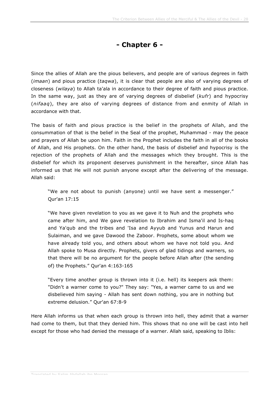### **- Chapter 6 -**

Since the allies of Allah are the pious believers, and people are of various degrees in faith (*imaan*) and pious practice (*taqwa*), it is clear that people are also of varying degrees of closeness (*wilaya*) to Allah ta'ala in accordance to their degree of faith and pious practice. In the same way, just as they are of varying degrees of disbelief (*kufr*) and hypocrisy (*nifaaq*), they are also of varying degrees of distance from and enmity of Allah in accordance with that.

The basis of faith and pious practice is the belief in the prophets of Allah, and the consummation of that is the belief in the Seal of the prophet, Muhammad - may the peace and prayers of Allah be upon him. Faith in the Prophet includes the faith in all of the books of Allah, and His prophets. On the other hand, the basis of disbelief and hypocrisy is the rejection of the prophets of Allah and the messages which they brought. This is the disbelief for which its proponent deserves punishment in the hereafter, since Allah has informed us that He will not punish anyone except after the delivering of the message. Allah said:

"We are not about to punish (anyone) until we have sent a messenger." Qur'an 17:15

"We have given revelation to you as we gave it to Nuh and the prophets who came after him, and We gave revelation to Ibrahim and Isma'il and Is-haq and Ya'qub and the tribes and 'Isa and Ayyub and Yunus and Harun and Sulaiman, and we gave Dawood the Zaboor. Prophets, some about whom we have already told you, and others about whom we have not told you. And Allah spoke to Musa directly. Prophets, givers of glad tidings and warners, so that there will be no argument for the people before Allah after (the sending of) the Prophets." Qur'an 4:163-165

"Every time another group is thrown into it (i.e. hell) its keepers ask them: "Didn't a warner come to you?" They say: "Yes, a warner came to us and we disbelieved him saying - Allah has sent down nothing, you are in nothing but extreme delusion." Qur'an 67:8-9

Here Allah informs us that when each group is thrown into hell, they admit that a warner had come to them, but that they denied him. This shows that no one will be cast into hell except for those who had denied the message of a warner. Allah said, speaking to Iblis: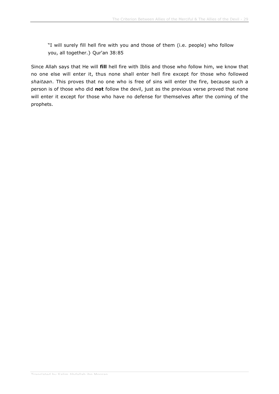"I will surely fill hell fire with you and those of them (i.e. people) who follow you, all together.} Qur'an 38:85

Since Allah says that He will **fill** hell fire with Iblis and those who follow him, we know that no one else will enter it, thus none shall enter hell fire except for those who followed *shaitaan*. This proves that no one who is free of sins will enter the fire, because such a person is of those who did **not** follow the devil, just as the previous verse proved that none will enter it except for those who have no defense for themselves after the coming of the prophets.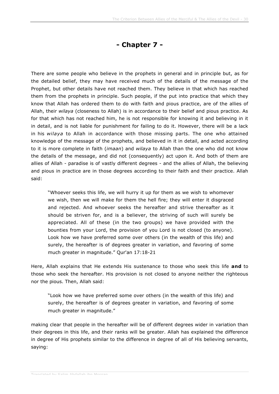#### **- Chapter 7 -**

There are some people who believe in the prophets in general and in principle but, as for the detailed belief, they may have received much of the details of the message of the Prophet, but other details have not reached them. They believe in that which has reached them from the prophets in principle. Such people, if the put into practice that which they know that Allah has ordered them to do with faith and pious practice, are of the allies of Allah, their *wilaya* (closeness to Allah) is in accordance to their belief and pious practice. As for that which has not reached him, he is not responsible for knowing it and believing in it in detail, and is not liable for punishment for failing to do it. However, there will be a lack in his *wilaya* to Allah in accordance with those missing parts. The one who attained knowledge of the message of the prophets, and believed in it in detail, and acted according to it is more complete in faith (*imaan*) and *wilaya* to Allah than the one who did not know the details of the message, and did not (consequently) act upon it. And both of them are allies of Allah - paradise is of vastly different degrees - and the allies of Allah, the believing and pious in practice are in those degrees according to their faith and their practice. Allah said:

"Whoever seeks this life, we will hurry it up for them as we wish to whomever we wish, then we will make for them the hell fire; they will enter it disgraced and rejected. And whoever seeks the hereafter and strive thereafter as it should be striven for, and is a believer, the striving of such will surely be appreciated. All of these (in the two groups) we have provided with the bounties from your Lord, the provision of you Lord is not closed (to anyone). Look how we have preferred some over others (in the wealth of this life) and surely, the hereafter is of degrees greater in variation, and favoring of some much greater in magnitude." Qur'an 17:18-21

Here, Allah explains that He extends His sustenance to those who seek this life **and** to those who seek the hereafter. His provision is not closed to anyone neither the righteous nor the pious. Then, Allah said:

"Look how we have preferred some over others (in the wealth of this life) and surely, the hereafter is of degrees greater in variation, and favoring of some much greater in magnitude."

making clear that people in the hereafter will be of different degrees wider in variation than their degrees in this life, and their ranks will be greater. Allah has explained the difference in degree of His prophets similar to the difference in degree of all of His believing servants, saying: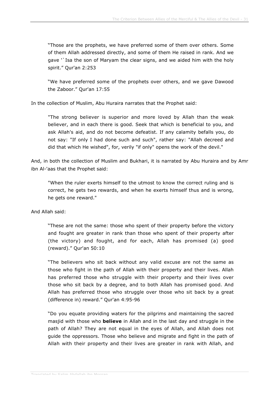"Those are the prophets, we have preferred some of them over others. Some of them Allah addressed directly, and some of them He raised in rank. And we gave '`Isa the son of Maryam the clear signs, and we aided him with the holy spirit." Qur'an 2:253

"We have preferred some of the prophets over others, and we gave Dawood the Zaboor." Qur'an 17:55

In the collection of Muslim, Abu Huraira narrates that the Prophet said:

"The strong believer is superior and more loved by Allah than the weak believer, and in each there is good. Seek that which is beneficial to you, and ask Allah's aid, and do not become defeatist. If any calamity befalls you, do not say: "If only I had done such and such", rather say: "Allah decreed and did that which He wished", for, verily "if only" opens the work of the devil."

And, in both the collection of Muslim and Bukhari, it is narrated by Abu Huraira and by Amr ibn Al-'aas that the Prophet said:

"When the ruler exerts himself to the utmost to know the correct ruling and is correct, he gets two rewards, and when he exerts himself thus and is wrong, he gets one reward."

And Allah said:

"These are not the same: those who spent of their property before the victory and fought are greater in rank than those who spent of their property after (the victory) and fought, and for each, Allah has promised (a) good (reward)." Qur'an 50:10

"The believers who sit back without any valid excuse are not the same as those who fight in the path of Allah with their property and their lives. Allah has preferred those who struggle with their property and their lives over those who sit back by a degree, and to both Allah has promised good. And Allah has preferred those who struggle over those who sit back by a great (difference in) reward." Qur'an 4:95-96

"Do you equate providing waters for the pilgrims and maintaining the sacred masjid with those who **believe** in Allah and in the last day and struggle in the path of Allah? They are not equal in the eyes of Allah, and Allah does not guide the oppressors. Those who believe and migrate and fight in the path of Allah with their property and their lives are greater in rank with Allah, and

Translated by Salim Abdallah ibn Morgan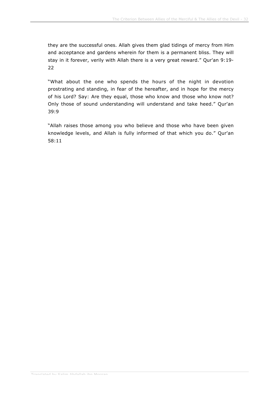they are the successful ones. Allah gives them glad tidings of mercy from Him and acceptance and gardens wherein for them is a permanent bliss. They will stay in it forever, verily with Allah there is a very great reward." Qur'an 9:19- 22

"What about the one who spends the hours of the night in devotion prostrating and standing, in fear of the hereafter, and in hope for the mercy of his Lord? Say: Are they equal, those who know and those who know not? Only those of sound understanding will understand and take heed." Qur'an 39:9

"Allah raises those among you who believe and those who have been given knowledge levels, and Allah is fully informed of that which you do." Qur'an 58:11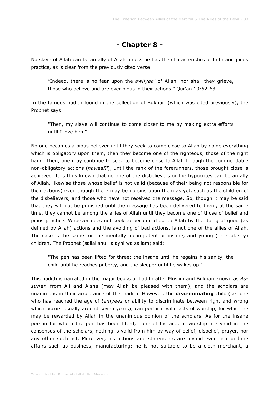#### **- Chapter 8 -**

No slave of Allah can be an ally of Allah unless he has the characteristics of faith and pious practice, as is clear from the previously cited verse:

"Indeed, there is no fear upon the *awliyaa'* of Allah, nor shall they grieve, those who believe and are ever pious in their actions." Qur'an 10:62-63

In the famous hadith found in the collection of Bukhari (which was cited previously), the Prophet says:

"Then, my slave will continue to come closer to me by making extra efforts until I love him."

No one becomes a pious believer until they seek to come close to Allah by doing everything which is obligatory upon them, then they become one of the righteous, those of the right hand. Then, one may continue to seek to become close to Allah through the commendable non-obligatory actions (*nawaafil*), until the rank of the forerunners, those brought close is achieved. It is thus known that no one of the disbelievers or the hypocrites can be an ally of Allah, likewise those whose belief is not valid (because of their being not responsible for their actions) even though there may be no sins upon them as yet, such as the children of the disbelievers, and those who have not received the message. So, though it may be said that they will not be punished until the message has been delivered to them, at the same time, they cannot be among the allies of Allah until they become one of those of belief and pious practice. Whoever does not seek to become close to Allah by the doing of good (as defined by Allah) actions and the avoiding of bad actions, is not one of the allies of Allah. The case is the same for the mentally incompetent or insane, and young (pre-puberty) children. The Prophet (sallallahu `alayhi wa sallam) said:

"The pen has been lifted for three: the insane until he regains his sanity, the child until he reaches puberty, and the sleeper until he wakes up."

This hadith is narrated in the major books of hadith after Muslim and Bukhari known as *Assunan* from Ali and Aisha (may Allah be pleased with them), and the scholars are unanimous in their acceptance of this hadith. However, the **discriminating** child (i.e. one who has reached the age of *tamyeez* or ability to discriminate between right and wrong which occurs usually around seven years), can perform valid acts of worship, for which he may be rewarded by Allah in the unanimous opinion of the scholars. As for the insane person for whom the pen has been lifted, none of his acts of worship are valid in the consensus of the scholars, nothing is valid from him by way of belief, disbelief, prayer, nor any other such act. Moreover, his actions and statements are invalid even in mundane affairs such as business, manufacturing; he is not suitable to be a cloth merchant, a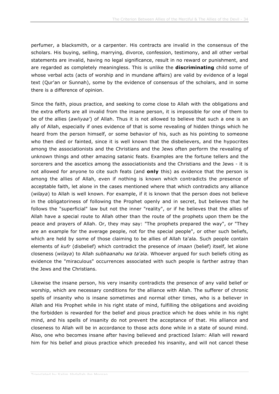perfumer, a blacksmith, or a carpenter. His contracts are invalid in the consensus of the scholars. His buying, selling, marrying, divorce, confession, testimony, and all other verbal statements are invalid, having no legal significance, result in no reward or punishment, and are regarded as completely meaningless. This is unlike the **discriminating** child some of whose verbal acts (acts of worship and in mundane affairs) are valid by evidence of a legal text (Qur'an or Sunnah), some by the evidence of consensus of the scholars, and in some there is a difference of opinion.

Since the faith, pious practice, and seeking to come close to Allah with the obligations and the extra efforts are all invalid from the insane person, it is impossible for one of them to be of the allies (*awliyaa'*) of Allah. Thus it is not allowed to believe that such a one is an ally of Allah, especially if ones evidence of that is some revealing of hidden things which he heard from the person himself, or some behavior of his, such as his pointing to someone who then died or fainted, since it is well known that the disbelievers, and the hypocrites among the associationists and the Christians and the Jews often perform the revealing of unknown things and other amazing satanic feats. Examples are the fortune tellers and the sorcerers and the ascetics among the associationists and the Christians and the Jews - it is not allowed for anyone to cite such feats (and **only** this) as evidence that the person is among the allies of Allah, even if nothing is known which contradicts the presence of acceptable faith, let alone in the cases mentioned where that which contradicts any alliance (*wilaya*) to Allah is well known. For example, if it is known that the person does not believe in the obligatoriness of following the Prophet openly and in secret, but believes that he follows the "superficial" law but not the inner "reality", or if he believes that the allies of Allah have a special route to Allah other than the route of the prophets upon them be the peace and prayers of Allah. Or, they may say: "The prophets prepared the way", or "They are an example for the average people, not for the special people", or other such beliefs, which are held by some of those claiming to be allies of Allah ta'ala. Such people contain elements of *kufr* (disbelief) which contradict the presence of *imaan* (belief) itself, let alone closeness (*wilaya*) to Allah *subhaanahu wa ta'ala*. Whoever argued for such beliefs citing as evidence the "miraculous" occurrences associated with such people is farther astray than the Jews and the Christians.

Likewise the insane person, his very insanity contradicts the presence of any valid belief or worship, which are necessary conditions for the alliance with Allah. The sufferer of chronic spells of insanity who is insane sometimes and normal other times, who is a believer in Allah and His Prophet while in his right state of mind, fulfilling the obligations and avoiding the forbidden is rewarded for the belief and pious practice which he does while in his right mind, and his spells of insanity do not prevent the acceptance of that. His alliance and closeness to Allah will be in accordance to those acts done while in a state of sound mind. Also, one who becomes insane after having believed and practiced Islam: Allah will reward him for his belief and pious practice which preceded his insanity, and will not cancel these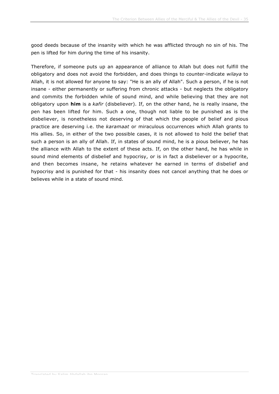good deeds because of the insanity with which he was afflicted through no sin of his. The pen is lifted for him during the time of his insanity.

Therefore, if someone puts up an appearance of alliance to Allah but does not fulfill the obligatory and does not avoid the forbidden, and does things to counter-indicate *wilaya* to Allah, it is not allowed for anyone to say: "He is an ally of Allah". Such a person, if he is not insane - either permanently or suffering from chronic attacks - but neglects the obligatory and commits the forbidden while of sound mind, and while believing that they are not obligatory upon **him** is a *kafir* (disbeliever). If, on the other hand, he is really insane, the pen has been lifted for him. Such a one, though not liable to be punished as is the disbeliever, is nonetheless not deserving of that which the people of belief and pious practice are deserving i.e. the *karamaat* or miraculous occurrences which Allah grants to His allies. So, in either of the two possible cases, it is not allowed to hold the belief that such a person is an ally of Allah. If, in states of sound mind, he is a pious believer, he has the alliance with Allah to the extent of these acts. If, on the other hand, he has while in sound mind elements of disbelief and hypocrisy, or is in fact a disbeliever or a hypocrite, and then becomes insane, he retains whatever he earned in terms of disbelief and hypocrisy and is punished for that - his insanity does not cancel anything that he does or believes while in a state of sound mind.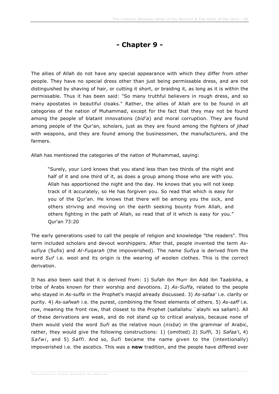## **- Chapter 9 -**

The allies of Allah do not have any special appearance with which they differ from other people. They have no special dress other than just being permissable dress, and are not distinguished by shaving of hair, or cutting it short, or braiding it, as long as it is within the permissable. Thus it has been said: "So many truthful believers in rough dress, and so many apostates in beautiful cloaks." Rather, the allies of Allah are to be found in all categories of the nation of Muhammad, except for the fact that they may not be found among the people of blatant innovations (*bid'a*) and moral corruption. They are found among people of the Qur'an, scholars, just as they are found among the fighters of *jihad* with weapons, and they are found among the businessmen, the manufacturers, and the farmers.

Allah has mentioned the categories of the nation of Muhammad, saying:

"Surely, your Lord knows that you stand less than two thirds of the night and half of it and one third of it, as does a group among those who are with you. Allah has apportioned the night and the day. He knows that you will not keep track of it accurately, so He has forgiven you. So read that which is easy for you of the Qur'an. He knows that there will be among you the sick, and others striving and moving on the earth seeking bounty from Allah, and others fighting in the path of Allah, so read that of it which is easy for you." Qur'an 73:20

The early generations used to call the people of religion and knowledge "the readers". This term included scholars and devout worshippers. After that, people invented the term *Assufiya* (Sufis) and *Al-Fuqarah* (the impoverished). The name *Sufiya* is derived from the word *Suf* i.e. wool and its origin is the wearing of woolen clothes. This is the correct derivation.

It has also been said that it is derived from: 1) Sufah ibn Murr ibn Add ibn Taabikha, a tribe of Arabs known for their worship and devotions. 2) *As-Suffa*, related to the people who stayed in *As-suffa* in the Prophet's masjid already discussed. 3) *As-safaa'* i.e. clarity or purity. 4) *As-safwah* i.e. the purest, combining the finest elements of others. 5) *As-saff* i.e. row, meaning the front row, that closest to the Prophet (sallallahu `alayhi wa sallam). All of these derivations are weak, and do not stand up to critical analysis, because none of them would yield the word *Sufi* as the relative noun (*nisba*) in the grammar of Arabic, rather, they would give the following constructions: 1) (omitted) 2) *Suffi*, 3) *Safaa'i*, 4) *Safwi*, and 5) *Saffi*. And so, *Sufi* became the name given to the (intentionally) impoverished i.e. the ascetics. This was a **new** tradition, and the people have differed over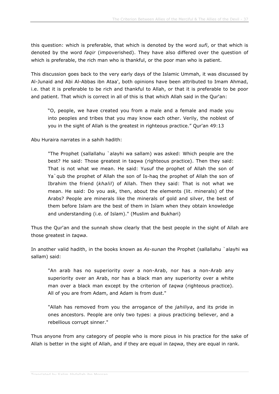this question: which is preferable, that which is denoted by the word *sufi*, or that which is denoted by the word *faqir* (impoverished). They have also differed over the question of which is preferable, the rich man who is thankful, or the poor man who is patient.

This discussion goes back to the very early days of the Islamic Ummah, it was discussed by Al-Junaid and Abi Al-Abbas ibn Ataa', both opinions have been attributed to Imam Ahmad, i.e. that it is preferable to be rich and thankful to Allah, or that it is preferable to be poor and patient. That which is correct in all of this is that which Allah said in the Qur'an:

"O, people, we have created you from a male and a female and made you into peoples and tribes that you may know each other. Verily, the noblest of you in the sight of Allah is the greatest in righteous practice." Qur'an 49:13

Abu Huraira narrates in a sahih hadith:

"The Prophet (sallallahu `alayhi wa sallam) was asked: Which people are the best? He said: Those greatest in taqwa (righteous practice). Then they said: That is not what we mean. He said: Yusuf the prophet of Allah the son of Ya`qub the prophet of Allah the son of Is-haq the prophet of Allah the son of Ibrahim the friend (*khalil*) of Allah. Then they said: That is not what we mean. He said: Do you ask, then, about the elements (lit. minerals) of the Arabs? People are minerals like the minerals of gold and silver, the best of them before Islam are the best of them in Islam when they obtain knowledge and understanding (i.e. of Islam)." (Muslim and Bukhari)

Thus the Qur'an and the sunnah show clearly that the best people in the sight of Allah are those greatest in *taqwa*.

In another valid hadith, in the books known as *As-sunan* the Prophet (sallallahu `alayhi wa sallam) said:

"An arab has no superiority over a non-Arab, nor has a non-Arab any superiority over an Arab, nor has a black man any superiority over a white man over a black man except by the criterion of *taqwa* (righteous practice). All of you are from Adam, and Adam is from dust."

"Allah has removed from you the arrogance of the *jahiliya*, and its pride in ones ancestors. People are only two types: a pious practicing believer, and a rebellious corrupt sinner."

Thus anyone from any category of people who is more pious in his practice for the sake of Allah is better in the sight of Allah, and if they are equal in *taqwa*, they are equal in rank.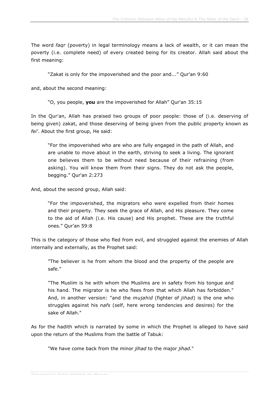The word *faqr* (poverty) in legal terminology means a lack of wealth, or it can mean the poverty (i.e. complete need) of every created being for its creator. Allah said about the first meaning:

"Zakat is only for the impoverished and the poor and..." Qur'an 9:60

and, about the second meaning:

"O, you people, **you** are the impoverished for Allah" Qur'an 35:15

In the Qur'an, Allah has praised two groups of poor people: those of (i.e. deserving of being given) zakat, and those deserving of being given from the public property known as *fei'*. About the first group, He said:

"For the impoverished who are who are fully engaged in the path of Allah, and are unable to move about in the earth, striving to seek a living. The ignorant one believes them to be without need because of their refraining (from asking). You will know them from their signs. They do not ask the people, begging." Qur'an 2:273

And, about the second group, Allah said:

"For the impoverished, the migrators who were expelled from their homes and their property. They seek the grace of Allah, and His pleasure. They come to the aid of Allah (i.e. His cause) and His prophet. These are the truthful ones." Qur'an 59:8

This is the category of those who fled from evil, and struggled against the enemies of Allah internally and externally, as the Prophet said:

"The believer is he from whom the blood and the property of the people are safe."

"The Muslim is he with whom the Muslims are in safety from his tongue and his hand. The migrator is he who flees from that which Allah has forbidden." And, in another version: "and the *mujahid* (fighter of *jihad*) is the one who struggles against his *nafs* (self, here wrong tendencies and desires) for the sake of Allah."

As for the hadith which is narrated by some in which the Prophet is alleged to have said upon the return of the Muslims from the battle of Tabuk:

"We have come back from the minor *jihad* to the major *jihad*."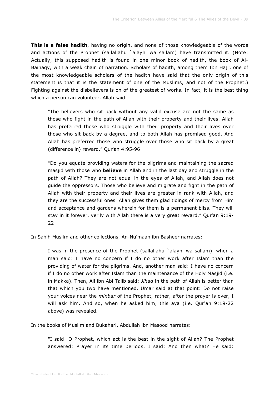**This is a false hadith**, having no origin, and none of those knowledgeable of the words and actions of the Prophet (sallallahu `alayhi wa sallam) have transmitted it. (Note: Actually, this supposed hadith is found in one minor book of hadith, the book of Al-Baihaqy, with a weak chain of narration. Scholars of hadith, among them Ibn Hajr, one of the most knowledgeable scholars of the hadith have said that the only origin of this statement is that it is the statement of one of the Muslims, and not of the Prophet.) Fighting against the disbelievers is on of the greatest of works. In fact, it is the best thing which a person can volunteer. Allah said:

"The believers who sit back without any valid excuse are not the same as those who fight in the path of Allah with their property and their lives. Allah has preferred those who struggle with their property and their lives over those who sit back by a degree, and to both Allah has promised good. And Allah has preferred those who struggle over those who sit back by a great (difference in) reward." Qur'an 4:95-96

"Do you equate providing waters for the pilgrims and maintaining the sacred masjid with those who **believe** in Allah and in the last day and struggle in the path of Allah? They are not equal in the eyes of Allah, and Allah does not guide the oppressors. Those who believe and migrate and fight in the path of Allah with their property and their lives are greater in rank with Allah, and they are the successful ones. Allah gives them glad tidings of mercy from Him and acceptance and gardens wherein for them is a permanent bliss. They will stay in it forever, verily with Allah there is a very great reward." Qur'an 9:19- 22

In Sahih Muslim and other collections, An-Nu'maan ibn Basheer narrates:

I was in the presence of the Prophet (sallallahu `alayhi wa sallam), when a man said: I have no concern if I do no other work after Islam than the providing of water for the pilgrims. And, another man said: I have no concern if I do no other work after Islam than the maintenance of the Holy Masjid (i.e. in Makka). Then, Ali ibn Abi Talib said: *Jihad* in the path of Allah is better than that which you two have mentioned. Umar said at that point: Do not raise your voices near the *minbar* of the Prophet, rather, after the prayer is over, I will ask him. And so, when he asked him, this aya (i.e. Qur'an 9:19-22 above) was revealed.

In the books of Muslim and Bukahari, Abdullah ibn Masood narrates:

"I said: O Prophet, which act is the best in the sight of Allah? The Prophet answered: Prayer in its time periods. I said: And then what? He said: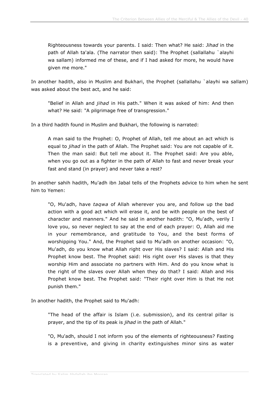Righteousness towards your parents. I said: Then what? He said: *Jihad* in the path of Allah ta'ala. (The narrator then said): The Prophet (sallallahu `alayhi wa sallam) informed me of these, and if I had asked for more, he would have given me more."

In another hadith, also in Muslim and Bukhari, the Prophet (sallallahu `alayhi wa sallam) was asked about the best act, and he said:

"Belief in Allah and *jihad* in His path." When it was asked of him: And then what? He said: "A pilgrimage free of transgression."

In a third hadith found in Muslim and Bukhari, the following is narrated:

A man said to the Prophet: O, Prophet of Allah, tell me about an act which is equal to *jihad* in the path of Allah. The Prophet said: You are not capable of it. Then the man said: But tell me about it. The Prophet said: Are you able, when you go out as a fighter in the path of Allah to fast and never break your fast and stand (in prayer) and never take a rest?

In another sahih hadith, Mu'adh ibn Jabal tells of the Prophets advice to him when he sent him to Yemen:

"O, Mu'adh, have *taqwa* of Allah wherever you are, and follow up the bad action with a good act which will erase it, and be with people on the best of character and manners." And he said in another hadith: "O, Mu'adh, verily I love you, so never neglect to say at the end of each prayer: O, Allah aid me in your remembrance, and gratitude to You, and the best forms of worshipping You." And, the Prophet said to Mu'adh on another occasion: "O, Mu'adh, do you know what Allah right over His slaves? I said: Allah and His Prophet know best. The Prophet said: His right over His slaves is that they worship Him and associate no partners with Him. And do you know what is the right of the slaves over Allah when they do that? I said: Allah and His Prophet know best. The Prophet said: "Their right over Him is that He not punish them."

In another hadith, the Prophet said to Mu'adh:

"The head of the affair is Islam (i.e. submission), and its central pillar is prayer, and the tip of its peak is *jihad* in the path of Allah."

"O, Mu'adh, should I not inform you of the elements of righteousness? Fasting is a preventive, and giving in charity extinguishes minor sins as water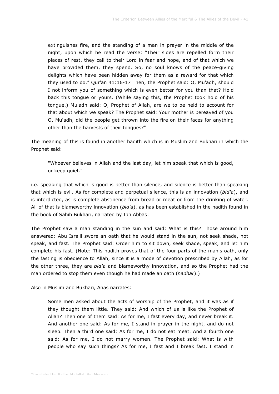extinguishes fire, and the standing of a man in prayer in the middle of the night, upon which he read the verse: "Their sides are repelled form their places of rest, they call to their Lord in fear and hope, and of that which we have provided them, they spend. So, no soul knows of the peace-giving delights which have been hidden away for them as a reward for that which they used to do." Qur'an 41:16-17 Then, the Prophet said: O, Mu'adh, should I not inform you of something which is even better for you than that? Hold back this tongue or yours. (While saying this, the Prophet took hold of his tongue.) Mu'adh said: O, Prophet of Allah, are we to be held to account for that about which we speak? The Prophet said: Your mother is bereaved of you O, Mu'adh, did the people get thrown into the fire on their faces for anything other than the harvests of their tongues?"

The meaning of this is found in another hadith which is in Muslim and Bukhari in which the Prophet said:

"Whoever believes in Allah and the last day, let him speak that which is good, or keep quiet."

i.e. speaking that which is good is better than silence, and silence is better than speaking that which is evil. As for complete and perpetual silence, this is an innovation (*bid'a*), and is interdicted, as is complete abstinence from bread or meat or from the drinking of water. All of that is blameworthy innovation (*bid'a*), as has been established in the hadith found in the book of Sahih Bukhari, narrated by Ibn Abbas:

The Prophet saw a man standing in the sun and said: What is this? Those around him answered: Abu Isra'il swore an oath that he would stand in the sun, not seek shade, not speak, and fast. The Prophet said: Order him to sit down, seek shade, speak, and let him complete his fast. (Note: This hadith proves that of the four parts of the man's oath, only the fasting is obedience to Allah, since it is a mode of devotion prescribed by Allah, as for the other three, they are *bid'a* and blameworthy innovation, and so the Prophet had the man ordered to stop them even though he had made an oath (*nadhar*).)

Also in Muslim and Bukhari, Anas narrates:

Some men asked about the acts of worship of the Prophet, and it was as if they thought them little. They said: And which of us is like the Prophet of Allah? Then one of them said: As for me, I fast every day, and never break it. And another one said: As for me, I stand in prayer in the night, and do not sleep. Then a third one said: As for me, I do not eat meat. And a fourth one said: As for me, I do not marry women. The Prophet said: What is with people who say such things? As for me, I fast and I break fast, I stand in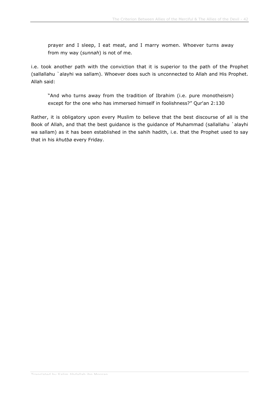prayer and I sleep, I eat meat, and I marry women. Whoever turns away from my way (*sunnah*) is not of me.

i.e. took another path with the conviction that it is superior to the path of the Prophet (sallallahu `alayhi wa sallam). Whoever does such is unconnected to Allah and His Prophet. Allah said:

"And who turns away from the tradition of Ibrahim (i.e. pure monotheism) except for the one who has immersed himself in foolishness?" Qur'an 2:130

Rather, it is obligatory upon every Muslim to believe that the best discourse of all is the Book of Allah, and that the best guidance is the guidance of Muhammad (sallallahu `alayhi wa sallam) as it has been established in the sahih hadith, i.e. that the Prophet used to say that in his *khutba* every Friday.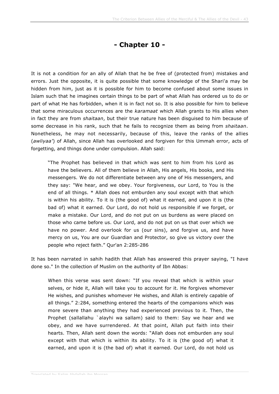## **- Chapter 10 -**

It is not a condition for an ally of Allah that he be free of (protected from) mistakes and errors. Just the opposite, it is quite possible that some knowledge of the Shari'a may be hidden from him, just as it is possible for him to become confused about some issues in Islam such that he imagines certain things to be part of what Allah has ordered us to do or part of what He has forbidden, when it is in fact not so. It is also possible for him to believe that some miraculous occurrences are the *karamaat* which Allah grants to His allies when in fact they are from *shaitaan*, but their true nature has been disguised to him because of some decrease in his rank, such that he fails to recognize them as being from *shaitaan*. Nonetheless, he may not necessarily, because of this, leave the ranks of the allies (*awliyaa'*) of Allah, since Allah has overlooked and forgiven for this Ummah error, acts of forgetting, and things done under compulsion. Allah said:

"The Prophet has believed in that which was sent to him from his Lord as have the believers. All of them believe in Allah, His angels, His books, and His messengers. We do not differentiate between any one of His messengers, and they say: "We hear, and we obey. Your forgiveness, our Lord, to You is the end of all things. \* Allah does not emburden any soul except with that which is within his ability. To it is (the good of) what it earned, and upon it is (the bad of) what it earned. Our Lord, do not hold us responsible if we forget, or make a mistake. Our Lord, and do not put on us burdens as were placed on those who came before us. Our Lord, and do not put on us that over which we have no power. And overlook for us (our sins), and forgive us, and have mercy on us, You are our Guardian and Protector, so give us victory over the people who reject faith." Qur'an 2:285-286

It has been narrated in sahih hadith that Allah has answered this prayer saying, "I have done so." In the collection of Muslim on the authority of Ibn Abbas:

When this verse was sent down: "If you reveal that which is within your selves, or hide it, Allah will take you to account for it. He forgives whomever He wishes, and punishes whomever He wishes, and Allah is entirely capable of all things." 2:284, something entered the hearts of the companions which was more severe than anything they had experienced previous to it. Then, the Prophet (sallallahu `alayhi wa sallam) said to them: Say we hear and we obey, and we have surrendered. At that point, Allah put faith into their hearts. Then, Allah sent down the words: "Allah does not emburden any soul except with that which is within its ability. To it is (the good of) what it earned, and upon it is (the bad of) what it earned. Our Lord, do not hold us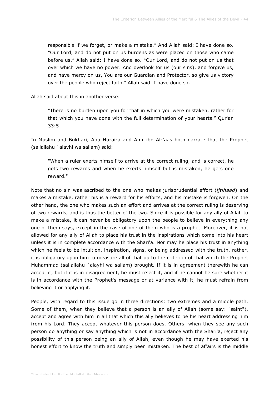responsible if we forget, or make a mistake." And Allah said: I have done so. "Our Lord, and do not put on us burdens as were placed on those who came before us." Allah said: I have done so. "Our Lord, and do not put on us that over which we have no power. And overlook for us (our sins), and forgive us, and have mercy on us, You are our Guardian and Protector, so give us victory over the people who reject faith." Allah said: I have done so.

Allah said about this in another verse:

"There is no burden upon you for that in which you were mistaken, rather for that which you have done with the full determination of your hearts." Qur'an 33:5

In Muslim and Bukhari, Abu Huraira and Amr ibn Al-'aas both narrate that the Prophet (sallallahu `alayhi wa sallam) said:

"When a ruler exerts himself to arrive at the correct ruling, and is correct, he gets two rewards and when he exerts himself but is mistaken, he gets one reward."

Note that no sin was ascribed to the one who makes jurisprudential effort (*ijtihaad*) and makes a mistake, rather his is a reward for his efforts, and his mistake is forgiven. On the other hand, the one who makes such an effort and arrives at the correct ruling is deserving of two rewards, and is thus the better of the two. Since it is possible for any ally of Allah to make a mistake, it can never be obligatory upon the people to believe in everything any one of them says, except in the case of one of them who is a prophet. Moreover, it is not allowed for any ally of Allah to place his trust in the inspirations which come into his heart unless it is in complete accordance with the Shari'a. Nor may he place his trust in anything which he feels to be intuition, inspiration, signs, or being addressed with the truth, rather, it is obligatory upon him to measure all of that up to the criterion of that which the Prophet Muhammad (sallallahu `alayhi wa sallam) brought. If it is in agreement therewith he can accept it, but if it is in disagreement, he must reject it, and if he cannot be sure whether it is in accordance with the Prophet's message or at variance with it, he must refrain from believing it or applying it.

People, with regard to this issue go in three directions: two extremes and a middle path. Some of them, when they believe that a person is an ally of Allah (some say: "saint"), accept and agree with him in all that which this ally believes to be his heart addressing him from his Lord. They accept whatever this person does. Others, when they see any such person do anything or say anything which is not in accordance with the Shari'a, reject any possibility of this person being an ally of Allah, even though he may have exerted his honest effort to know the truth and simply been mistaken. The best of affairs is the middle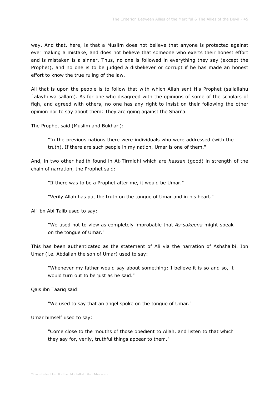way. And that, here, is that a Muslim does not believe that anyone is protected against ever making a mistake, and does not believe that someone who exerts their honest effort and is mistaken is a sinner. Thus, no one is followed in everything they say (except the Prophet), and no one is to be judged a disbeliever or corrupt if he has made an honest effort to know the true ruling of the law.

All that is upon the people is to follow that with which Allah sent His Prophet (sallallahu `alayhi wa sallam). As for one who disagreed with the opinions of some of the scholars of fiqh, and agreed with others, no one has any right to insist on their following the other opinion nor to say about them: They are going against the Shari'a.

The Prophet said (Muslim and Bukhari):

"In the previous nations there were individuals who were addressed (with the truth). If there are such people in my nation, Umar is one of them."

And, in two other hadith found in At-Tirmidhi which are *hassan* (good) in strength of the chain of narration, the Prophet said:

"If there was to be a Prophet after me, it would be Umar."

"Verily Allah has put the truth on the tongue of Umar and in his heart."

Ali ibn Abi Talib used to say:

"We used not to view as completely improbable that *As-sakeena* might speak on the tongue of Umar."

This has been authenticated as the statement of Ali via the narration of Ashsha'bi. Ibn Umar (i.e. Abdallah the son of Umar) used to say:

"Whenever my father would say about something: I believe it is so and so, it would turn out to be just as he said."

Qais ibn Taariq said:

"We used to say that an angel spoke on the tongue of Umar."

Umar himself used to say:

"Come close to the mouths of those obedient to Allah, and listen to that which they say for, verily, truthful things appear to them."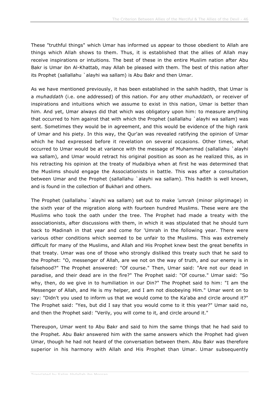These "truthful things" which Umar has informed us appear to those obedient to Allah are things which Allah shows to them. Thus, it is established that the allies of Allah may receive inspirations or intuitions. The best of these in the entire Muslim nation after Abu Bakr is Umar ibn Al-Khattab, may Allah be pleased with them. The best of this nation after its Prophet (sallallahu `alayhi wa sallam) is Abu Bakr and then Umar.

As we have mentioned previously, it has been established in the sahih hadith, that Umar is a *muhaddath* (i.e. one addressed) of this nation. For any other *muhaddath*, or receiver of inspirations and intuitions which we assume to exist in this nation, Umar is better than him. And yet, Umar always did that which was obligatory upon him: to measure anything that occurred to him against that with which the Prophet (sallallahu `alayhi wa sallam) was sent. Sometimes they would be in agreement, and this would be evidence of the high rank of Umar and his piety. In this way, the Qur'an was revealed ratifying the opinion of Umar which he had expressed before it revelation on several occasions. Other times, what occurred to Umar would be at variance with the message of Muhammad (sallallahu `alayhi wa sallam), and Umar would retract his original position as soon as he realized this, as in his retracting his opinion at the treaty of Hudaibiya when at first he was determined that the Muslims should engage the Associationists in battle. This was after a consultation between Umar and the Prophet (sallallahu `alayhi wa sallam). This hadith is well known, and is found in the collection of Bukhari and others.

The Prophet (sallallahu `alayhi wa sallam) set out to make *'umrah* (minor pilgrimage) in the sixth year of the migration along with fourteen hundred Muslims. These were are the Muslims who took the oath under the tree. The Prophet had made a treaty with the associationists, after discussions with them, in which it was stipulated that he should turn back to Madinah in that year and come for 'Umrah in the following year. There were various other conditions which seemed to be unfair to the Muslims. This was extremely difficult for many of the Muslims, and Allah and His Prophet knew best the great benefits in that treaty. Umar was one of those who strongly disliked this treaty such that he said to the Prophet: "O, messenger of Allah, are we not on the way of truth, and our enemy is in falsehood?" The Prophet answered: "Of course." Then, Umar said: "Are not our dead in paradise, and their dead are in the fire?" The Prophet said: "Of course." Umar said: "So why, then, do we give in to humiliation in our Din?" The Prophet said to him: "I am the Messenger of Allah, and He is my helper, and I am not disobeying Him." Umar went on to say: "Didn't you used to inform us that we would come to the Ka'aba and circle around it?" The Prophet said: "Yes, but did I say that you would come to it this year?" Umar said no, and then the Prophet said: "Verily, you will come to it, and circle around it."

Thereupon, Umar went to Abu Bakr and said to him the same things that he had said to the Prophet. Abu Bakr answered him with the same answers which the Prophet had given Umar, though he had not heard of the conversation between them. Abu Bakr was therefore superior in his harmony with Allah and His Prophet than Umar. Umar subsequently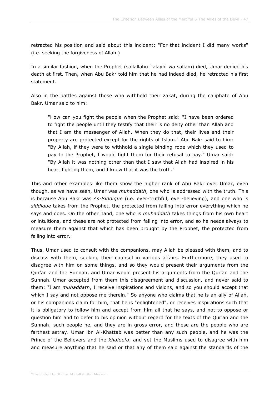retracted his position and said about this incident: "For that incident I did many works" (i.e. seeking the forgiveness of Allah.)

In a similar fashion, when the Prophet (sallallahu `alayhi wa sallam) died, Umar denied his death at first. Then, when Abu Bakr told him that he had indeed died, he retracted his first statement.

Also in the battles against those who withheld their zakat, during the caliphate of Abu Bakr. Umar said to him:

"How can you fight the people when the Prophet said: "I have been ordered to fight the people until they testify that their is no deity other than Allah and that I am the messenger of Allah. When they do that, their lives and their property are protected except for the rights of Islam." Abu Bakr said to him: "By Allah, if they were to withhold a single binding rope which they used to pay to the Prophet, I would fight them for their refusal to pay." Umar said: "By Allah it was nothing other than that I saw that Allah had inspired in his heart fighting them, and I knew that it was the truth."

This and other examples like them show the higher rank of Abu Bakr over Umar, even though, as we have seen, Umar was *muhaddath*, one who is addressed with the truth. This is because Abu Bakr was *As-Siddique* (i.e. ever-truthful, ever-believing), and one who is *siddique* takes from the Prophet, the protected from falling into error everything which he says and does. On the other hand, one who is *muhaddath* takes things from his own heart or intuitions, and these are not protected from falling into error, and so he needs always to measure them against that which has been brought by the Prophet, the protected from falling into error.

Thus, Umar used to consult with the companions, may Allah be pleased with them, and to discuss with them, seeking their counsel in various affairs. Furthermore, they used to disagree with him on some things, and so they would present their arguments from the Qur'an and the Sunnah, and Umar would present his arguments from the Qur'an and the Sunnah. Umar accepted from them this disagreement and discussion, and never said to them: "I am *muhaddath*, I receive inspirations and visions, and so you should accept that which I say and not oppose me therein." So anyone who claims that he is an ally of Allah, or his companions claim for him, that he is "enlightened", or receives inspirations such that it is obligatory to follow him and accept from him all that he says, and not to oppose or question him and to defer to his opinion without regard for the texts of the Qur'an and the Sunnah; such people he, and they are in gross error, and these are the people who are farthest astray. Umar ibn Al-Khattab was better than any such people, and he was the Prince of the Believers and the *khaleefa*, and yet the Muslims used to disagree with him and measure anything that he said or that any of them said against the standards of the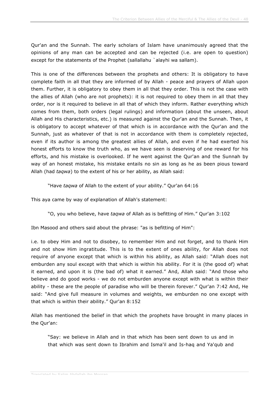Qur'an and the Sunnah. The early scholars of Islam have unanimously agreed that the opinions of any man can be accepted and can be rejected (i.e. are open to question) except for the statements of the Prophet (sallallahu `alayhi wa sallam).

This is one of the differences between the prophets and others: It is obligatory to have complete faith in all that they are informed of by Allah - peace and prayers of Allah upon them. Further, it is obligatory to obey them in all that they order. This is not the case with the allies of Allah (who are not prophets): it is not required to obey them in all that they order, nor is it required to believe in all that of which they inform. Rather everything which comes from them, both orders (legal rulings) and information (about the unseen, about Allah and His characteristics, etc.) is measured against the Qur'an and the Sunnah. Then, it is obligatory to accept whatever of that which is in accordance with the Qur'an and the Sunnah, just as whatever of that is not in accordance with them is completely rejected, even if its author is among the greatest allies of Allah, and even if he had exerted his honest efforts to know the truth who, as we have seen is deserving of one reward for his efforts, and his mistake is overlooked. If he went against the Qur'an and the Sunnah by way of an honest mistake, his mistake entails no sin as long as he as been pious toward Allah (had *taqwa*) to the extent of his or her ability, as Allah said:

"Have *taqwa* of Allah to the extent of your ability." Qur'an 64:16

This aya came by way of explanation of Allah's statement:

"O, you who believe, have *taqwa* of Allah as is befitting of Him." Qur'an 3:102

Ibn Masood and others said about the phrase: "as is befitting of Him":

i.e. to obey Him and not to disobey, to remember Him and not forget, and to thank Him and not show Him ingratitude. This is to the extent of ones ability, for Allah does not require of anyone except that which is within his ability, as Allah said: "Allah does not emburden any soul except with that which is within his ability. For it is (the good of) what it earned, and upon it is (the bad of) what it earned." And, Allah said: "And those who believe and do good works - we do not emburden anyone except with what is within their ability - these are the people of paradise who will be therein forever." Qur'an 7:42 And, He said: "And give full measure in volumes and weights, we emburden no one except with that which is within their ability." Qur'an 8:152

Allah has mentioned the belief in that which the prophets have brought in many places in the Qur'an:

"Say: we believe in Allah and in that which has been sent down to us and in that which was sent down to Ibrahim and Isma'il and Is-haq and Ya'qub and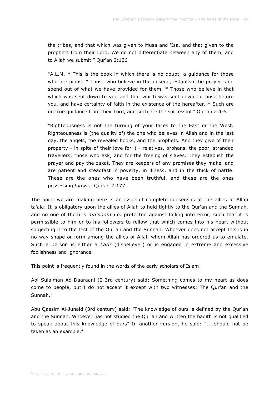the tribes, and that which was given to Musa and 'Isa, and that given to the prophets from their Lord. We do not differentiate between any of them, and to Allah we submit." Qur'an 2:136

"A.L.M. \* This is the book in which there is no doubt, a guidance for those who are pious. \* Those who believe in the unseen, establish the prayer, and spend out of what we have provided for them. \* Those who believe in that which was sent down to you and that which was sent down to those before you, and have certainty of faith in the existence of the hereafter. \* Such are on true guidance from their Lord, and such are the successful." Qur'an 2:1-5

"Righteousness is not the turning of your faces to the East or the West. Righteousness is (the quality of) the one who believes in Allah and in the last day, the angels, the revealed books, and the prophets. And they give of their property - in spite of their love for it - relatives, orphans, the poor, stranded travellers, those who ask, and for the freeing of slaves. They establish the prayer and pay the zakat. They are keepers of any promises they make, and are patient and steadfast in poverty, in illness, and in the thick of battle. These are the ones who have been truthful, and these are the ones possessing *taqwa*." Qur'an 2:177

The point we are making here is an issue of complete consensus of the allies of Allah ta'ala: It is obligatory upon the allies of Allah to hold tightly to the Qur'an and the Sunnah, and no one of them is *ma'soom* i.e. protected against falling into error, such that it is permissible to him or to his followers to follow that which comes into his heart without subjecting it to the test of the Qur'an and the Sunnah. Whoever does not accept this is in no way shape or form among the allies of Allah whom Allah has ordered us to emulate. Such a person is either a *kafir* (disbeliever) or is engaged in extreme and excessive foolishness and ignorance.

This point is frequently found in the words of the early scholars of Islam:

Abi Sulaiman Ad-Daaraani (2-3rd century) said: Something comes to my heart as does come to people, but I do not accept it except with two witnesses: The Qur'an and the Sunnah."

Abu Qaasim Al-Junaid (3rd century) said: "The knowledge of ours is defined by the Qur'an and the Sunnah. Whoever has not studied the Qur'an and written the hadith is not qualified to speak about this knowledge of ours" In another version, he said: "... should not be taken as an example."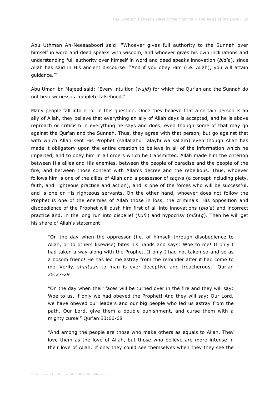Abu Uthman An-Neesaaboori said: "Whoever gives full authority to the Sunnah over himself in word and deed speaks with wisdom, and whoever gives his own inclinations and understanding full authority over himself in word and deed speaks innovation (*bid'a*), since Allah has said in His ancient discourse: "And if you obey Him (i.e. Allah), you will attain guidance.""

Abu Umar ibn Majeed said: "Every intuition (*wujd*) for which the Qur'an and the Sunnah do not bear witness is complete falsehood."

Many people fall into error in this question. Once they believe that a certain person is an ally of Allah, they believe that everything an ally of Allah days is accepted, and he is above reproach or criticism in everything he says and does, even though some of that may go against the Qur'an and the Sunnah. Thus, they agree with that person, but go against that with which Allah sent His Prophet (sallallahu `alayhi wa sallam) even though Allah has made it obligatory upon the entire creation to believe in all of the information which he imparted, and to obey him in all orders which he transmitted. Allah made him the criterion between His allies and His enemies, between the people of paradise and the people of the fire, and between those content with Allah's decree and the rebellious. Thus, whoever follows him is one of the allies of Allah and a possessor of *taqwa* (a concept including piety, faith, and righteous practice and action), and is one of the forces who will be successful, and is one or His righteous servants. On the other hand, whoever does not follow the Prophet is one of the enemies of Allah those in loss, the criminals. His opposition and disobedience of the Prophet will push him first of all into innovations (*bid'a*) and incorrect practice and, in the long run into disbelief (*kufr*) and hypocrisy (*nifaaq*). Then he will get his share of Allah's statement:

"On the day when the oppressor (i.e. of himself through disobedience to Allah, or to others likewise) bites his hands and says: Woe to me! If only I had taken a way along with the Prophet. If only I had not taken so-and-so as a bosom friend! He has led me astray from the reminder after it had come to me. Verily, *shaitaan* to man is ever deceptive and treacherous." Qur'an 25:27-29

"On the day when their faces will be turned over in the fire and they will say: Woe to us, if only we had obeyed the Prophet! And they will say: Our Lord, we have obeyed our leaders and our big people who led us astray from the path. Our Lord, give them a double punishment, and curse them with a mighty curse." Qur'an 33:66-68

"And among the people are those who make others as equals to Allah. They love them as the love of Allah, but those who believe are more intense in their love of Allah. If only they could see themselves when they they see the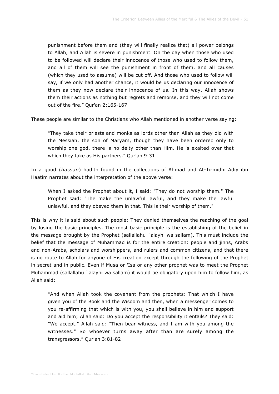punishment before them and (they will finally realize that) all power belongs to Allah, and Allah is severe in punishment. On the day when those who used to be followed will declare their innocence of those who used to follow them, and all of them will see the punishment in front of them, and all causes (which they used to assume) will be cut off. And those who used to follow will say, if we only had another chance, it would be us declaring our innocence of them as they now declare their innocence of us. In this way, Allah shows them their actions as nothing but regrets and remorse, and they will not come out of the fire." Qur'an 2:165-167

These people are similar to the Christians who Allah mentioned in another verse saying:

"They take their priests and monks as lords other than Allah as they did with the Messiah, the son of Maryam, though they have been ordered only to worship one god, there is no deity other than Him. He is exalted over that which they take as His partners." Qur'an 9:31

In a good (*hassan*) hadith found in the collections of Ahmad and At-Tirmidhi Adiy ibn Haatim narrates about the interpretation of the above verse:

When I asked the Prophet about it, I said: "They do not worship them." The Prophet said: "The make the unlawful lawful, and they make the lawful unlawful, and they obeyed them in that. This is their worship of them."

This is why it is said about such people: They denied themselves the reaching of the goal by losing the basic principles. The most basic principle is the establishing of the belief in the message brought by the Prophet (sallallahu `alayhi wa sallam). This must include the belief that the message of Muhammad is for the entire creation: people and jinns, Arabs and non-Arabs, scholars and worshippers, and rulers and common citizens, and that there is no route to Allah for anyone of His creation except through the following of the Prophet in secret and in public. Even if Musa or 'Isa or any other prophet was to meet the Prophet Muhammad (sallallahu `alayhi wa sallam) it would be obligatory upon him to follow him, as Allah said:

"And when Allah took the covenant from the prophets: That which I have given you of the Book and the Wisdom and then, when a messenger comes to you re-affirming that which is with you, you shall believe in him and support and aid him; Allah said: Do you accept the responsibility it entails? They said: "We accept." Allah said: "Then bear witness, and I am with you among the witnesses." So whoever turns away after than are surely among the transgressors." Qur'an 3:81-82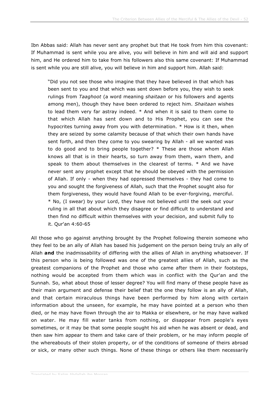Ibn Abbas said: Allah has never sent any prophet but that He took from him this covenant: If Muhammad is sent while you are alive, you will believe in him and will aid and support him, and He ordered him to take from his followers also this same covenant: If Muhammad is sent while you are still alive, you will believe in him and support him. Allah said:

"Did you not see those who imagine that they have believed in that which has been sent to you and that which was sent down before you, they wish to seek rulings from *Taaghoot* (a word meaning *shaitaan* or his followers and agents among men), though they have been ordered to reject him. *Shaitaan* wishes to lead them very far astray indeed. \* And when it is said to them come to that which Allah has sent down and to His Prophet, you can see the hypocrites turning away from you with determination. \* How is it then, when they are seized by some calamity because of that which their own hands have sent forth, and then they come to you swearing by Allah - all we wanted was to do good and to bring people together? \* These are those whom Allah knows all that is in their hearts, so turn away from them, warn them, and speak to them about themselves in the clearest of terms. \* And we have never sent any prophet except that he should be obeyed with the permission of Allah. If only - when they had oppressed themselves - they had come to you and sought the forgiveness of Allah, such that the Prophet sought also for them forgiveness, they would have found Allah to be ever-forgiving, merciful. \* No, (I swear) by your Lord, they have not believed until the seek out your ruling in all that about which they disagree or find difficult to understand and then find no difficult within themselves with your decision, and submit fully to it. Qur'an 4:60-65

All those who go against anything brought by the Prophet following therein someone who they feel to be an ally of Allah has based his judgement on the person being truly an ally of Allah **and** the inadmissability of differing with the allies of Allah in anything whatsoever. If this person who is being followed was one of the greatest allies of Allah, such as the greatest companions of the Prophet and those who came after them in their footsteps, nothing would be accepted from them which was in conflict with the Qur'an and the Sunnah. So, what about those of lesser degree? You will find many of these people have as their main argument and defense their belief that the one they follow is an ally of Allah, and that certain miraculous things have been performed by him along with certain information about the unseen, for example, he may have pointed at a person who then died, or he may have flown through the air to Makka or elsewhere, or he may have walked on water. He may fill water tanks from nothing, or disappear from people's eyes sometimes, or it may be that some people sought his aid when he was absent or dead, and then saw him appear to them and take care of their problem, or he may inform people of the whereabouts of their stolen property, or of the conditions of someone of theirs abroad or sick, or many other such things. None of these things or others like them necessarily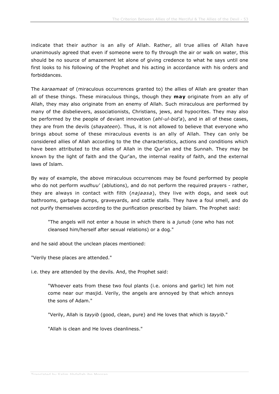indicate that their author is an ally of Allah. Rather, all true allies of Allah have unanimously agreed that even if someone were to fly through the air or walk on water, this should be no source of amazement let alone of giving credence to what he says until one first looks to his following of the Prophet and his acting in accordance with his orders and forbiddances.

The *karaamaat* of (miraculous occurrences granted to) the allies of Allah are greater than all of these things. These miraculous things, though they **may** originate from an ally of Allah, they may also originate from an enemy of Allah. Such miraculous are performed by many of the disbelievers, associationists, Christians, jews, and hypocrites. They may also be performed by the people of deviant innovation (*ahl-ul-bid'a*), and in all of these cases, they are from the devils (*shayateen*). Thus, it is not allowed to believe that everyone who brings about some of these miraculous events is an ally of Allah. They can only be considered allies of Allah according to the the characteristics, actions and conditions which have been attributed to the allies of Allah in the Qur'an and the Sunnah. They may be known by the light of faith and the Qur'an, the internal reality of faith, and the external laws of Islam.

By way of example, the above miraculous occurrences may be found performed by people who do not perform *wudhuu'* (ablutions), and do not perform the required prayers - rather, they are always in contact with filth (*najaasa*), they live with dogs, and seek out bathrooms, garbage dumps, graveyards, and cattle stalls. They have a foul smell, and do not purify themselves according to the purification prescribed by Islam. The Prophet said:

"The angels will not enter a house in which there is a *junub* (one who has not cleansed him/herself after sexual relations) or a dog."

and he said about the unclean places mentioned:

"Verily these places are attended."

i.e. they are attended by the devils. And, the Prophet said:

"Whoever eats from these two foul plants (i.e. onions and garlic) let him not come near our masjid. Verily, the angels are annoyed by that which annoys the sons of Adam."

"Verily, Allah is *tayyib* (good, clean, pure) and He loves that which is *tayyib*."

"Allah is clean and He loves cleanliness."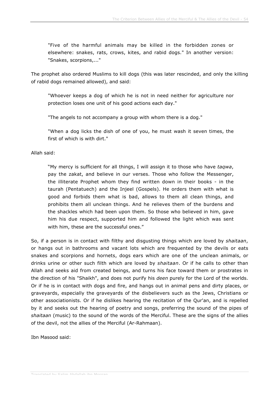"Five of the harmful animals may be killed in the forbidden zones or elsewhere: snakes, rats, crows, kites, and rabid dogs." In another version: "Snakes, scorpions,..."

The prophet also ordered Muslims to kill dogs (this was later rescinded, and only the killing of rabid dogs remained allowed), and said:

"Whoever keeps a dog of which he is not in need neither for agriculture nor protection loses one unit of his good actions each day."

"The angels to not accompany a group with whom there is a dog."

"When a dog licks the dish of one of you, he must wash it seven times, the first of which is with dirt."

Allah said:

"My mercy is sufficient for all things, I will assign it to those who have *taqwa*, pay the zakat, and believe in our verses. Those who follow the Messenger, the illiterate Prophet whom they find written down in their books - in the taurah (Pentatuech) and the Injeel (Gospels). He orders them with what is good and forbids them what is bad, allows to them all clean things, and prohibits them all unclean things. And he relieves them of the burdens and the shackles which had been upon them. So those who believed in him, gave him his due respect, supported him and followed the light which was sent with him, these are the successful ones."

So, if a person is in contact with filthy and disgusting things which are loved by *shaitaan*, or hangs out in bathrooms and vacant lots which are frequented by the devils or eats snakes and scorpions and hornets, dogs ears which are one of the unclean animals, or drinks urine or other such filth which are loved by *shaitaan*. Or if he calls to other than Allah and seeks aid from created beings, and turns his face toward them or prostrates in the direction of his "Shaikh", and does not purify his *deen* purely for the Lord of the worlds. Or if he is in contact with dogs and fire, and hangs out in animal pens and dirty places, or graveyards, especially the graveyards of the disbelievers such as the Jews, Christians or other associationists. Or if he dislikes hearing the recitation of the Qur'an, and is repelled by it and seeks out the hearing of poetry and songs, preferring the sound of the pipes of *shaitaan* (music) to the sound of the words of the Merciful. These are the signs of the allies of the devil, not the allies of the Merciful (Ar-Rahmaan).

Ibn Masood said: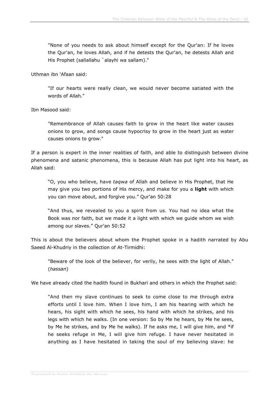"None of you needs to ask about himself except for the Qur'an: If he loves the Qur'an, he loves Allah, and if he detests the Qur'an, he detests Allah and His Prophet (sallallahu `alayhi wa sallam)."

Uthman ibn 'Afaan said:

"If our hearts were really clean, we would never become satiated with the words of Allah."

Ibn Masood said:

"Remembrance of Allah causes faith to grow in the heart like water causes onions to grow, and songs cause hypocrisy to grow in the heart just as water causes onions to grow."

If a person is expert in the inner realities of faith, and able to distinguish between divine phenomena and satanic phenomena, this is because Allah has put light into his heart, as Allah said:

"O, you who believe, have *taqwa* of Allah and believe in His Prophet, that He may give you two portions of His mercy, and make for you a **light** with which you can move about, and forgive you." Qur'an 50:28

"And thus, we revealed to you a spirit from us. You had no idea what the Book was nor faith, but we made it a light with which we guide whom we wish among our slaves." Qur'an 50:52

This is about the believers about whom the Prophet spoke in a hadith narrated by Abu Saeed Al-Khudriy in the collection of At-Tirmidhi:

"Beware of the look of the believer, for verily, he sees with the light of Allah." (*hassan*)

We have already cited the hadith found in Bukhari and others in which the Prophet said:

"And then my slave continues to seek to come close to me through extra efforts until I love him. When I love him, I am his hearing with which he hears, his sight with which he sees, his hand with which he strikes, and his legs with which he walks. (In one version: So by Me he hears, by Me he sees, by Me he strikes, and by Me he walks). If he asks me, I will give him, and  $*$ if he seeks refuge in Me, I will give him refuge. I have never hesitated in anything as I have hesitated in taking the soul of my believing slave: he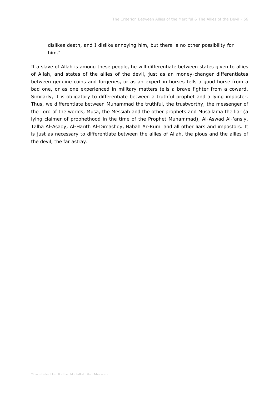dislikes death, and I dislike annoying him, but there is no other possibility for him."

If a slave of Allah is among these people, he will differentiate between states given to allies of Allah, and states of the allies of the devil, just as an money-changer differentiates between genuine coins and forgeries, or as an expert in horses tells a good horse from a bad one, or as one experienced in military matters tells a brave fighter from a coward. Similarly, it is obligatory to differentiate between a truthful prophet and a lying imposter. Thus, we differentiate between Muhammad the truthful, the trustworthy, the messenger of the Lord of the worlds, Musa, the Messiah and the other prophets and Musailama the liar (a lying claimer of prophethood in the time of the Prophet Muhammad), Al-Aswad Al-'ansiy, Talha Al-Asady, Al-Harith Al-Dimashqy, Babah Ar-Rumi and all other liars and impostors. It is just as necessary to differentiate between the allies of Allah, the pious and the allies of the devil, the far astray.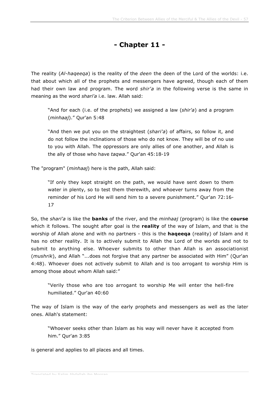## **- Chapter 11 -**

The reality (*Al-haqeeqa*) is the reality of the *deen* the deen of the Lord of the worlds: i.e. that about which all of the prophets and messengers have agreed, though each of them had their own law and program. The word *shir'a* in the following verse is the same in meaning as the word *shari'a* i.e. law. Allah said:

"And for each (i.e. of the prophets) we assigned a law (*shir'a*) and a program (*minhaaj*)." Qur'an 5:48

"And then we put you on the straightest (*shari'a*) of affairs, so follow it, and do not follow the inclinations of those who do not know. They will be of no use to you with Allah. The oppressors are only allies of one another, and Allah is the ally of those who have *taqwa*." Qur'an 45:18-19

The "program" (*minhaaj*) here is the path, Allah said:

"If only they kept straight on the path, we would have sent down to them water in plenty, so to test them therewith, and whoever turns away from the reminder of his Lord He will send him to a severe punishment." Qur'an 72:16- 17

So, the *shari'a* is like the **banks** of the river, and the *minhaaj* (program) is like the **course** which it follows. The sought after goal is the **reality** of the way of Islam, and that is the worship of Allah alone and with no partners - this is the **haqeeqa** (reality) of Islam and it has no other reality. It is to actively submit to Allah the Lord of the worlds and not to submit to anything else. Whoever submits to other than Allah is an associationist (*mushrik*), and Allah "...does not forgive that any partner be associated with Him" (Qur'an 4:48). Whoever does not actively submit to Allah and is too arrogant to worship Him is among those about whom Allah said:"

"Verily those who are too arrogant to worship Me will enter the hell-fire humiliated." Qur'an 40:60

The way of Islam is the way of the early prophets and messengers as well as the later ones. Allah's statement:

"Whoever seeks other than Islam as his way will never have it accepted from him." Qur'an 3:85

is general and applies to all places and all times.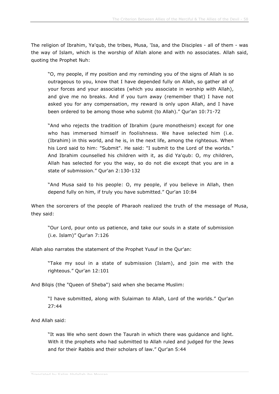The religion of Ibrahim, Ya'qub, the tribes, Musa, 'Isa, and the Disciples - all of them - was the way of Islam, which is the worship of Allah alone and with no associates. Allah said, quoting the Prophet Nuh:

"O, my people, if my position and my reminding you of the signs of Allah is so outrageous to you, know that I have depended fully on Allah, so gather all of your forces and your associates (which you associate in worship with Allah), and give me no breaks. And if you turn away (remember that) I have not asked you for any compensation, my reward is only upon Allah, and I have been ordered to be among those who submit (to Allah)." Qur'an 10:71-72

"And who rejects the tradition of Ibrahim (pure monotheism) except for one who has immersed himself in foolishness. We have selected him (i.e. (Ibrahim) in this world, and he is, in the next life, among the righteous. When his Lord said to him: "Submit". He said: "I submit to the Lord of the worlds." And Ibrahim counselled his children with it, as did Ya'qub: O, my children, Allah has selected for you the way, so do not die except that you are in a state of submission." Qur'an 2:130-132

"And Musa said to his people: O, my people, if you believe in Allah, then depend fully on him, if truly you have submitted." Qur'an 10:84

When the sorcerers of the people of Pharaoh realized the truth of the message of Musa, they said:

"Our Lord, pour onto us patience, and take our souls in a state of submission (i.e. Islam)" Qur'an 7:126

Allah also narrates the statement of the Prophet Yusuf in the Qur'an:

"Take my soul in a state of submission (Islam), and join me with the righteous." Qur'an 12:101

And Bilqis (the "Queen of Sheba") said when she became Muslim:

"I have submitted, along with Sulaiman to Allah, Lord of the worlds." Qur'an 27:44

And Allah said:

"It was We who sent down the Taurah in which there was guidance and light. With it the prophets who had submitted to Allah ruled and judged for the Jews and for their Rabbis and their scholars of law." Qur'an 5:44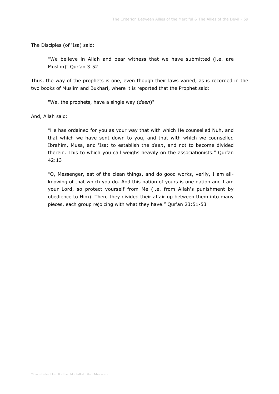The Disciples (of 'Isa) said:

"We believe in Allah and bear witness that we have submitted (i.e. are Muslim)" Qur'an 3:52

Thus, the way of the prophets is one, even though their laws varied, as is recorded in the two books of Muslim and Bukhari, where it is reported that the Prophet said:

"We, the prophets, have a single way (*deen*)"

And, Allah said:

"He has ordained for you as your way that with which He counselled Nuh, and that which we have sent down to you, and that with which we counselled Ibrahim, Musa, and 'Isa: to establish the *deen*, and not to become divided therein. This to which you call weighs heavily on the associationists." Qur'an 42:13

"O, Messenger, eat of the clean things, and do good works, verily, I am allknowing of that which you do. And this nation of yours is one nation and I am your Lord, so protect yourself from Me (i.e. from Allah's punishment by obedience to Him). Then, they divided their affair up between them into many pieces, each group rejoicing with what they have." Qur'an 23:51-53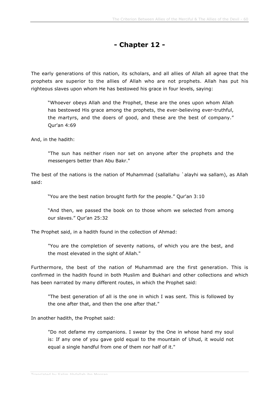## **- Chapter 12 -**

The early generations of this nation, its scholars, and all allies of Allah all agree that the prophets are superior to the allies of Allah who are not prophets. Allah has put his righteous slaves upon whom He has bestowed his grace in four levels, saying:

"Whoever obeys Allah and the Prophet, these are the ones upon whom Allah has bestowed His grace among the prophets, the ever-believing ever-truthful, the martyrs, and the doers of good, and these are the best of company." Qur'an 4:69

And, in the hadith:

"The sun has neither risen nor set on anyone after the prophets and the messengers better than Abu Bakr."

The best of the nations is the nation of Muhammad (sallallahu `alayhi wa sallam), as Allah said:

"You are the best nation brought forth for the people." Qur'an 3:10

"And then, we passed the book on to those whom we selected from among our slaves." Qur'an 25:32

The Prophet said, in a hadith found in the collection of Ahmad:

"You are the completion of seventy nations, of which you are the best, and the most elevated in the sight of Allah."

Furthermore, the best of the nation of Muhammad are the first generation. This is confirmed in the hadith found in both Muslim and Bukhari and other collections and which has been narrated by many different routes, in which the Prophet said:

"The best generation of all is the one in which I was sent. This is followed by the one after that, and then the one after that."

In another hadith, the Prophet said:

"Do not defame my companions. I swear by the One in whose hand my soul is: If any one of you gave gold equal to the mountain of Uhud, it would not equal a single handful from one of them nor half of it."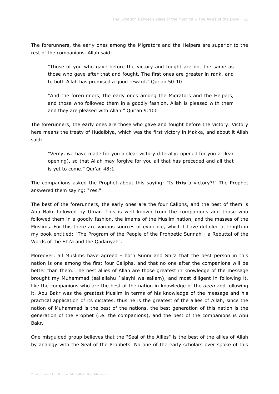The forerunners, the early ones among the Migrators and the Helpers are superior to the rest of the companions. Allah said:

"Those of you who gave before the victory and fought are not the same as those who gave after that and fought. The first ones are greater in rank, and to both Allah has promised a good reward." Qur'an 50:10

"And the forerunners, the early ones among the Migrators and the Helpers, and those who followed them in a goodly fashion, Allah is pleased with them and they are pleased with Allah." Qur'an 9:100

The forerunners, the early ones are those who gave and fought before the victory. Victory here means the treaty of Hudaibiya, which was the first victory in Makka, and about it Allah said:

"Verily, we have made for you a clear victory (literally: opened for you a clear opening), so that Allah may forgive for you all that has preceded and all that is yet to come." Qur'an 48:1

The companions asked the Prophet about this saying: "Is **this** a victory?!" The Prophet answered them saying: "Yes."

The best of the forerunners, the early ones are the four Caliphs, and the best of them is Abu Bakr followed by Umar. This is well known from the companions and those who followed them in a goodly fashion, the imams of the Muslim nation, and the masses of the Muslims. For this there are various sources of evidence, which I have detailed at length in my book entitled: "The Program of the People of the Prohpetic Sunnah - a Rebuttal of the Words of the Shi'a and the Qadariyah".

Moreover, all Muslims have agreed - both Sunni and Shi'a that the best person in this nation is one among the first four Caliphs, and that no one after the companions will be better than them. The best allies of Allah are those greatest in knowledge of the message brought my Muhammad (sallallahu `alayhi wa sallam), and most diligent in following it, like the companions who are the best of the nation in knowledge of the *deen* and following it. Abu Bakr was the greatest Muslim in terms of his knowledge of the message and his practical application of its dictates, thus he is the greatest of the allies of Allah, since the nation of Muhammad is the best of the nations, the best generation of this nation is the generation of the Prophet (i.e. the companions), and the best of the companions is Abu Bakr.

One misguided group believes that the "Seal of the Allies" is the best of the allies of Allah by analogy with the Seal of the Prophets. No one of the early scholars ever spoke of this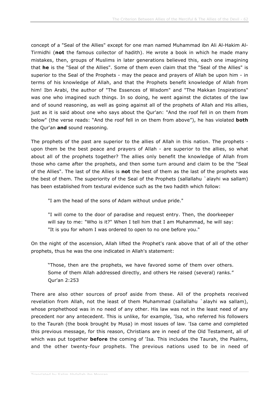concept of a "Seal of the Allies" except for one man named Muhammad ibn Ali Al-Hakim Al-Tirmidhi (**not** the famous collector of hadith). He wrote a book in which he made many mistakes, then, groups of Muslims in later generations believed this, each one imagining that **he** is the "Seal of the Allies". Some of them even claim that the "Seal of the Allies" is superior to the Seal of the Prophets - may the peace and prayers of Allah be upon him - in terms of his knowledge of Allah, and that the Prophets benefit knowledge of Allah from him! Ibn Arabi, the author of "The Essences of Wisdom" and "The Makkan Inspirations" was one who imagined such things. In so doing, he went against the dictates of the law and of sound reasoning, as well as going against all of the prophets of Allah and His allies, just as it is said about one who says about the Qur'an: "And the roof fell in on them from below" (the verse reads: "And the roof fell in on them from above"), he has violated **both** the Qur'an **and** sound reasoning.

The prophets of the past are superior to the allies of Allah in this nation. The prophets upon them be the best peace and prayers of Allah - are superior to the allies, so what about all of the prophets together? The allies only benefit the knowledge of Allah from those who came after the prophets, and then some turn around and claim to be the "Seal of the Allies". The last of the Allies is **not** the best of them as the last of the prophets was the best of them. The superiority of the Seal of the Prophets (sallallahu `alayhi wa sallam) has been established from textural evidence such as the two hadith which follow:

"I am the head of the sons of Adam without undue pride."

"I will come to the door of paradise and request entry. Then, the doorkeeper will say to me: "Who is it?" When I tell him that I am Muhammad, he will say: "It is you for whom I was ordered to open to no one before you."

On the night of the ascension, Allah lifted the Prophet's rank above that of all of the other prophets, thus he was the one indicated in Allah's statement:

"Those, then are the prophets, we have favored some of them over others. Some of them Allah addressed directly, and others He raised (several) ranks." Qur'an 2:253

There are also other sources of proof aside from these. All of the prophets received revelation from Allah, not the least of them Muhammad (sallallahu `alayhi wa sallam), whose prophethood was in no need of any other. His law was not in the least need of any precedent nor any antecedent. This is unlike, for example, 'Isa, who referred his followers to the Taurah (the book brought by Musa) in most issues of law. 'Isa came and completed this previous message, for this reason, Christians are in need of the Old Testament, all of which was put together **before** the coming of 'Isa. This includes the Taurah, the Psalms, and the other twenty-four prophets. The previous nations used to be in need of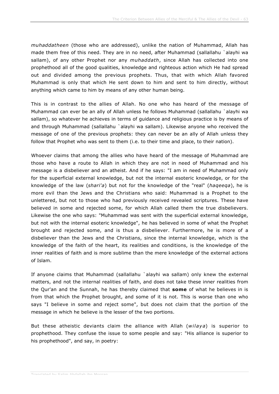*muhaddatheen* (those who are addressed), unlike the nation of Muhammad, Allah has made them free of this need. They are in no need, after Muhammad (sallallahu `alayhi wa sallam), of any other Prophet nor any *muhaddath*, since Allah has collected into one prophethood all of the good qualities, knowledge and righteous action which He had spread out and divided among the previous prophets. Thus, that with which Allah favored Muhammad is only that which He sent down to him and sent to him directly, without anything which came to him by means of any other human being.

This is in contrast to the allies of Allah. No one who has heard of the message of Muhammad can ever be an ally of Allah unless he follows Muhammad (sallallahu `alayhi wa sallam), so whatever he achieves in terms of guidance and religious practice is by means of and through Muhammad (sallallahu `alayhi wa sallam). Likewise anyone who received the message of one of the previous prophets: they can never be an ally of Allah unless they follow that Prophet who was sent to them (i.e. to their time and place, to their nation).

Whoever claims that among the allies who have heard of the message of Muhammad are those who have a route to Allah in which they are not in need of Muhammad and his message is a disbeliever and an atheist. And if he says: "I am in need of Muhammad only for the superficial external knowledge, but not the internal esoteric knowledge, or for the knowledge of the law (*shari'a*) but not for the knowledge of the "real" (*haqeeqa*), he is more evil than the Jews and the Christians who said: Muhammad is a Prophet to the unlettered, but not to those who had previously received revealed scriptures. These have believed in some and rejected some, for which Allah called them the true disbelievers. Likewise the one who says: "Muhammad was sent with the superficial external knowledge, but not with the internal esoteric knowledge", he has believed in some of what the Prophet brought and rejected some, and is thus a disbeliever. Furthermore, he is more of a disbeliever than the Jews and the Christians, since the internal knowledge, which is the knowledge of the faith of the heart, its realities and conditions, is the knowledge of the inner realities of faith and is more sublime than the mere knowledge of the external actions of Islam.

If anyone claims that Muhammad (sallallahu `alayhi wa sallam) only knew the external matters, and not the internal realities of faith, and does not take these inner realities from the Qur'an and the Sunnah, he has thereby claimed that **some** of what he believes in is from that which the Prophet brought, and some of it is not. This is worse than one who says "I believe in some and reject some", but does not claim that the portion of the message in which he believe is the lesser of the two portions.

But these atheistic deviants claim the alliance with Allah (*wilaya*) is superior to prophethood. They confuse the issue to some people and say: "His alliance is superior to his prophethood", and say, in poetry: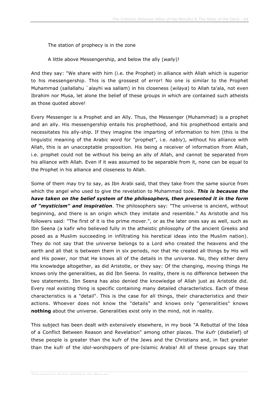The station of prophecy is in the zone

A little above Messengership, and below the ally (*waliy*)!

And they say: "We share with him (i.e. the Prophet) in alliance with Allah which is superior to his messengership. This is the grossest of error! No one is similar to the Prophet Muhammad (sallallahu `alayhi wa sallam) in his closeness (*wilaya*) to Allah ta'ala, not even Ibrahim nor Musa, let alone the belief of these groups in which are contained such atheists as those quoted above!

Every Messenger is a Prophet and an Ally. Thus, the Messenger (Muhammad) is a prophet and an ally. His messengership entails his prophethood, and his prophethood entails and necessitates his ally-ship. If they imagine the imparting of information to him (this is the linguistic meaning of the Arabic word for "prophet", i.e. *nabiy*), without his alliance with Allah, this is an unacceptable proposition. His being a receiver of information from Allah, i.e. prophet could not be without his being an ally of Allah, and cannot be separated from his alliance with Allah. Even if it was assumed to be separable from it, none can be equal to the Prophet in his alliance and closeness to Allah.

Some of them may try to say, as Ibn Arabi said, that they take from the same source from which the angel who used to give the revelation to Muhammad took. *This is because the have taken on the belief system of the philosophers, then presented it in the form of "mysticism" and inspiration*. The philosophers say: "The universe is ancient, without beginning, and there is an origin which they imitate and resemble." As Aristotle and his followers said: "The first of it is the prime mover.", or as the later ones say as well, such as Ibn Seena (a kafir who believed fully in the atheistic philosophy of the ancient Greeks and posed as a Muslim succeeding in infiltrating his heretical ideas into the Muslim nation). They do not say that the universe belongs to a Lord who created the heavens and the earth and all that is between them in six periods, nor that He created all things by His will and His power, nor that He knows all of the details in the universe. No, they either deny His knowledge altogether, as did Aristotle, or they say: Of the changing, moving things He knows only the generalities, as did Ibn Seena. In reality, there is no difference between the two statements. Ibn Seena has also denied the knowledge of Allah just as Aristotle did. Every real existing thing is specific containing many detailed characteristics. Each of these characteristics is a "detail". This is the case for all things, their characteristics and their actions. Whoever does not know the "details" and knows only "generalities" knows **nothing** about the universe. Generalities exist only in the mind, not in reality.

This subject has been dealt with extensively elsewhere, in my book "A Rebuttal of the Idea of a Conflict Between Reason and Revelation" among other places. The *kufr* (disbelief) of these people is greater than the kufr of the Jews and the Christians and, in fact greater than the kufr of the idol-worshippers of pre-Islamic Arabia! All of these groups say that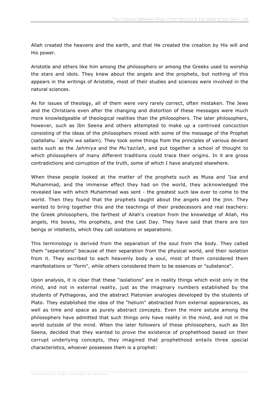Allah created the heavens and the earth, and that He created the creation by His will and His power.

Aristotle and others like him among the philosophers or among the Greeks used to worship the stars and idols. They knew about the angels and the prophets, but nothing of this appears in the writings of Aristotle, most of their studies and sciences were involved in the natural sciences.

As for issues of theology, all of them were very rarely correct, often mistaken. The Jews and the Christians even after the changing and distortion of these messages were much more knowledgeable of theological realities than the philosophers. The later philosophers, however, such as Ibn Seena and others attempted to make up a contrived concoction consisting of the ideas of the philosophers mixed with some of the message of the Prophet (sallallahu `alayhi wa sallam). They took some things from the principles of various deviant sects such as the *Jahmiya* and the *Mu'tazilah*, and put together a school of thought to which philosophers of many different traditions could trace their origins. In it are gross contradictions and corruption of the truth, some of which I have analyzed elsewhere.

When these people looked at the matter of the prophets such as Musa and 'Isa and Muhammad, and the immense effect they had on the world, they acknowledged the revealed law with which Muhammad was sent - the greatest such law ever to come to the world. Then they found that the prophets taught about the angels and the jinn. They wanted to bring together this and the teachings of their predecessors and real teachers: the Greek philosophers, the farthest of Allah's creation from the knowledge of Allah, His angels, His books, His prophets, and the Last Day. They have said that there are ten beings or intellects, which they call isolations or separations.

This terminology is derived from the separation of the soul from the body. They called them "separations" because of their separation from the physical world, and their isolation from it. They ascribed to each heavenly body a soul, most of them considered them manifestations or "form", while others considered them to be essences or "substance".

Upon analysis, it is clear that these "isolations" are in reality things which exist only in the mind, and not in external reality, just as the imaginary numbers established by the students of Pythagoras, and the abstract Platonian analogies developed by the students of Plato. They established the idea of the "helium" abstracted from external appearances, as well as time and space as purely abstract concepts. Even the more astute among the philosophers have admitted that such things only have reality in the mind, and not in the world outside of the mind. When the later followers of these philosophers, such as Ibn Seena, decided that they wanted to prove the existence of prophethood based on their corrupt underlying concepts, they imagined that prophethood entails three special characteristics, whoever possesses them is a prophet: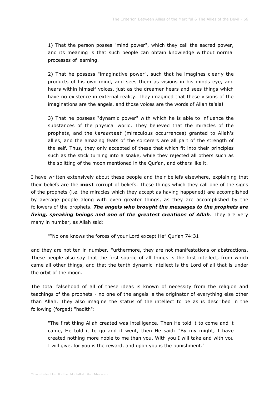1) That the person posses "mind power", which they call the sacred power, and its meaning is that such people can obtain knowledge without normal processes of learning.

2) That he possess "imaginative power", such that he imagines clearly the products of his own mind, and sees them as visions in his minds eye, and hears within himself voices, just as the dreamer hears and sees things which have no existence in external reality. They imagined that these visions of the imaginations are the angels, and those voices are the words of Allah ta'ala!

3) That he possess "dynamic power" with which he is able to influence the substances of the physical world. They believed that the miracles of the prophets, and the *karaamaat* (miraculous occurrences) granted to Allah's allies, and the amazing feats of the sorcerers are all part of the strength of the self. Thus, they only accepted of these that which fit into their principles such as the stick turning into a snake, while they rejected all others such as the splitting of the moon mentioned in the Qur'an, and others like it.

I have written extensively about these people and their beliefs elsewhere, explaining that their beliefs are the **most** corrupt of beliefs. These things which they call one of the signs of the prophets (i.e. the miracles which they accept as having happened) are accomplished by average people along with even greater things, as they are accomplished by the followers of the prophets. *The angels who brought the messages to the prophets are living, speaking beings and one of the greatest creations of Allah*. They are very many in number, as Allah said:

""No one knows the forces of your Lord except He" Qur'an 74:31

and they are not ten in number. Furthermore, they are not manifestations or abstractions. These people also say that the first source of all things is the first intellect, from which came all other things, and that the tenth dynamic intellect is the Lord of all that is under the orbit of the moon.

The total falsehood of all of these ideas is known of necessity from the religion and teachings of the prophets - no one of the angels is the originator of everything else other than Allah. They also imagine the status of the intellect to be as is described in the following (forged) "hadith":

"The first thing Allah created was intelligence. Then He told it to come and it came, He told it to go and it went, then He said: "By my might, I have created nothing more noble to me than you. With you I will take and with you I will give, for you is the reward, and upon you is the punishment."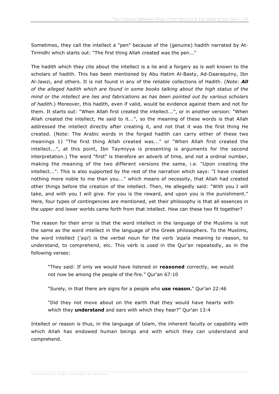Sometimes, they call the intellect a "pen" because of the (genuine) hadith narrated by At-Tirmidhi which starts out: "The first thing Allah created was the pen..."

The hadith which they cite about the intellect is a lie and a forgery as is well known to the scholars of hadith. This has been mentioned by Abu Hatim Al-Basty, Ad-Daaraqutny, Ibn Al-Jawzi, and others. It is not found in any of the reliable collections of Hadith. (*Note: All of the alleged hadith which are found in some books talking about the high status of the mind or the intellect are lies and fabrications as has been pointed out by various scholars of hadith*.) Moreover, this hadith, even if valid, would be evidence against them and not for them. It starts out: "When Allah first created the intellect...", or in another version: "When Allah created the intellect, He said to it...", so the meaning of these words is that Allah addressed the intellect directly after creating it, and not that it was the first thing He created. (Note: The Arabic words in the forged hadith can carry either of these two meanings 1) "The first thing Allah created was..." or "When Allah first created the intellect...", at this point, Ibn Taymiyya is presenting is arguments for the second interpretation.) The word "first" is therefore an adverb of time, and not a ordinal number, making the meaning of the two different versions the same, i.e. "Upon creating the intellect...". This is also supported by the rest of the narration which says: "I have created nothing more noble to me than you..." which means of necessity, that Allah had created other things before the creation of the intellect. Then, He allegedly said: "With you I will take, and with you I will give. For you is the reward, and upon you is the punishment." Here, four types of contingencies are mentioned, yet their philosophy is that all essences in the upper and lower worlds came forth from that intellect. How can these two fit together?

The reason for their error is that the word intellect in the language of the Muslims is not the same as the word intellect in the language of the Greek philosophers. To the Muslims, the word intellect (*'aql*) is the verbal noun for the verb *'aqala* meaning to reason, to understand, to comprehend, etc. This verb is used in the Qur'an repeatedly, as in the following verses:

"They said: If only we would have listened or **reasoned** correctly, we would not now be among the people of the fire." Qur'an 67:10

"Surely, in that there are signs for a people who **use reason.**" Qur'an 22:46

"Did they not move about on the earth that they would have hearts with which they **understand** and ears with which they hear?" Qur'an 13:4

Intellect or reason is thus, in the language of Islam, the inherent faculty or capability with which Allah has endowed human beings and with which they can understand and comprehend.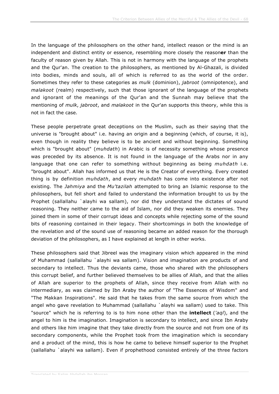In the language of the philosophers on the other hand, intellect reason or the mind is an independent and distinct entity or essence, resembling more closely the reason**er** than the faculty of reason given by Allah. This is not in harmony with the language of the prophets and the Qur'an. The creation to the philosophers, as mentioned by Al-Ghazali, is divided into bodies, minds and souls, all of which is referred to as the world of the order. Sometimes they refer to these categories as *mulk* (dominion), *jabroot* (omnipotence), and *malakoot* (realm) respectively, such that those ignorant of the language of the prophets and ignorant of the meanings of the Qur'an and the Sunnah may believe that the mentioning of *mulk*, *jabroot*, and *malakoot* in the Qur'an supports this theory, while this is not in fact the case.

These people perpetrate great deceptions on the Muslim, such as their saying that the universe is "brought about" i.e. having an origin and a beginning (which, of course, it is), even though in reality they believe is to be ancient and without beginning. Something which is "brought about" (*muhdath*) in Arabic is of necessity something whose presence was preceded by its absence. It is not found in the language of the Arabs nor in any language that one can refer to something without beginning as being *muhdath* i.e. "brought about". Allah has informed us that He is the Creator of everything. Every created thing is by definition *muhdath*, and every *muhdath* has come into existence after not existing. The *Jahmiya* and the *Mu'tazilah* attempted to bring an Islamic response to the philosophers, but fell short and failed to understand the information brought to us by the Prophet (sallallahu `alayhi wa sallam), nor did they understand the dictates of sound reasoning. They neither came to the aid of Islam, nor did they weaken its enemies. They joined them in some of their corrupt ideas and concepts while rejecting some of the sound bits of reasoning contained in their legacy. Their shortcomings in both the knowledge of the revelation and of the sound use of reasoning became an added reason for the thorough deviation of the philosophers, as I have explained at length in other works.

These philosophers said that Jibreel was the imaginary vision which appeared in the mind of Muhammad (sallallahu `alayhi wa sallam). Vision and imagination are products of and secondary to intellect. Thus the deviants came, those who shared with the philosophers this corrupt belief, and further believed themselves to be allies of Allah, and that the allies of Allah are superior to the prophets of Allah, since they receive from Allah with no intermediary, as was claimed by Ibn Araby the author of "The Essences of Wisdom" and "The Makkan Inspirations". He said that he takes from the same source from which the angel who gave revelation to Muhammad (sallallahu `alayhi wa sallam) used to take. This "source" which he is referring to is to him none other than the **intellect** (*'aql*), and the angel to him is the imagination. Imagination is secondary to intellect, and since Ibn Araby and others like him imagine that they take directly from the source and not from one of its secondary components, while the Prophet took from the imagination which is secondary and a product of the mind, this is how he came to believe himself superior to the Prophet (sallallahu `alayhi wa sallam). Even if prophethood consisted entirely of the three factors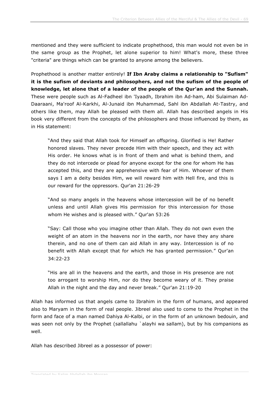mentioned and they were sufficient to indicate prophethood, this man would not even be in the same group as the Prophet, let alone superior to him! What's more, these three "criteria" are things which can be granted to anyone among the believers.

Prophethood is another matter entirely! **If Ibn Araby claims a relationship to "Sufism" it is the sufism of deviants and philosophers, and not the sufism of the people of knowledge, let alone that of a leader of the people of the Qur'an and the Sunnah.** These were people such as Al-Fadheel ibn 'Iyaadh, Ibrahim ibn Ad-ham, Abi Sulaiman Ad-Daaraani, Ma'roof Al-Karkhi, Al-Junaid ibn Muhammad, Sahl ibn Abdallah At-Tastry, and others like them, may Allah be pleased with them all. Allah has described angels in His book very different from the concepts of the philosophers and those influenced by them, as in His statement:

"And they said that Allah took for Himself an offspring. Glorified is He! Rather honored slaves. They never precede Him with their speech, and they act with His order. He knows what is in front of them and what is behind them, and they do not intercede or plead for anyone except for the one for whom He has accepted this, and they are apprehensive with fear of Him. Whoever of them says I am a deity besides Him, we will reward him with Hell fire, and this is our reward for the oppressors. Qur'an 21:26-29

"And so many angels in the heavens whose intercession will be of no benefit unless and until Allah gives His permission for this intercession for those whom He wishes and is pleased with." Qur'an 53:26

"Say: Call those who you imagine other than Allah. They do not own even the weight of an atom in the heavens nor in the earth, nor have they any share therein, and no one of them can aid Allah in any way. Intercession is of no benefit with Allah except that for which He has granted permission." Qur'an 34:22-23

"His are all in the heavens and the earth, and those in His presence are not too arrogant to worship Him, nor do they become weary of it. They praise Allah in the night and the day and never break." Qur'an 21:19-20

Allah has informed us that angels came to Ibrahim in the form of humans, and appeared also to Maryam in the form of real people. Jibreel also used to come to the Prophet in the form and face of a man named Dahiya Al-Kalbi, or in the form of an unknown bedouin, and was seen not only by the Prophet (sallallahu `alayhi wa sallam), but by his companions as well.

Allah has described Jibreel as a possessor of power: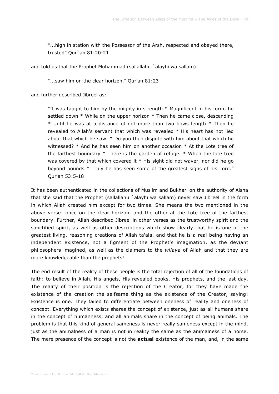"...high in station with the Possessor of the Arsh, respected and obeyed there, trusted" Qur`an 81:20-21

and told us that the Prophet Muhammad (sallallahu `alayhi wa sallam):

"...saw him on the clear horizon." Qur'an 81:23

and further described Jibreel as:

"It was taught to him by the mighty in strength  $*$  Magnificent in his form, he settled down  $*$  While on the upper horizon  $*$  Then he came close, descending \* Until he was at a distance of not more than two bows length \* Then he revealed to Allah's servant that which was revealed \* His heart has not lied about that which he saw. \* Do you then dispute with him about that which he witnessed? \* And he has seen him on another occasion \* At the Lote tree of the farthest boundary \* There is the garden of refuge. \* When the lote tree was covered by that which covered it \* His sight did not waver, nor did he go beyond bounds \* Truly he has seen some of the greatest signs of his Lord." Qur'an 53:5-18

It has been authenticated in the collections of Muslim and Bukhari on the authority of Aisha that she said that the Prophet (sallallahu `alayhi wa sallam) never saw Jibreel in the form in which Allah created him except for two times. She means the two mentioned in the above verse: once on the clear horizon, and the other at the Lote tree of the farthest boundary. Further, Allah described Jibreel in other verses as the trustworthy spirit and the sanctified spirit, as well as other descriptions which show clearly that he is one of the greatest living, reasoning creations of Allah ta'ala, and that he is a real being having an independent existence, not a figment of the Prophet's imagination, as the deviant philosophers imagined, as well as the claimers to the *wilaya* of Allah and that they are more knowledgeable than the prophets!

The end result of the reality of these people is the total rejection of all of the foundations of faith: to believe in Allah, His angels, His revealed books, His prophets, and the last day. The reality of their position is the rejection of the Creator, for they have made the existence of the creation the selfsame thing as the existence of the Creator, saying: Existence is one. They failed to differentiate between oneness of reality and oneness of concept. Everything which exists shares the concept of existence, just as all humans share in the concept of humanness, and all animals share in the concept of being animals. The problem is that this kind of general sameness is never really sameness except in the mind, just as the animalness of a man is not in reality the same as the animalness of a horse. The mere presence of the concept is not the **actual** existence of the man, and, in the same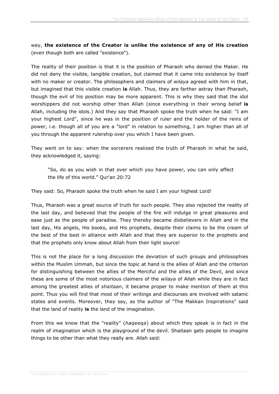way, **the existence of the Creator is unlike the existence of any of His creation** (even though both are called "existence").

The reality of their position is that it is the position of Pharaoh who denied the Maker. He did not deny the visible, tangible creation, but claimed that it came into existence by itself with no maker or creator. The philosophers and claimers of *wilaya* agreed with him in that, but imagined that this visible creation **is** Allah. Thus, they are farther astray than Pharaoh, though the evil of his position may be more apparent. This is why they said that the idol worshippers did not worship other than Allah (since everything in their wrong belief **is** Allah, including the idols.) And they say that Pharaoh spoke the truth when he said: "I am your highest Lord", since he was in the position of ruler and the holder of the reins of power, i.e. though all of you are a "lord" in relation to something, I am higher than all of you through the apparent rulership over you which I have been given.

They went on to say: when the sorcerers realized the truth of Pharaoh in what he said, they acknowledged it, saying:

"So, do as you wish in that over which you have power, you can only affect the life of this world." Qur'an 20:72

They said: So, Pharaoh spoke the truth when he said I am your highest Lord!

Thus, Pharaoh was a great source of truth for such people. They also rejected the reality of the last day, and believed that the people of the fire will indulge in great pleasures and ease just as the people of paradise. They thereby became disbelievers in Allah and in the last day, His angels, His books, and His prophets, despite their claims to be the cream of the best of the best in alliance with Allah and that they are superior to the prophets and that the prophets only know about Allah from their light source!

This is not the place for a long discussion the deviation of such groups and philosophies within the Muslim Ummah, but since the topic at hand is the allies of Allah and the criterion for distinguishing between the allies of the Merciful and the allies of the Devil, and since these are some of the most notorious claimers of the *wilaya* of Allah while they are in fact among the greatest allies of *shaitaan*, it became proper to make mention of them at this point. Thus you will find that most of their writings and discourses are involved with satanic states and events. Moreover, they say, as the author of "The Makkan Inspirations" said that the land of reality **is** the land of the imagination.

From this we know that the "reality" (*haqeeqa*) about which they speak is in fact in the realm of imagination which is the playground of the devil. Shaitaan gets people to imagine things to be other than what they really are. Allah said: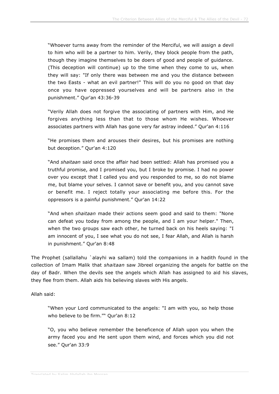"Whoever turns away from the reminder of the Merciful, we will assign a devil to him who will be a partner to him. Verily, they block people from the path, though they imagine themselves to be doers of good and people of guidance. (This deception will continue) up to the time when they come to us, when they will say: "If only there was between me and you the distance between the two Easts - what an evil partner!" This will do you no good on that day once you have oppressed yourselves and will be partners also in the punishment." Qur'an 43:36-39

"Verily Allah does not forgive the associating of partners with Him, and He forgives anything less than that to those whom He wishes. Whoever associates partners with Allah has gone very far astray indeed." Qur'an 4:116

"He promises them and arouses their desires, but his promises are nothing but deception." Qur'an 4:120

"And *shaitaan* said once the affair had been settled: Allah has promised you a truthful promise, and I promised you, but I broke by promise. I had no power over you except that I called you and you responded to me, so do not blame me, but blame your selves. I cannot save or benefit you, and you cannot save or benefit me. I reject totally your associating me before this. For the oppressors is a painful punishment." Qur'an 14:22

"And when *shaitaan* made their actions seem good and said to them: "None can defeat you today from among the people, and I am your helper." Then, when the two groups saw each other, he turned back on his heels saying: "I am innocent of you, I see what you do not see, I fear Allah, and Allah is harsh in punishment." Qur'an 8:48

The Prophet (sallallahu `alayhi wa sallam) told the companions in a hadith found in the collection of Imam Malik that *shaitaan* saw Jibreel organizing the angels for battle on the day of Badr. When the devils see the angels which Allah has assigned to aid his slaves, they flee from them. Allah aids his believing slaves with His angels.

Allah said:

"When your Lord communicated to the angels: "I am with you, so help those who believe to be firm."" Qur'an 8:12

"O, you who believe remember the beneficence of Allah upon you when the army faced you and He sent upon them wind, and forces which you did not see." Qur'an 33:9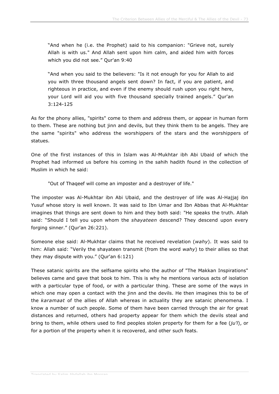"And when he (i.e. the Prophet) said to his companion: "Grieve not, surely Allah is with us." And Allah sent upon him calm, and aided him with forces which you did not see." Qur'an 9:40

"And when you said to the believers: "Is it not enough for you for Allah to aid you with three thousand angels sent down? In fact, if you are patient, and righteous in practice, and even if the enemy should rush upon you right here, your Lord will aid you with five thousand specially trained angels." Qur'an 3:124-125

As for the phony allies, "spirits" come to them and address them, or appear in human form to them. These are nothing but jinn and devils, but they think them to be angels. They are the same "spirits" who address the worshippers of the stars and the worshippers of statues.

One of the first instances of this in Islam was Al-Mukhtar ibh Abi Ubaid of which the Prophet had informed us before his coming in the sahih hadith found in the collection of Muslim in which he said:

"Out of Thaqeef will come an imposter and a destroyer of life."

The imposter was Al-Mukhtar ibn Abi Ubaid, and the destroyer of life was Al-Hajjaj ibn Yusuf whose story is well known. It was said to Ibn Umar and Ibn Abbas that Al-Mukhtar imagines that things are sent down to him and they both said: "He speaks the truth. Allah said: "Should I tell you upon whom the *shayateen* descend? They descend upon every forging sinner." (Qur'an 26:221).

Someone else said: Al-Mukhtar claims that he received revelation (*wahy*). It was said to him: Allah said: "Verily the shayateen transmit (from the word *wahy*) to their allies so that they may dispute with you." (Qur'an 6:121)

These satanic spirits are the selfsame spirits who the author of "The Makkan Inspirations" believes came and gave that book to him. This is why he mentions various acts of isolation with a particular type of food, or with a particular thing. These are some of the ways in which one may open a contact with the jinn and the devils. He then imagines this to be of the *karamaat* of the allies of Allah whereas in actuality they are satanic phenomena. I know a number of such people. Some of them have been carried through the air for great distances and returned, others had property appear for them which the devils steal and bring to them, while others used to find peoples stolen property for them for a fee (*ju'l*), or for a portion of the property when it is recovered, and other such feats.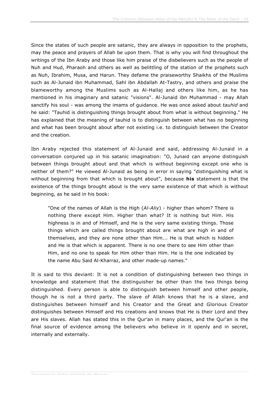Since the states of such people are satanic, they are always in opposition to the prophets, may the peace and prayers of Allah be upon them. That is why you will find throughout the writings of the Ibn Araby and those like him praise of the disbelievers such as the people of Nuh and Hud, Pharaoh and others as well as belittling of the station of the prophets such as Nuh, Ibrahim, Musa, and Harun. They defame the praiseworthy Shaikhs of the Muslims such as Al-Junaid ibn Muhammad, Sahl ibn Abdallah At-Tastry, and others and praise the blameworthy among the Muslims such as Al-Hallaj and others like him, as he has mentioned in his imaginary and satanic "visions". Al-Junaid ibn Muhammad - may Allah sanctify his soul - was among the imams of guidance. He was once asked about *tauhid* and he said: "Tauhid is distinguishing things brought about from what is without beginning." He has explained that the meaning of tauhid is to distinguish between what has no beginning and what has been brought about after not existing i.e. to distinguish between the Creator and the creation.

Ibn Araby rejected this statement of Al-Junaid and said, addressing Al-Junaid in a conversation conjured up in his satanic imagination: "O, Junaid can anyone distinguish between things brought about and that which is without beginning except one who is neither of them?" He viewed Al-Junaid as being in error in saying "distinguishing what is without beginning from that which is brought about", because **his** statement is that the existence of the things brought about is the very same existence of that which is without beginning, as he said in his book:

"One of the names of Allah is the High (*Al-Aliy*) - higher than whom? There is nothing there except Him. Higher than what? It is nothing but Him. His highness is in and of Himself, and He is the very same existing things. Those things which are called things brought about are what are high in and of themselves, and they are none other than Him... He is that which is hidden and He is that which is apparent. There is no one there to see Him other than Him, and no one to speak for Him other than Him. He is the one indicated by the name Abu Said Al-Kharraz, and other made-up names."

It is said to this deviant: It is not a condition of distinguishing between two things in knowledge and statement that the distinguisher be other than the two things being distinguished. Every person is able to distinguish between himself and other people, though he is not a third party. The slave of Allah knows that he is a slave, and distinguishes between himself and his Creator and the Great and Glorious Creator distinguishes between Himself and His creations and knows that He is their Lord and they are His slaves. Allah has stated this in the Qur'an in many places, and the Qur'an is the final source of evidence among the believers who believe in it openly and in secret, internally and externally.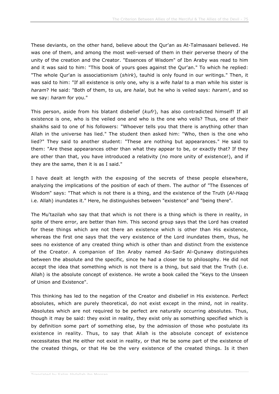These deviants, on the other hand, believe about the Qur'an as At-Talmasaani believed. He was one of them, and among the most well-versed of them in their perverse theory of the unity of the creation and the Creator. "Essences of Wisdom" of Ibn Araby was read to him and it was said to him: "This book of yours goes against the Qur'an." To which he replied: "The whole Qur'an is associationism (*shirk*), tauhid is only found in our writings." Then, it was said to him: "If all existence is only one, why is a wife *halal* to a man while his sister is *haram*? He said: "Both of them, to us, are *halal*, but he who is veiled says: *haram!*, and so we say: *haram* for you."

This person, aside from his blatant disbelief (*kufr*), has also contradicted himself! If all existence is one, who is the veiled one and who is the one who veils? Thus, one of their shaikhs said to one of his followers: "Whoever tells you that there is anything other than Allah in the universe has lied." The student then asked him: "Who, then is the one who lied?" They said to another student: "These are nothing but appearances." He said to them: "Are these appearances other than what they appear to be, or exactly that? If they are other than that, you have introduced a relativity (no more unity of existence!), and if they are the same, then it is as I said."

I have dealt at length with the exposing of the secrets of these people elsewhere, analyzing the implications of the position of each of them. The author of "The Essences of Wisdom" says: "That which is not there is a thing, and the existence of the Truth (*Al-Haqq* i.e. Allah) inundates it." Here, he distinguishes between "existence" and "being there".

The Mu'tazilah who say that that which is not there is a thing which is there in reality, in spite of there error, are better than him. This second group says that the Lord has created for these things which are not there an existence which is other than His existence, whereas the first one says that the very existence of the Lord inundates them, thus, he sees no existence of any created thing which is other than and distinct from the existence of the Creator. A companion of Ibn Araby named As-Sadr Al-Qunawy distinguishes between the absolute and the specific, since he had a closer tie to philosophy. He did not accept the idea that something which is not there is a thing, but said that the Truth (i.e. Allah) is the absolute concept of existence. He wrote a book called the "Keys to the Unseen of Union and Existence".

This thinking has led to the negation of the Creator and disbelief in His existence. Perfect absolutes, which are purely theoretical, do not exist except in the mind, not in reality. Absolutes which are not required to be perfect are naturally occurring absolutes. Thus, though it may be said: they exist in reality, they exist only as something specified which is by definition some part of something else, by the admission of those who postulate its existence in reality. Thus, to say that Allah is the absolute concept of existence necessitates that He either not exist in reality, or that He be some part of the existence of the created things, or that He be the very existence of the created things. Is it then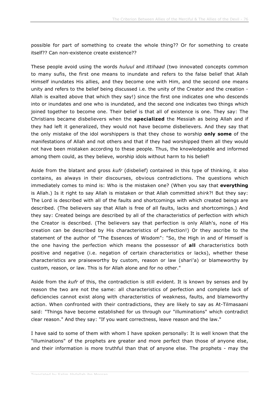possible for part of something to create the whole thing?? Or for something to create itself?? Can non-existence create existence??

These people avoid using the words *huluul* and *ittihaad* (two innovated concepts common to many sufis, the first one means to inundate and refers to the false belief that Allah Himself inundates His allies, and they become one with Him, and the second one means unity and refers to the belief being discussed i.e. the unity of the Creator and the creation - Allah is exalted above that which they say!) since the first one indicates one who descends into or inundates and one who is inundated, and the second one indicates two things which joined together to become one. Their belief is that all of existence is one. They say: The Christians became disbelievers when the **specialized** the Messiah as being Allah and if they had left it generalized, they would not have become disbelievers. And they say that the only mistake of the idol worshippers is that they chose to worship **only some** of the manifestations of Allah and not others and that if they had worshipped them all they would not have been mistaken according to these people. Thus, the knowledgeable and informed among them could, as they believe, worship idols without harm to his belief!

Aside from the blatant and gross *kufr* (disbelief) contained in this type of thinking, it also contains, as always in their discourses, obvious contradictions. The questions which immediately comes to mind is: Who is the mistaken one? (When you say that **everything** is Allah.) Is it right to say Allah is mistaken or that Allah committed *shirk*?! But they say: The Lord is described with all of the faults and shortcomings with which created beings are described. (The believers say that Allah is free of all faults, lacks and shortcomings.) And they say: Created beings are described by all of the characteristics of perfection with which the Creator is described. (The believers say that perfection is only Allah's, none of His creation can be described by His characteristics of perfection!) Or they ascribe to the statement of the author of "The Essences of Wisdom": "So, the High in and of Himself is the one having the perfection which means the possessor of **all** characteristics both positive and negative (i.e. negation of certain characteristics or lacks), whether these characteristics are praiseworthy by custom, reason or law (shari'a) or blameworthy by custom, reason, or law. This is for Allah alone and for no other."

Aside from the *kufr* of this, the contradiction is still evident. It is known by senses and by reason the two are not the same: all characteristics of perfection and complete lack of deficiencies cannot exist along with characteristics of weakness, faults, and blameworthy action. When confronted with their contradictions, they are likely to say as At-Tilmasaani said: "Things have become established for us through our "illuminations" which contradict clear reason." And they say: "If you want correctness, leave reason and the law."

I have said to some of them with whom I have spoken personally: It is well known that the "illuminations" of the prophets are greater and more perfect than those of anyone else, and their information is more truthful than that of anyone else. The prophets - may the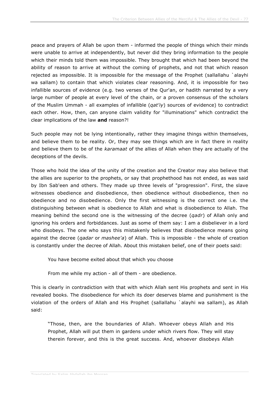peace and prayers of Allah be upon them - informed the people of things which their minds were unable to arrive at independently, but never did they bring information to the people which their minds told them was impossible. They brought that which had been beyond the ability of reason to arrive at without the coming of prophets, and not that which reason rejected as impossible. It is impossible for the message of the Prophet (sallallahu `alayhi wa sallam) to contain that which violates clear reasoning. And, it is impossible for two infallible sources of evidence (e.g. two verses of the Qur'an, or hadith narrated by a very large number of people at every level of the chain, or a proven consensus of the scholars of the Muslim Ummah - all examples of infallible (*qat'iy*) sources of evidence) to contradict each other. How, then, can anyone claim validity for "illuminations" which contradict the clear implications of the law **and** reason?!

Such people may not be lying intentionally, rather they imagine things within themselves, and believe them to be reality. Or, they may see things which are in fact there in reality and believe them to be of the *karamaat* of the allies of Allah when they are actually of the deceptions of the devils.

Those who hold the idea of the unity of the creation and the Creator may also believe that the allies are superior to the prophets, or say that prophethood has not ended, as was said by Ibn Sab'een and others. They made up three levels of "progression". First, the slave witnesses obedience and disobedience, then obedience without disobedience, then no obedience and no disobedience. Only the first witnessing is the correct one i.e. the distinguishing between what is obedience to Allah and what is disobedience to Allah. The meaning behind the second one is the witnessing of the decree (*qadr*) of Allah only and ignoring his orders and forbiddances. Just as some of them say: I am a disbeliever in a lord who disobeys. The one who says this mistakenly believes that disobedience means going against the decree (*qadar* or *mashee'a*) of Allah. This is impossible - the whole of creation is constantly under the decree of Allah. About this mistaken belief, one of their poets said:

You have become exited about that which you choose

From me while my action - all of them - are obedience.

This is clearly in contradiction with that with which Allah sent His prophets and sent in His revealed books. The disobedience for which its doer deserves blame and punishment is the violation of the orders of Allah and His Prophet (sallallahu `alayhi wa sallam), as Allah said:

"Those, then, are the boundaries of Allah. Whoever obeys Allah and His Prophet, Allah will put them in gardens under which rivers flow. They will stay therein forever, and this is the great success. And, whoever disobeys Allah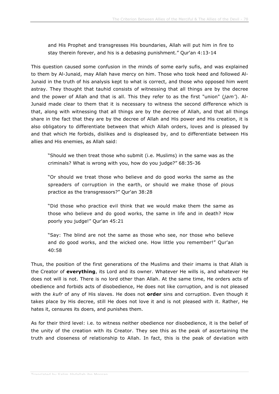and His Prophet and transgresses His boundaries, Allah will put him in fire to stay therein forever, and his is a debasing punishment." Qur'an 4:13-14

This question caused some confusion in the minds of some early sufis, and was explained to them by Al-Junaid, may Allah have mercy on him. Those who took heed and followed Al-Junaid in the truth of his analysis kept to what is correct, and those who opposed him went astray. They thought that tauhid consists of witnessing that all things are by the decree and the power of Allah and that is all. This they refer to as the first "union" (*jam'*). Al-Junaid made clear to them that it is necessary to witness the second difference which is that, along with witnessing that all things are by the decree of Allah, and that all things share in the fact that they are by the decree of Allah and His power and His creation, it is also obligatory to differentiate between that which Allah orders, loves and is pleased by and that which He forbids, dislikes and is displeased by, and to differentiate between His allies and His enemies, as Allah said:

"Should we then treat those who submit (i.e. Muslims) in the same was as the criminals? What is wrong with you, how do you judge?" 68:35-36

"Or should we treat those who believe and do good works the same as the spreaders of corruption in the earth, or should we make those of pious practice as the transgressors?" Qur'an 38:28

"Did those who practice evil think that we would make them the same as those who believe and do good works, the same in life and in death? How poorly you judge!" Qur'an 45:21

"Say: The blind are not the same as those who see, nor those who believe and do good works, and the wicked one. How little you remember!" Qur'an 40:58

Thus, the position of the first generations of the Muslims and their imams is that Allah is the Creator of **everything**, its Lord and its owner. Whatever He wills is, and whatever He does not will is not. There is no lord other than Allah. At the same time, He orders acts of obedience and forbids acts of disobedience, He does not like corruption, and is not pleased with the *kufr* of any of His slaves. He does not **order** sins and corruption. Even though it takes place by His decree, still He does not love it and is not pleased with it. Rather, He hates it, censures its doers, and punishes them.

As for their third level: i.e. to witness neither obedience nor disobedience, it is the belief of the unity of the creation with its Creator. They see this as the peak of ascertaining the truth and closeness of relationship to Allah. In fact, this is the peak of deviation with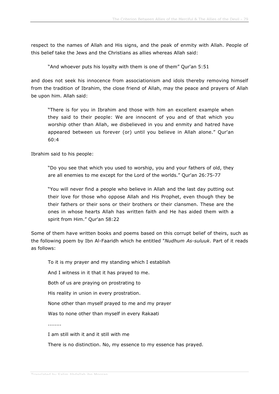respect to the names of Allah and His signs, and the peak of enmity with Allah. People of this belief take the Jews and the Christians as allies whereas Allah said:

"And whoever puts his loyalty with them is one of them" Qur'an 5:51

and does not seek his innocence from associationism and idols thereby removing himself from the tradition of Ibrahim, the close friend of Allah, may the peace and prayers of Allah be upon him. Allah said:

"There is for you in Ibrahim and those with him an excellent example when they said to their people: We are innocent of you and of that which you worship other than Allah, we disbelieved in you and enmity and hatred have appeared between us forever (or) until you believe in Allah alone." Qur'an 60:4

Ibrahim said to his people:

"Do you see that which you used to worship, you and your fathers of old, they are all enemies to me except for the Lord of the worlds." Qur'an 26:75-77

"You will never find a people who believe in Allah and the last day putting out their love for those who oppose Allah and His Prophet, even though they be their fathers or their sons or their brothers or their clansmen. These are the ones in whose hearts Allah has written faith and He has aided them with a spirit from Him." Qur'an 58:22

Some of them have written books and poems based on this corrupt belief of theirs, such as the following poem by Ibn Al-Faaridh which he entitled "*Nudhum As-suluuk*. Part of it reads as follows:

To it is my prayer and my standing which I establish

And I witness in it that it has prayed to me.

Both of us are praying on prostrating to

His reality in union in every prostration.

None other than myself prayed to me and my prayer

Was to none other than myself in every Rakaati

........

I am still with it and it still with me

There is no distinction. No, my essence to my essence has prayed.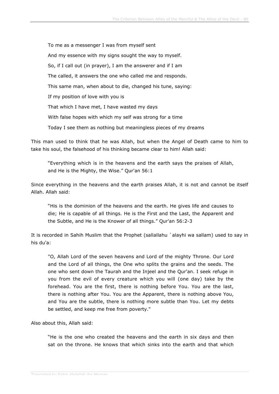To me as a messenger I was from myself sent And my essence with my signs sought the way to myself. So, if I call out (in prayer), I am the answerer and if I am The called, it answers the one who called me and responds. This same man, when about to die, changed his tune, saying: If my position of love with you is That which I have met, I have wasted my days With false hopes with which my self was strong for a time Today I see them as nothing but meaningless pieces of my dreams

This man used to think that he was Allah, but when the Angel of Death came to him to take his soul, the falsehood of his thinking became clear to him! Allah said:

"Everything which is in the heavens and the earth says the praises of Allah, and He is the Mighty, the Wise." Qur'an 56:1

Since everything in the heavens and the earth praises Allah, it is not and cannot be itself Allah. Allah said:

"His is the dominion of the heavens and the earth. He gives life and causes to die; He is capable of all things. He is the First and the Last, the Apparent and the Subtle, and He is the Knower of all things." Qur'an 56:2-3

It is recorded in Sahih Muslim that the Prophet (sallallahu `alayhi wa sallam) used to say in his du'a:

"O, Allah Lord of the seven heavens and Lord of the mighty Throne. Our Lord and the Lord of all things, the One who splits the grains and the seeds. The one who sent down the Taurah and the Injeel and the Qur'an. I seek refuge in you from the evil of every creature which you will (one day) take by the forehead. You are the first, there is nothing before You. You are the last, there is nothing after You. You are the Apparent, there is nothing above You, and You are the subtle, there is nothing more subtle than You. Let my debts be settled, and keep me free from poverty."

Also about this, Allah said:

"He is the one who created the heavens and the earth in six days and then sat on the throne. He knows that which sinks into the earth and that which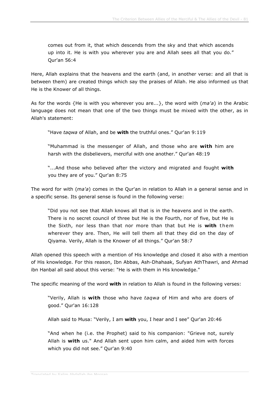comes out from it, that which descends from the sky and that which ascends up into it. He is with you wherever you are and Allah sees all that you do." Qur'an 56:4

Here, Allah explains that the heavens and the earth (and, in another verse: and all that is between them) are created things which say the praises of Allah. He also informed us that He is the Knower of all things.

As for the words {He is with you wherever you are...}, the word with (*ma'a*) in the Arabic language does not mean that one of the two things must be mixed with the other, as in Allah's statement:

"Have *taqwa* of Allah, and be **with** the truthful ones." Qur'an 9:119

"Muhammad is the messenger of Allah, and those who are **with** him are harsh with the disbelievers, merciful with one another." Qur'an 48:19

"...And those who believed after the victory and migrated and fought **with** you they are of you." Qur'an 8:75

The word for with (*ma'a*) comes in the Qur'an in relation to Allah in a general sense and in a specific sense. Its general sense is found in the following verse:

"Did you not see that Allah knows all that is in the heavens and in the earth. There is no secret council of three but He is the Fourth, nor of five, but He is the Sixth, nor less than that nor more than that but He is **with** them wherever they are. Then, He will tell them all that they did on the day of Qiyama. Verily, Allah is the Knower of all things." Qur'an 58:7

Allah opened this speech with a mention of His knowledge and closed it also with a mention of His knowledge. For this reason, Ibn Abbas, Ash-Dhahaak, Sufyan AthThawri, and Ahmad ibn Hanbal all said about this verse: "He is with them in His knowledge."

The specific meaning of the word **with** in relation to Allah is found in the following verses:

"Verily, Allah is **with** those who have *taqwa* of Him and who are doers of good." Qur'an 16:128

Allah said to Musa: "Verily, I am **with** you, I hear and I see" Qur'an 20:46

"And when he (i.e. the Prophet) said to his companion: "Grieve not, surely Allah is **with** us." And Allah sent upon him calm, and aided him with forces which you did not see." Qur'an 9:40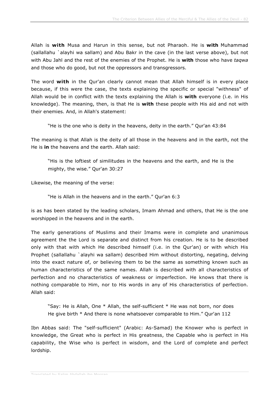Allah is **with** Musa and Harun in this sense, but not Pharaoh. He is **with** Muhammad (sallallahu `alayhi wa sallam) and Abu Bakr in the cave (in the last verse above), but not with Abu Jahl and the rest of the enemies of the Prophet. He is **with** those who have *taqwa* and those who do good, but not the oppressors and transgressors.

The word **with** in the Qur'an clearly cannot mean that Allah himself is in every place because, if this were the case, the texts explaining the specific or special "withness" of Allah would be in conflict with the texts explaining the Allah is **with** everyone (i.e. in His knowledge). The meaning, then, is that He is **with** these people with His aid and not with their enemies. And, in Allah's statement:

"He is the one who is deity in the heavens, deity in the earth." Qur'an 43:84

The meaning is that Allah is the deity of all those in the heavens and in the earth, not the He is **in** the heavens and the earth. Allah said:

"His is the loftiest of similitudes in the heavens and the earth, and He is the mighty, the wise." Qur'an 30:27

Likewise, the meaning of the verse:

"He is Allah in the heavens and in the earth." Qur'an 6:3

is as has been stated by the leading scholars, Imam Ahmad and others, that He is the one worshipped in the heavens and in the earth.

The early generations of Muslims and their Imams were in complete and unanimous agreement the the Lord is separate and distinct from his creation. He is to be described only with that with which He described himself (i.e. in the Qur'an) or with which His Prophet (sallallahu `alayhi wa sallam) described Him without distorting, negating, delving into the exact nature of, or believing them to be the same as something known such as human characteristics of the same names. Allah is described with all characteristics of perfection and no characteristics of weakness or imperfection. He knows that there is nothing comparable to Him, nor to His words in any of His characteristics of perfection. Allah said:

"Say: He is Allah, One \* Allah, the self-sufficient \* He was not born, nor does He give birth \* And there is none whatsoever comparable to Him." Qur'an 112

Ibn Abbas said: The "self-sufficient" (Arabic: As-Samad) the Knower who is perfect in knowledge, the Great who is perfect in His greatness, the Capable who is perfect in His capability, the Wise who is perfect in wisdom, and the Lord of complete and perfect lordship.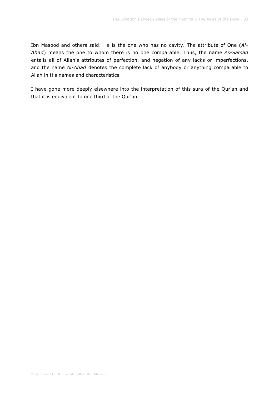Ibn Masood and others said: He is the one who has no cavity. The attribute of One (*Al-Ahad*) means the one to whom there is no one comparable. Thus, the name *As-Samad* entails all of Allah's attributes of perfection, and negation of any lacks or imperfections, and the name *Al-Ahad* denotes the complete lack of anybody or anything comparable to Allah in His names and characteristics.

I have gone more deeply elsewhere into the interpretation of this sura of the Qur'an and that it is equivalent to one third of the Qur'an.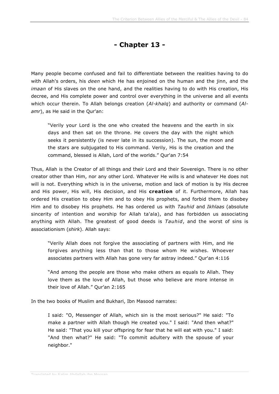## **- Chapter 13 -**

Many people become confused and fail to differentiate between the realities having to do with Allah's orders, his *deen* which He has enjoined on the human and the jinn, and the *imaan* of His slaves on the one hand, and the realities having to do with His creation, His decree, and His complete power and control over everything in the universe and all events which occur therein. To Allah belongs creation (*Al-khalq*) and authority or command (*Alamr*), as He said in the Qur'an:

"Verily your Lord is the one who created the heavens and the earth in six days and then sat on the throne. He covers the day with the night which seeks it persistently (is never late in its succession). The sun, the moon and the stars are subjugated to His command. Verily, His is the creation and the command, blessed is Allah, Lord of the worlds." Qur'an 7:54

Thus, Allah is the Creator of all things and their Lord and their Sovereign. There is no other creator other than Him, nor any other Lord. Whatever He wills is and whatever He does not will is not. Everything which is in the universe, motion and lack of motion is by His decree and His power, His will, His decision, and His **creation** of it. Furthermore, Allah has ordered His creation to obey Him and to obey His prophets, and forbid them to disobey Him and to disobey His prophets. He has ordered us with *Tauhid* and *Ikhlaas* (absolute sincerity of intention and worship for Allah ta'ala), and has forbidden us associating anything with Allah. The greatest of good deeds is *Tauhid*, and the worst of sins is associationism (*shirk*). Allah says:

"Verily Allah does not forgive the associating of partners with Him, and He forgives anything less than that to those whom He wishes. Whoever associates partners with Allah has gone very far astray indeed." Qur'an 4:116

"And among the people are those who make others as equals to Allah. They love them as the love of Allah, but those who believe are more intense in their love of Allah." Qur'an 2:165

In the two books of Muslim and Bukhari, Ibn Masood narrates:

I said: "O, Messenger of Allah, which sin is the most serious?" He said: "To make a partner with Allah though He created you." I said: "And then what?" He said: "That you kill your offspring for fear that he will eat with you." I said: "And then what?" He said: "To commit adultery with the spouse of your neighbor."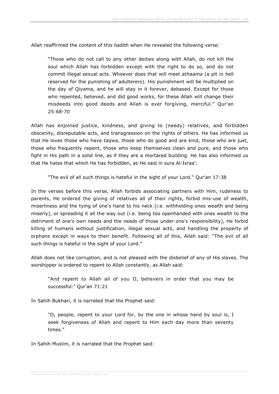Allah reaffirmed the content of this hadith when He revealed the following verse:

"Those who do not call to any other deities along with Allah, do not kill the soul which Allah has forbidden except with the right to do so, and do not commit illegal sexual acts. Whoever does that will meet *athaama* (a pit in hell reserved for the punishing of adulterers). His punishment will be multiplied on the day of Qiyama, and he will stay in it forever, debased. Except for those who repented, believed, and did good works, for these Allah will change their misdeeds into good deeds and Allah is ever forgiving, merciful." Qur'an 25:68-70

Allah has enjoined justice, kindness, and giving to (needy) relatives, and forbidden obscenity, disreputable acts, and transgression on the rights of others. He has informed us that He loves those who have *taqwa*, those who do good and are kind, those who are just, those who frequently repent, those who keep themselves clean and pure, and those who fight in His path in a solid line, as if they are a mortared building. He has also informed us that He hates that which He has forbidden, as He said in sura Al-Israa':

"The evil of all such things is hateful in the sight of your Lord." Qur'an 17:38

In the verses before this verse, Allah forbids associating partners with Him, rudeness to parents, He ordered the giving of relatives all of their rights, forbid mis-use of wealth, miserliness and the tying of one's hand to his neck (i.e. withholding ones wealth and being miserly), or spreading it all the way out (i.e. being too openhanded with ones wealth to the detriment of one's own needs and the needs of those under one's responsibility), He forbid killing of humans without justification, illegal sexual acts, and handling the property of orphans except in ways to their benefit. Following all of this, Allah said: "The evil of all such things is hateful in the sight of your Lord."

Allah does not like corruption, and is not pleased with the disbelief of any of His slaves. The worshipper is ordered to repent to Allah constantly, as Allah said:

"And repent to Allah all of you O, believers in order that you may be successful." Qur'an 71:21

In Sahih Bukhari, it is narrated that the Prophet said:

"O, people, repent to your Lord for, by the one in whose hand by soul is, I seek forgiveness of Allah and repent to Him each day more than seventy times."

In Sahih Muslim, it is narrated that the Prophet said: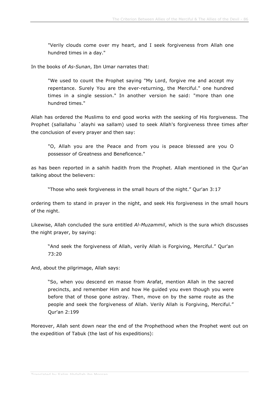"Verily clouds come over my heart, and I seek forgiveness from Allah one hundred times in a day."

In the books of *As-Sunan*, Ibn Umar narrates that:

"We used to count the Prophet saying "My Lord, forgive me and accept my repentance. Surely You are the ever-returning, the Merciful." one hundred times in a single session." In another version he said: "more than one hundred times."

Allah has ordered the Muslims to end good works with the seeking of His forgiveness. The Prophet (sallallahu `alayhi wa sallam) used to seek Allah's forgiveness three times after the conclusion of every prayer and then say:

"O, Allah you are the Peace and from you is peace blessed are you O possessor of Greatness and Beneficence."

as has been reported in a sahih hadith from the Prophet. Allah mentioned in the Qur'an talking about the believers:

"Those who seek forgiveness in the small hours of the night." Qur'an 3:17

ordering them to stand in prayer in the night, and seek His forgiveness in the small hours of the night.

Likewise, Allah concluded the sura entitled *Al-Muzammil*, which is the sura which discusses the night prayer, by saying:

"And seek the forgiveness of Allah, verily Allah is Forgiving, Merciful." Qur'an 73:20

And, about the pilgrimage, Allah says:

"So, when you descend en masse from Arafat, mention Allah in the sacred precincts, and remember Him and how He guided you even though you were before that of those gone astray. Then, move on by the same route as the people and seek the forgiveness of Allah. Verily Allah is Forgiving, Merciful." Qur'an 2:199

Moreover, Allah sent down near the end of the Prophethood when the Prophet went out on the expedition of Tabuk (the last of his expeditions):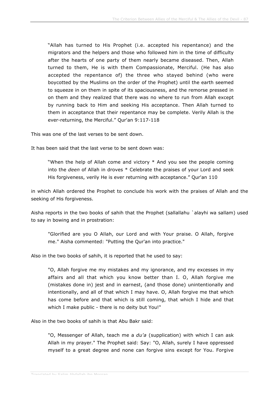"Allah has turned to His Prophet (i.e. accepted his repentance) and the migrators and the helpers and those who followed him in the time of difficulty after the hearts of one party of them nearly became diseased. Then, Allah turned to them, He is with them Compassionate, Merciful. (He has also accepted the repentance of) the three who stayed behind (who were boycotted by the Muslims on the order of the Prophet) until the earth seemed to squeeze in on them in spite of its spaciousness, and the remorse pressed in on them and they realized that there was no where to run from Allah except by running back to Him and seeking His acceptance. Then Allah turned to them in acceptance that their repentance may be complete. Verily Allah is the ever-returning, the Merciful." Qur'an 9:117-118

This was one of the last verses to be sent down.

It has been said that the last verse to be sent down was:

"When the help of Allah come and victory \* And you see the people coming into the *deen* of Allah in droves \* Celebrate the praises of your Lord and seek His forgiveness, verily He is ever returning with acceptance." Qur'an 110

in which Allah ordered the Prophet to conclude his work with the praises of Allah and the seeking of His forgiveness.

Aisha reports in the two books of sahih that the Prophet (sallallahu `alayhi wa sallam) used to say in bowing and in prostration:

"Glorified are you O Allah, our Lord and with Your praise. O Allah, forgive me." Aisha commented: "Putting the Qur'an into practice."

Also in the two books of sahih, it is reported that he used to say:

"O, Allah forgive me my mistakes and my ignorance, and my excesses in my affairs and all that which you know better than I. O, Allah forgive me (mistakes done in) jest and in earnest, (and those done) unintentionally and intentionally, and all of that which I may have. O, Allah forgive me that which has come before and that which is still coming, that which I hide and that which I make public - there is no deity but You!"

Also in the two books of sahih is that Abu Bakr said:

"O, Messenger of Allah, teach me a *du'a* (supplication) with which I can ask Allah in my prayer." The Prophet said: Say: "O, Allah, surely I have oppressed myself to a great degree and none can forgive sins except for You. Forgive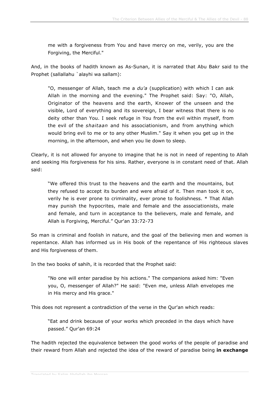me with a forgiveness from You and have mercy on me, verily, you are the Forgiving, the Merciful."

And, in the books of hadith known as As-Sunan, it is narrated that Abu Bakr said to the Prophet (sallallahu `alayhi wa sallam):

"O, messenger of Allah, teach me a *du'a* (supplication) with which I can ask Allah in the morning and the evening." The Prophet said: Say: "O, Allah, Originator of the heavens and the earth, Knower of the unseen and the visible, Lord of everything and its sovereign, I bear witness that there is no deity other than You. I seek refuge in You from the evil within myself, from the evil of the *shaitaan* and his associationism, and from anything which would bring evil to me or to any other Muslim." Say it when you get up in the morning, in the afternoon, and when you lie down to sleep.

Clearly, it is not allowed for anyone to imagine that he is not in need of repenting to Allah and seeking His forgiveness for his sins. Rather, everyone is in constant need of that. Allah said:

"We offered this trust to the heavens and the earth and the mountains, but they refused to accept its burden and were afraid of it. Then man took it on, verily he is ever prone to criminality, ever prone to foolishness. \* That Allah may punish the hypocrites, male and female and the associationists, male and female, and turn in acceptance to the believers, male and female, and Allah is Forgiving, Merciful." Qur'an 33:72-73

So man is criminal and foolish in nature, and the goal of the believing men and women is repentance. Allah has informed us in His book of the repentance of His righteous slaves and His forgiveness of them.

In the two books of sahih, it is recorded that the Prophet said:

"No one will enter paradise by his actions." The companions asked him: "Even you, O, messenger of Allah?" He said: "Even me, unless Allah envelopes me in His mercy and His grace."

This does not represent a contradiction of the verse in the Qur'an which reads:

"Eat and drink because of your works which preceded in the days which have passed." Qur'an 69:24

The hadith rejected the equivalence between the good works of the people of paradise and their reward from Allah and rejected the idea of the reward of paradise being **in exchange**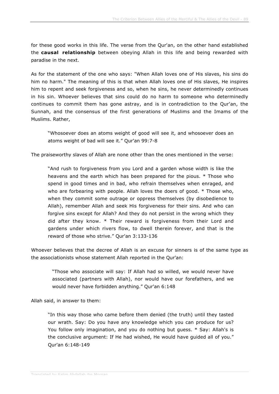for these good works in this life. The verse from the Qur'an, on the other hand established the **causal relationship** between obeying Allah in this life and being rewarded with paradise in the next.

As for the statement of the one who says: "When Allah loves one of His slaves, his sins do him no harm." The meaning of this is that when Allah loves one of His slaves, He inspires him to repent and seek forgiveness and so, when he sins, he never determinedly continues in his sin. Whoever believes that sins could do no harm to someone who determinedly continues to commit them has gone astray, and is in contradiction to the Qur'an, the Sunnah, and the consensus of the first generations of Muslims and the Imams of the Muslims. Rather,

"Whosoever does an atoms weight of good will see it, and whosoever does an atoms weight of bad will see it." Qur'an 99:7-8

The praiseworthy slaves of Allah are none other than the ones mentioned in the verse:

"And rush to forgiveness from you Lord and a garden whose width is like the heavens and the earth which has been prepared for the pious. \* Those who spend in good times and in bad, who refrain themselves when enraged, and who are forbearing with people. Allah loves the doers of good. \* Those who, when they commit some outrage or oppress themselves (by disobedience to Allah), remember Allah and seek His forgiveness for their sins. And who can forgive sins except for Allah? And they do not persist in the wrong which they did after they know. \* Their reward is forgiveness from their Lord and gardens under which rivers flow, to dwell therein forever, and that is the reward of those who strive." Qur'an 3:133-136

Whoever believes that the decree of Allah is an excuse for sinners is of the same type as the associationists whose statement Allah reported in the Qur'an:

"Those who associate will say: If Allah had so willed, we would never have associated (partners with Allah), nor would have our forefathers, and we would never have forbidden anything." Qur'an 6:148

Allah said, in answer to them:

"In this way those who came before them denied (the truth) until they tasted our wrath. Say: Do you have any knowledge which you can produce for us? You follow only imagination, and you do nothing but guess. \* Say: Allah's is the conclusive argument: If He had wished, He would have guided all of you." Qur'an 6:148-149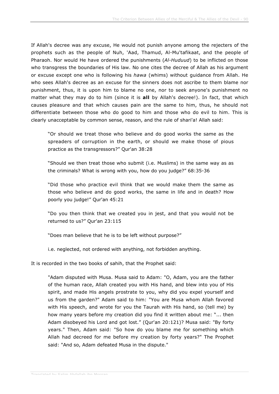If Allah's decree was any excuse, He would not punish anyone among the rejecters of the prophets such as the people of Nuh, 'Aad, Thamud, Al-Mu'tafikaat, and the people of Pharaoh. Nor would He have ordered the punishments (*Al-Huduud*) to be inflicted on those who transgress the boundaries of His law. No one cites the decree of Allah as his argument or excuse except one who is following his *hawa* (whims) without guidance from Allah. He who sees Allah's decree as an excuse for the sinners does not ascribe to them blame nor punishment, thus, it is upon him to blame no one, nor to seek anyone's punishment no matter what they may do to him (since it is **all** by Allah's decree!). In fact, that which causes pleasure and that which causes pain are the same to him, thus, he should not differentiate between those who do good to him and those who do evil to him. This is clearly unacceptable by common sense, reason, and the rule of shari'a! Allah said:

"Or should we treat those who believe and do good works the same as the spreaders of corruption in the earth, or should we make those of pious practice as the transgressors?" Qur'an 38:28

"Should we then treat those who submit (i.e. Muslims) in the same way as as the criminals? What is wrong with you, how do you judge?" 68:35-36

"Did those who practice evil think that we would make them the same as those who believe and do good works, the same in life and in death? How poorly you judge!" Qur'an 45:21

"Do you then think that we created you in jest, and that you would not be returned to us?" Qur'an 23:115

"Does man believe that he is to be left without purpose?"

i.e. neglected, not ordered with anything, not forbidden anything.

It is recorded in the two books of sahih, that the Prophet said:

"Adam disputed with Musa. Musa said to Adam: "O, Adam, you are the father of the human race, Allah created you with His hand, and blew into you of His spirit, and made His angels prostrate to you, why did you expel yourself and us from the garden?" Adam said to him: "You are Musa whom Allah favored with His speech, and wrote for you the Taurah with His hand, so (tell me) by how many years before my creation did you find it written about me: "... then Adam disobeyed his Lord and got lost." (Qur'an 20:121)? Musa said: "By forty years." Then, Adam said: "So how do you blame me for something which Allah had decreed for me before my creation by forty years?" The Prophet said: "And so, Adam defeated Musa in the dispute."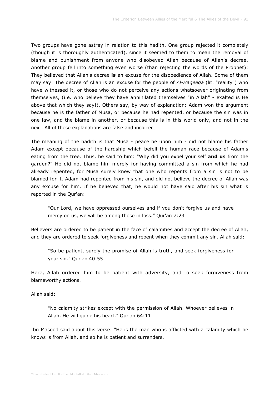Two groups have gone astray in relation to this hadith. One group rejected it completely (though it is thoroughly authenticated), since it seemed to them to mean the removal of blame and punishment from anyone who disobeyed Allah because of Allah's decree. Another group fell into something even worse (than rejecting the words of the Prophet): They believed that Allah's decree **is** an excuse for the disobedience of Allah. Some of them may say: The decree of Allah is an excuse for the people of *Al-Haqeeqa* (lit. "reality") who have witnessed it, or those who do not perceive any actions whatsoever originating from themselves, (i.e. who believe they have annihilated themselves "in Allah" - exalted is He above that which they say!). Others say, by way of explanation: Adam won the argument because he is the father of Musa, or because he had repented, or because the sin was in one law, and the blame in another, or because this is in this world only, and not in the next. All of these explanations are false and incorrect.

The meaning of the hadith is that Musa - peace be upon him - did not blame his father Adam except because of the hardship which befell the human race because of Adam's eating from the tree. Thus, he said to him: "Why did you expel your self **and us** from the garden?" He did not blame him merely for having committed a sin from which he had already repented, for Musa surely knew that one who repents from a sin is not to be blamed for it. Adam had repented from his sin, and did not believe the decree of Allah was any excuse for him. If he believed that, he would not have said after his sin what is reported in the Qur'an:

"Our Lord, we have oppressed ourselves and if you don't forgive us and have mercy on us, we will be among those in loss." Qur'an 7:23

Believers are ordered to be patient in the face of calamities and accept the decree of Allah, and they are ordered to seek forgiveness and repent when they commit any sin. Allah said:

"So be patient, surely the promise of Allah is truth, and seek forgiveness for your sin." Qur'an 40:55

Here, Allah ordered him to be patient with adversity, and to seek forgiveness from blameworthy actions.

Allah said:

"No calamity strikes except with the permission of Allah. Whoever believes in Allah, He will guide his heart." Qur'an 64:11

Ibn Masood said about this verse: "He is the man who is afflicted with a calamity which he knows is from Allah, and so he is patient and surrenders.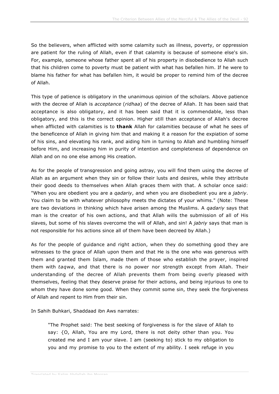So the believers, when afflicted with some calamity such as illness, poverty, or oppression are patient for the ruling of Allah, even if that calamity is because of someone else's sin. For, example, someone whose father spent all of his property in disobedience to Allah such that his children come to poverty must be patient with what has befallen him. If he were to blame his father for what has befallen him, it would be proper to remind him of the decree of Allah.

This type of patience is obligatory in the unanimous opinion of the scholars. Above patience with the decree of Allah is *acceptance* (*ridhaa*) of the decree of Allah. It has been said that acceptance is also obligatory, and it has been said that it is commendable, less than obligatory, and this is the correct opinion. Higher still than acceptance of Allah's decree when afflicted with calamities is to **thank** Allah for calamities because of what he sees of the beneficence of Allah in giving him that and making it a reason for the expiation of some of his sins, and elevating his rank, and aiding him in turning to Allah and humbling himself before Him, and increasing him in purity of intention and completeness of dependence on Allah and on no one else among His creation.

As for the people of transgression and going astray, you will find them using the decree of Allah as an argument when they sin or follow their lusts and desires, while they attribute their good deeds to themselves when Allah graces them with that. A scholar once said: "When you are obedient you are a *qadariy*, and when you are disobedient you are a *jabriy*. You claim to be with whatever philosophy meets the dictates of your whims." (Note: These are two deviations in thinking which have arisen among the Muslims. A *qadariy* says that man is the creator of his own actions, and that Allah wills the submission of all of His slaves, but some of his slaves overcome the will of Allah, and sin! A *jabriy* says that man is not responsible for his actions since all of them have been decreed by Allah.)

As for the people of guidance and right action, when they do something good they are witnesses to the grace of Allah upon them and that He is the one who was generous with them and granted them Islam, made them of those who establish the prayer, inspired them with *taqwa*, and that there is no power nor strength except from Allah. Their understanding of the decree of Allah prevents them from being overly pleased with themselves, feeling that they deserve praise for their actions, and being injurious to one to whom they have done some good. When they commit some sin, they seek the forgiveness of Allah and repent to Him from their sin.

In Sahih Buhkari, Shaddaad ibn Aws narrates:

"The Prophet said: The best seeking of forgiveness is for the slave of Allah to say: {O, Allah, You are my Lord, there is not deity other than you. You created me and I am your slave. I am (seeking to) stick to my obligation to you and my promise to you to the extent of my ability. I seek refuge in you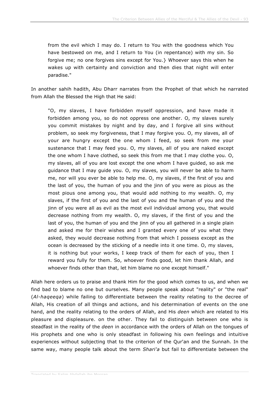from the evil which I may do. I return to You with the goodness which You have bestowed on me, and I return to You (in repentance) with my sin. So forgive me; no one forgives sins except for You.} Whoever says this when he wakes up with certainty and conviction and then dies that night will enter paradise."

In another sahih hadith, Abu Dharr narrates from the Prophet of that which he narrated from Allah the Blessed the High that He said:

"O, my slaves, I have forbidden myself oppression, and have made it forbidden among you, so do not oppress one another. O, my slaves surely you commit mistakes by night and by day, and I forgive all sins without problem, so seek my forgiveness, that I may forgive you. O, my slaves, all of your are hungry except the one whom I feed, so seek from me your sustenance that I may feed you. O, my slaves, all of you are naked except the one whom I have clothed, so seek this from me that I may clothe you. O, my slaves, all of you are lost except the one whom I have guided, so ask me guidance that I may guide you. O, my slaves, you will never be able to harm me, nor will you ever be able to help me. O, my slaves, if the first of you and the last of you, the human of you and the jinn of you were as pious as the most pious one among you, that would add nothing to my wealth. O, my slaves, if the first of you and the last of you and the human of you and the jinn of you were all as evil as the most evil individual among you, that would decrease nothing from my wealth. O, my slaves, if the first of you and the last of you, the human of you and the jinn of you all gathered in a single plain and asked me for their wishes and I granted every one of you what they asked, they would decrease nothing from that which I possess except as the ocean is decreased by the sticking of a needle into it one time. O, my slaves, it is nothing but your works, I keep track of them for each of you, then I reward you fully for them. So, whoever finds good, let him thank Allah, and whoever finds other than that, let him blame no one except himself."

Allah here orders us to praise and thank Him for the good which comes to us, and when we find bad to blame no one but ourselves. Many people speak about "reality" or "the real" (*Al-haqeeqa*) while failing to differentiate between the reality relating to the decree of Allah, His creation of all things and actions, and his determination of events on the one hand, and the reality relating to the orders of Allah, and His *deen* which are related to His pleasure and displeasure. on the other. They fail to distinguish between one who is steadfast in the reality of the *deen* in accordance with the orders of Allah on the tongues of His prophets and one who is only steadfast in following his own feelings and intuitive experiences without subjecting that to the criterion of the Qur'an and the Sunnah. In the same way, many people talk about the term *Shari'a* but fail to differentiate between the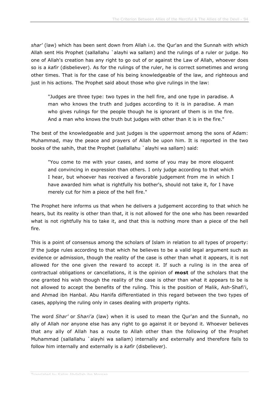*shar'* (law) which has been sent down from Allah i.e. the Qur'an and the Sunnah with which Allah sent His Prophet (sallallahu `alayhi wa sallam) and the rulings of a ruler or judge. No one of Allah's creation has any right to go out of or against the Law of Allah, whoever does so is a *kafir* (disbeliever). As for the rulings of the ruler, he is correct sometimes and wrong other times. That is for the case of his being knowledgeable of the law, and righteous and just in his actions. The Prophet said about those who give rulings in the law:

"Judges are three type: two types in the hell fire, and one type in paradise. A man who knows the truth and judges according to it is in paradise. A man who gives rulings for the people though he is ignorant of them is in the fire. And a man who knows the truth but judges with other than it is in the fire."

The best of the knowledgeable and just judges is the uppermost among the sons of Adam: Muhammad, may the peace and prayers of Allah be upon him. It is reported in the two books of the sahih, that the Prophet (sallallahu `alayhi wa sallam) said:

"You come to me with your cases, and some of you may be more eloquent and convincing in expression than others. I only judge according to that which I hear, but whoever has received a favorable judgement from me in which I have awarded him what is rightfully his bother's, should not take it, for I have merely cut for him a piece of the hell fire."

The Prophet here informs us that when he delivers a judgement according to that which he hears, but its reality is other than that, it is not allowed for the one who has been rewarded what is not rightfully his to take it, and that this is nothing more than a piece of the hell fire.

This is a point of consensus among the scholars of Islam in relation to all types of property: If the judge rules according to that which he believes to be a valid legal argument such as evidence or admission, though the reality of the case is other than what it appears, it is not allowed for the one given the reward to accept it. If such a ruling is in the area of contractual obligations or cancellations, it is the opinion of **most** of the scholars that the one granted his wish though the reality of the case is other than what it appears to be is not allowed to accept the benefits of the ruling. This is the position of Malik, Ash-Shafi'i, and Ahmad ibn Hanbal. Abu Hanifa differentiated in this regard between the two types of cases, applying the ruling only in cases dealing with property rights.

The word *Shar'* or *Shari'a* (law) when it is used to mean the Qur'an and the Sunnah, no ally of Allah nor anyone else has any right to go against it or beyond it. Whoever believes that any ally of Allah has a route to Allah other than the following of the Prophet Muhammad (sallallahu `alayhi wa sallam) internally and externally and therefore fails to follow him internally and externally is a *kafir* (disbeliever).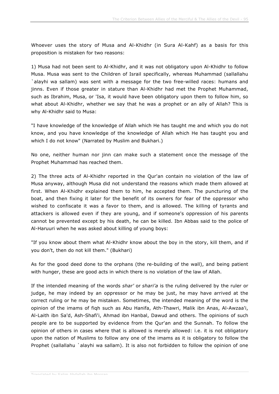Whoever uses the story of Musa and Al-Khidhr (in Sura Al-Kahf) as a basis for this proposition is mistaken for two reasons:

1) Musa had not been sent to Al-Khidhr, and it was not obligatory upon Al-Khidhr to follow Musa. Musa was sent to the Children of Israil specifically, whereas Muhammad (sallallahu `alayhi wa sallam) was sent with a message for the two free-willed races: humans and jinns. Even if those greater in stature than Al-Khidhr had met the Prophet Muhammad, such as Ibrahim, Musa, or 'Isa, it would have been obligatory upon them to follow him, so what about Al-Khidhr, whether we say that he was a prophet or an ally of Allah? This is why Al-Khidhr said to Musa:

"I have knowledge of the knowledge of Allah which He has taught me and which you do not know, and you have knowledge of the knowledge of Allah which He has taught you and which I do not know" (Narrated by Muslim and Bukhari.)

No one, neither human nor jinn can make such a statement once the message of the Prophet Muhammad has reached them.

2) The three acts of Al-Khidhr reported in the Qur'an contain no violation of the law of Musa anyway, although Musa did not understand the reasons which made them allowed at first. When Al-Khidhr explained them to him, he accepted them. The puncturing of the boat, and then fixing it later for the benefit of its owners for fear of the oppressor who wished to confiscate it was a favor to them, and is allowed. The killing of tyrants and attackers is allowed even if they are young, and if someone's oppression of his parents cannot be prevented except by his death, he can be killed. Ibn Abbas said to the police of Al-Haruuri when he was asked about killing of young boys:

"If you know about them what Al-Khidhr know about the boy in the story, kill them, and if you don't, then do not kill them." (Bukhari)

As for the good deed done to the orphans (the re-building of the wall), and being patient with hunger, these are good acts in which there is no violation of the law of Allah.

If the intended meaning of the words *shar'* or *shari'a* is the ruling delivered by the ruler or judge, he may indeed by an oppressor or he may be just, he may have arrived at the correct ruling or he may be mistaken. Sometimes, the intended meaning of the word is the opinion of the imams of fiqh such as Abu Hanifa, Ath-Thawri, Malik ibn Anas, Al-Awzaa'i, Al-Laith ibn Sa'd, Ash-Shafi'i, Ahmad ibn Hanbal, Dawud and others. The opinions of such people are to be supported by evidence from the Qur'an and the Sunnah. To follow the opinion of others in cases where that is allowed is merely allowed: i.e. it is not obligatory upon the nation of Muslims to follow any one of the imams as it is obligatory to follow the Prophet (sallallahu `alayhi wa sallam). It is also not forbidden to follow the opinion of one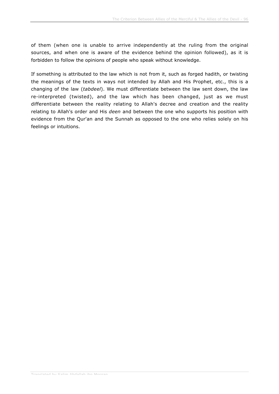of them (when one is unable to arrive independently at the ruling from the original sources, and when one is aware of the evidence behind the opinion followed), as it is forbidden to follow the opinions of people who speak without knowledge.

If something is attributed to the law which is not from it, such as forged hadith, or twisting the meanings of the texts in ways not intended by Allah and His Prophet, etc., this is a changing of the law (*tabdeel*). We must differentiate between the law sent down, the law re-interpreted (twisted), and the law which has been changed, just as we must differentiate between the reality relating to Allah's decree and creation and the reality relating to Allah's order and His *deen* and between the one who supports his position with evidence from the Qur'an and the Sunnah as opposed to the one who relies solely on his feelings or intuitions.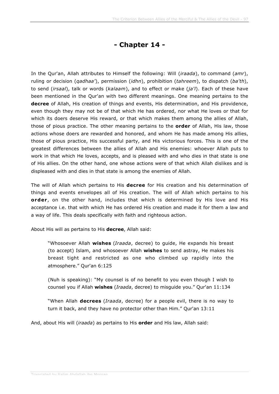## **- Chapter 14 -**

In the Qur'an, Allah attributes to Himself the following: Will (*iraada*), to command (*amr*), ruling or decision (*qadhaa'*), permission (*idhn*), prohibition (*tahreem*), to dispatch (*ba'th*), to send (*irsaal*), talk or words (*kalaam*), and to effect or make (*ja'l*). Each of these have been mentioned in the Qur'an with two different meanings. One meaning pertains to the **decree** of Allah, His creation of things and events, His determination, and His providence, even though they may not be of that which He has ordered, nor what He loves or that for which its doers deserve His reward, or that which makes them among the allies of Allah, those of pious practice. The other meaning pertains to the **order** of Allah, His law, those actions whose doers are rewarded and honored, and whom He has made among His allies, those of pious practice, His successful party, and His victorious forces. This is one of the greatest differences between the allies of Allah and His enemies: whoever Allah puts to work in that which He loves, accepts, and is pleased with and who dies in that state is one of His allies. On the other hand, one whose actions were of that which Allah dislikes and is displeased with and dies in that state is among the enemies of Allah.

The will of Allah which pertains to His **decree** for His creation and his determination of things and events envelopes all of His creation. The will of Allah which pertains to his **order**, on the other hand, includes that which is determined by His love and His acceptance i.e. that with which He has ordered His creation and made it for them a law and a way of life. This deals specifically with faith and righteous action.

About His will as pertains to His **decree**, Allah said:

"Whosoever Allah **wishes** (*Iraada*, decree) to guide, He expands his breast (to accept) Islam, and whosoever Allah **wishes** to send astray, He makes his breast tight and restricted as one who climbed up rapidly into the atmosphere." Qur'an 6:125

(Nuh is speaking): "My counsel is of no benefit to you even though I wish to counsel you if Allah **wishes** (*Iraada*, decree) to misguide you." Qur'an 11:134

"When Allah **decrees** (*Iraada*, decree) for a people evil, there is no way to turn it back, and they have no protector other than Him." Qur'an 13:11

And, about His will (*iraada*) as pertains to His **order** and His law, Allah said: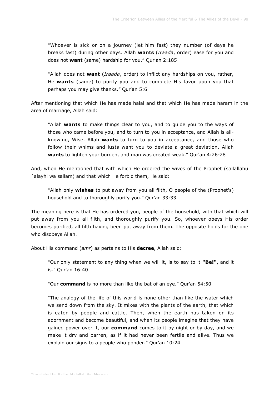"Whoever is sick or on a journey (let him fast) they number (of days he breaks fast) during other days. Allah **wants** (*Iraada*, order) ease for you and does not **want** (same) hardship for you." Qur'an 2:185

"Allah does not **want** (*Iraada*, order) to inflict any hardships on you, rather, He **wants** (same) to purify you and to complete His favor upon you that perhaps you may give thanks." Qur'an 5:6

After mentioning that which He has made halal and that which He has made haram in the area of marriage, Allah said:

"Allah **wants** to make things clear to you, and to guide you to the ways of those who came before you, and to turn to you in acceptance, and Allah is allknowing, Wise. Allah **wants** to turn to you in acceptance, and those who follow their whims and lusts want you to deviate a great deviation. Allah **wants** to lighten your burden, and man was created weak." Qur'an 4:26-28

And, when He mentioned that with which He ordered the wives of the Prophet (sallallahu `alayhi wa sallam) and that which He forbid them, He said:

"Allah only **wishes** to put away from you all filth, O people of the (Prophet's) household and to thoroughly purify you." Qur'an 33:33

The meaning here is that He has ordered you, people of the household, with that which will put away from you all filth, and thoroughly purify you. So, whoever obeys His order becomes purified, all filth having been put away from them. The opposite holds for the one who disobeys Allah.

About His command (*amr*) as pertains to His **decree**, Allah said:

"Our only statement to any thing when we will it, is to say to it **"Be!"**, and it is." Qur'an 16:40

"Our **command** is no more than like the bat of an eye." Qur'an 54:50

"The analogy of the life of this world is none other than like the water which we send down from the sky. It mixes with the plants of the earth, that which is eaten by people and cattle. Then, when the earth has taken on its adornment and become beautiful, and when its people imagine that they have gained power over it, our **command** comes to it by night or by day, and we make it dry and barren, as if it had never been fertile and alive. Thus we explain our signs to a people who ponder." Qur'an 10:24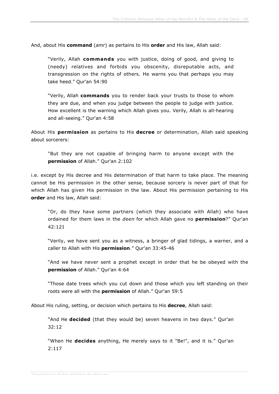And, about His **command** (*amr*) as pertains to His **order** and His law, Allah said:

"Verily, Allah **commands** you with justice, doing of good, and giving to (needy) relatives and forbids you obscenity, disreputable acts, and transgression on the rights of others. He warns you that perhaps you may take heed." Qur'an 54:90

"Verily, Allah **commands** you to render back your trusts to those to whom they are due, and when you judge between the people to judge with justice. How excellent is the warning which Allah gives you. Verily, Allah is all-hearing and all-seeing." Qur'an 4:58

About His **permission** as pertains to His **decree** or determination, Allah said speaking about sorcerers:

"But they are not capable of bringing harm to anyone except with the **permission** of Allah." Qur'an 2:102

i.e. except by His decree and His determination of that harm to take place. The meaning cannot be His permission in the other sense, because sorcery is never part of that for which Allah has given His permission in the law. About His permission pertaining to His **order** and His law, Allah said:

"Or, do they have some partners (which they associate with Allah) who have ordained for them laws in the *deen* for which Allah gave no **permission**?" Qur'an 42:121

"Verily, we have sent you as a witness, a bringer of glad tidings, a warner, and a caller to Allah with His **permission**." Qur'an 33:45-46

"And we have never sent a prophet except in order that he be obeyed with the **permission** of Allah." Qur'an 4:64

"Those date trees which you cut down and those which you left standing on their roots were all with the **permission** of Allah." Qur'an 59:5

About His ruling, setting, or decision which pertains to His **decree**, Allah said:

"And He **decided** (that they would be) seven heavens in two days." Qur'an 32:12

"When He **decides** anything, He merely says to it "Be!", and it is." Qur'an 2:117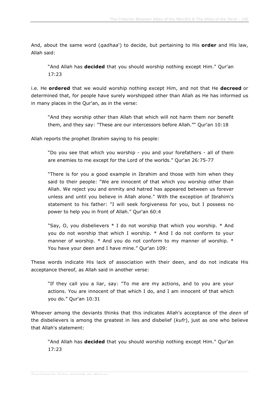And, about the same word (*qadhaa*') to decide, but pertaining to His **order** and His law, Allah said:

"And Allah has **decided** that you should worship nothing except Him." Qur'an 17:23

i.e. He **ordered** that we would worship nothing except Him, and not that He **decreed** or determined that, for people have surely worshipped other than Allah as He has informed us in many places in the Qur'an, as in the verse:

"And they worship other than Allah that which will not harm them nor benefit them, and they say: "These are our intercessors before Allah."" Qur'an 10:18

Allah reports the prophet Ibrahim saying to his people:

"Do you see that which you worship - you and your forefathers - all of them are enemies to me except for the Lord of the worlds." Qur'an 26:75-77

"There is for you a good example in Ibrahim and those with him when they said to their people: "We are innocent of that which you worship other than Allah. We reject you and enmity and hatred has appeared between us forever unless and until you believe in Allah alone." With the exception of Ibrahim's statement to his father: "I will seek forgiveness for you, but I possess no power to help you in front of Allah." Qur'an 60:4

"Say, O, you disbelievers \* I do not worship that which you worship. \* And you do not worship that which I worship. \* And I do not conform to your manner of worship. \* And you do not conform to my manner of worship. \* You have your deen and I have mine." Qur'an 109:

These words indicate His lack of association with their deen, and do not indicate His acceptance thereof, as Allah said in another verse:

"If they call you a liar, say: "To me are my actions, and to you are your actions. You are innocent of that which I do, and I am innocent of that which you do." Qur'an 10:31

Whoever among the deviants thinks that this indicates Allah's acceptance of the *deen* of the disbelievers is among the greatest in lies and disbelief (*kufr*), just as one who believe that Allah's statement:

"And Allah has **decided** that you should worship nothing except Him." Qur'an 17:23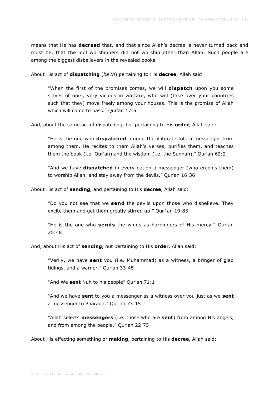means that He has **decreed** that, and that since Allah's decree is never turned back and must be, that the idol worshippers did not worship other than Allah. Such people are among the biggest disbelievers in the revealed books.

About His act of **dispatching** (*ba'th*) pertaining to His **decree**, Allah said:

"When the first of the promises comes, we will **dispatch** upon you some slaves of ours, very vicious in warfare, who will (take over your countries such that they) move freely among your houses. This is the promise of Allah which will come to pass." Qur'an 17:5

And, about the same act of dispatching, but pertaining to His **order**, Allah said:

"He is the one who **dispatched** among the illiterate folk a messenger from among them. He recites to them Allah's verses, purifies them, and teaches them the book (i.e. Qur'an) and the wisdom (i.e. the Sunnah)." Qur'an 62:2

"And we have **dispatched** in every nation a messenger (who enjoins them) to worship Allah, and stay away from the devils." Qur'an 16:36

About His act of **sending**, and pertaining to His **decree**, Allah said:

"Do you not see that we **send** the devils upon those who disbelieve. They excite them and get them greatly stirred up." Qur`an 19:83

"He is the one who **sends** the winds as harbingers of His mercy." Qur'an 25:48

And, about His act of **sending**, but pertaining to His **order**, Allah said:

"Verily, we have **sent** you (i.e. Muhammad) as a witness, a bringer of glad tidings, and a warner." Qur'an 33:45

"And We **sent** Nuh to his people" Qur'an 71:1

"And we have **sent** to you a messenger as a witness over you just as we **sent** a messenger to Pharaoh." Qur'an 73:15

"Allah selects **messengers** (i.e. those who are **sent**) from among His angels, and from among the people." Qur'an 22:75

About His effecting something or **making**, pertaining to His **decree**, Allah said: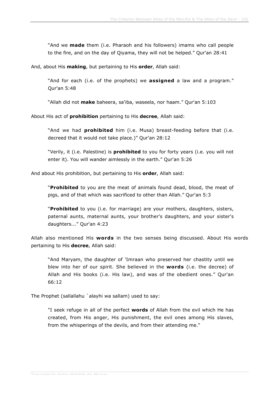"And we **made** them (i.e. Pharaoh and his followers) imams who call people to the fire, and on the day of Qiyama, they will not be helped." Qur'an 28:41

And, about His **making**, but pertaining to His **order**, Allah said:

"And for each (i.e. of the prophets) we **assigned** a law and a program." Qur'an 5:48

"Allah did not **make** baheera, sa'iba, waseela, nor haam." Qur'an 5:103

About His act of **prohibition** pertaining to His **decree**, Allah said:

"And we had **prohibited** him (i.e. Musa) breast-feeding before that (i.e. decreed that it would not take place.)" Qur'an 28:12

"Verily, it (i.e. Palestine) is **prohibited** to you for forty years (i.e. you will not enter it). You will wander aimlessly in the earth." Qur'an 5:26

And about His prohibition, but pertaining to His **order**, Allah said:

"**Prohibited** to you are the meat of animals found dead, blood, the meat of pigs, and of that which was sacrificed to other than Allah." Qur'an 5:3

"**Prohibited** to you (i.e. for marriage) are your mothers, daughters, sisters, paternal aunts, maternal aunts, your brother's daughters, and your sister's daughters..." Qur'an 4:23

Allah also mentioned His **words** in the two senses being discussed. About His words pertaining to His **decree**, Allah said:

"And Maryam, the daughter of 'Imraan who preserved her chastity until we blew into her of our spirit. She believed in the **words** (i.e. the decree) of Allah and His books (i.e. His law), and was of the obedient ones." Qur'an 66:12

The Prophet (sallallahu `alayhi wa sallam) used to say:

"I seek refuge in all of the perfect **words** of Allah from the evil which He has created, from His anger, His punishment, the evil ones among His slaves, from the whisperings of the devils, and from their attending me."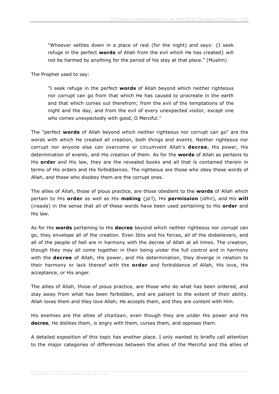"Whoever settles down in a place of rest (for the night) and says: {I seek refuge in the perfect **words** of Allah from the evil which He has created} will not be harmed by anything for the period of his stay at that place." (Muslim)

The Prophet used to say:

"I seek refuge in the perfect **words** of Allah beyond which neither righteous nor corrupt can go from that which He has caused to procreate in the earth and that which comes out therefrom; from the evil of the temptations of the night and the day, and from the evil of every unexpected visitor, except one who comes unexpectedly with good, O Merciful."

The "perfect **words** of Allah beyond which neither righteous nor corrupt can go" are the words with which He created all creation, both things and events. Neither righteous nor corrupt nor anyone else can overcome or circumvent Allah's **decree**, His power, His determination of events, and His creation of them. As for the **words** of Allah as pertains to His **order** and His law, they are the revealed books and all that is contained therein in terms of His orders and His forbiddances. The righteous are those who obey these words of Allah, and those who disobey them are the corrupt ones.

The allies of Allah, those of pious practice, are those obedient to the **words** of Allah which pertain to His **order** as well as His **making** (*ja'l*), His **permission** (*idhn*), and His **will** (*iraada*) in the sense that all of these words have been used pertaining to His **order** and His law.

As for His **words** pertaining to His **decree** beyond which neither righteous nor corrupt can go, they envelope all of the creation. Even Iblis and his forces, all of the disbelievers, and all of the people of hell are in harmony with the decree of Allah at all times. The creation, though they may all come together in their being under the full control and in harmony with the **decree** of Allah, His power, and His determination, they diverge in relation to their harmony or lack thereof with the **order** and forbiddance of Allah, His love, His acceptance, or His anger.

The allies of Allah, those of pious practice, are those who do what has been ordered, and stay away from what has been forbidden, and are patient to the extent of their ability. Allah loves them and they love Allah; He accepts them, and they are content with Him.

His enemies are the allies of *shaitaan*, even though they are under His power and His **decree**, He dislikes them, is angry with them, curses them, and opposes them.

A detailed exposition of this topic has another place. I only wanted to briefly call attention to the major categories of differences between the allies of the Merciful and the allies of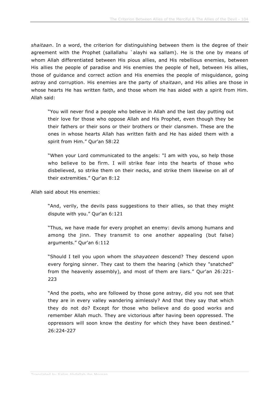*shaitaan*. In a word, the criterion for distinguishing between them is the degree of their agreement with the Prophet (sallallahu `alayhi wa sallam). He is the one by means of whom Allah differentiated between His pious allies, and His rebellious enemies, between His allies the people of paradise and His enemies the people of hell, between His allies, those of guidance and correct action and His enemies the people of misguidance, going astray and corruption. His enemies are the party of *shaitaan*, and His allies are those in whose hearts He has written faith, and those whom He has aided with a spirit from Him. Allah said:

"You will never find a people who believe in Allah and the last day putting out their love for those who oppose Allah and His Prophet, even though they be their fathers or their sons or their brothers or their clansmen. These are the ones in whose hearts Allah has written faith and He has aided them with a spirit from Him." Qur'an 58:22

"When your Lord communicated to the angels: "I am with you, so help those who believe to be firm. I will strike fear into the hearts of those who disbelieved, so strike them on their necks, and strike them likewise on all of their extremities." Qur'an 8:12

Allah said about His enemies:

"And, verily, the devils pass suggestions to their allies, so that they might dispute with you." Qur'an 6:121

"Thus, we have made for every prophet an enemy: devils among humans and among the jinn. They transmit to one another appealing (but false) arguments." Qur'an 6:112

"Should I tell you upon whom the *shayateen* descend? They descend upon every forging sinner. They cast to them the hearing (which they "snatched" from the heavenly assembly), and most of them are liars." Qur'an 26:221- 223

"And the poets, who are followed by those gone astray, did you not see that they are in every valley wandering aimlessly? And that they say that which they do not do? Except for those who believe and do good works and remember Allah much. They are victorious after having been oppressed. The oppressors will soon know the destiny for which they have been destined." 26:224-227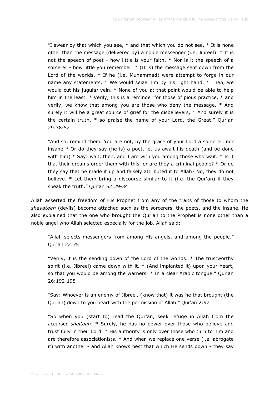"I swear by that which you see,  $*$  and that which you do not see,  $*$  It is none other than the message (delivered by) a noble messenger (i.e. Jibreel). \* It is not the speech of poet - how little is your faith. \* Nor is it the speech of a sorcerer - how little you remember. \* (It is) the message sent down from the Lord of the worlds. \* If he (i.e. Muhammad) were attempt to forge in our name any statements, \* We would seize him by his right hand. \* Then, we would cut his jugular vein. \* None of you at that point would be able to help him in the least. \* Verily, this is a reminder for those of pious practice, \* and verily, we know that among you are those who deny the message. \* And surely it will be a great source of grief for the disbelievers, \* And surely it is the certain truth, \* so praise the name of your Lord, the Great." Qur'an 29:38-52

"And so, remind them. You are not, by the grace of your Lord a sorcerer, nor insane \* Or do they say (he is) a poet, let us await his death (and be done with him)  $*$  Say: wait, then, and I am with you among those who wait.  $*$  Is it that their dreams order them with this, or are they a criminal people? \* Or do they say that he made it up and falsely attributed it to Allah? No, they do not believe. \* Let them bring a discourse similar to it (i.e. the Qur'an) if they speak the truth." Qur'an 52:29-34

Allah asserted the freedom of His Prophet from any of the traits of those to whom the *shayateen* (devils) become attached such as the sorcerers, the poets, and the insane. He also explained that the one who brought the Qur'an to the Prophet is none other than a noble angel who Allah selected especially for the job. Allah said:

"Allah selects messengers from among His angels, and among the people." Qur'an 22:75

"Verily, it is the sending down of the Lord of the worlds. \* The trustworthy spirit (i.e. Jibreel) came down with it. \* (And implanted it) upon your heart, so that you would be among the warners. \* In a clear Arabic tongue." Qur'an 26:192-195

"Say: Whoever is an enemy of Jibreel, (know that) it was he that brought (the Qur'an) down to you heart with the permission of Allah." Qur'an 2:97

"So when you (start to) read the Qur'an, seek refuge in Allah from the accursed *shaitaan*. \* Surely, he has no power over those who believe and trust fully in their Lord. \* His authority is only over those who turn to him and are therefore associationists. \* And when we replace one verse (i.e. abrogate it) with another - and Allah knows best that which He sends down - they say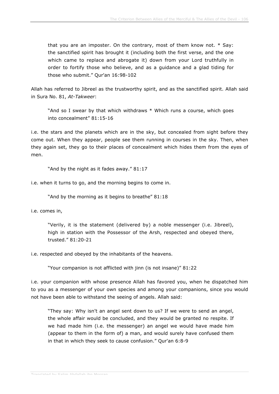that you are an imposter. On the contrary, most of them know not. \* Say: the sanctified spirit has brought it (including both the first verse, and the one which came to replace and abrogate it) down from your Lord truthfully in order to fortify those who believe, and as a guidance and a glad tiding for those who submit." Qur'an 16:98-102

Allah has referred to Jibreel as the trustworthy spirit, and as the sanctified spirit. Allah said in Sura No. 81, *At-Takweer*:

"And so I swear by that which withdraws \* Which runs a course, which goes into concealment" 81:15-16

i.e. the stars and the planets which are in the sky, but concealed from sight before they come out. When they appear, people see them running in courses in the sky. Then, when they again set, they go to their places of concealment which hides them from the eyes of men.

"And by the night as it fades away." 81:17

i.e. when it turns to go, and the morning begins to come in.

"And by the morning as it begins to breathe" 81:18

i.e. comes in,

"Verily, it is the statement (delivered by) a noble messenger (i.e. Jibreel), high in station with the Possessor of the Arsh, respected and obeyed there, trusted." 81:20-21

i.e. respected and obeyed by the inhabitants of the heavens.

"Your companion is not afflicted with jinn (is not insane)" 81:22

i.e. your companion with whose presence Allah has favored you, when he dispatched him to you as a messenger of your own species and among your companions, since you would not have been able to withstand the seeing of angels. Allah said:

"They say: Why isn't an angel sent down to us? If we were to send an angel, the whole affair would be concluded, and they would be granted no respite. If we had made him (i.e. the messenger) an angel we would have made him (appear to them in the form of) a man, and would surely have confused them in that in which they seek to cause confusion." Qur'an 6:8-9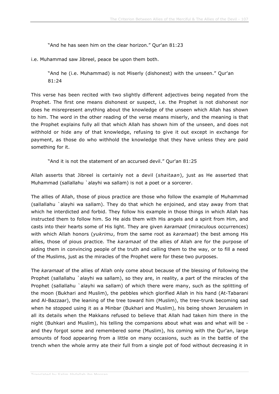"And he has seen him on the clear horizon." Qur'an 81:23

i.e. Muhammad saw Jibreel, peace be upon them both.

"And he (i.e. Muhammad) is not Miserly (dishonest) with the unseen." Qur'an 81:24

This verse has been recited with two slightly different adjectives being negated from the Prophet. The first one means dishonest or suspect, i.e. the Prophet is not dishonest nor does he misrepresent anything about the knowledge of the unseen which Allah has shown to him. The word in the other reading of the verse means miserly, and the meaning is that the Prophet explains fully all that which Allah has shown him of the unseen, and does not withhold or hide any of that knowledge, refusing to give it out except in exchange for payment, as those do who withhold the knowledge that they have unless they are paid something for it.

"And it is not the statement of an accursed devil." Qur'an 81:25

Allah asserts that Jibreel is certainly not a devil (*shaitaan*), just as He asserted that Muhammad (sallallahu `alayhi wa sallam) is not a poet or a sorcerer.

The allies of Allah, those of pious practice are those who follow the example of Muhammad (sallallahu `alayhi wa sallam). They do that which he enjoined, and stay away from that which he interdicted and forbid. They follow his example in those things in which Allah has instructed them to follow him. So He aids them with His angels and a spirit from Him, and casts into their hearts some of His light. They are given *karamaat* (miraculous occurrences) with which Allah honors (*yukrimu*, from the same root as *karamaat*) the best among His allies, those of pious practice. The *karamaat* of the allies of Allah are for the purpose of aiding them in convincing people of the truth and calling them to the way, or to fill a need of the Muslims, just as the miracles of the Prophet were for these two purposes.

The *karamaat* of the allies of Allah only come about because of the blessing of following the Prophet (sallallahu `alayhi wa sallam), so they are, in reality, a part of the miracles of the Prophet (sallallahu `alayhi wa sallam) of which there were many, such as the splitting of the moon (Bukhari and Muslim), the pebbles which glorified Allah in his hand (At-Tabarani and Al-Bazzaar), the leaning of the tree toward him (Muslim), the tree-trunk becoming sad when he stopped using it as a Minbar (Bukhari and Muslim), his being shown Jerusalem in all its details when the Makkans refused to believe that Allah had taken him there in the night (Buhkari and Muslim), his telling the companions about what was and what will be and they forgot some and remembered some (Muslim), his coming with the Qur'an, large amounts of food appearing from a little on many occasions, such as in the battle of the trench when the whole army ate their full from a single pot of food without decreasing it in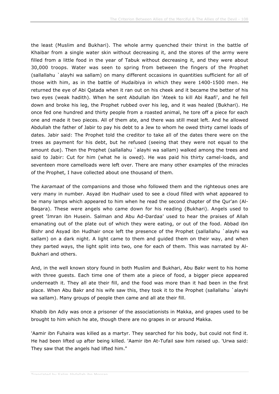the least (Muslim and Bukhari). The whole army quenched their thirst in the battle of Khaibar from a single water skin without decreasing it, and the stores of the army were filled from a little food in the year of Tabuk without decreasing it, and they were about 30,000 troops. Water was seen to spring from between the fingers of the Prophet (sallallahu `alayhi wa sallam) on many different occasions in quantities sufficient for all of those with him, as in the battle of Hudaibiya in which they were 1400-1500 men. He returned the eye of Abi Qatada when it ran out on his cheek and it became the better of his two eyes (weak hadith). When he sent Abdullah ibn 'Ateek to kill Abi Raafi', and he fell down and broke his leg, the Prophet rubbed over his leg, and it was healed (Bukhari). He once fed one hundred and thirty people from a roasted animal, he tore off a piece for each one and made it two pieces. All of them ate, and there was still meat left. And he allowed Abdullah the father of Jabir to pay his debt to a Jew to whom he owed thirty camel loads of dates. Jabir said: The Prophet told the creditor to take all of the dates there were on the trees as payment for his debt, but he refused (seeing that they were not equal to the amount due). Then the Prophet (sallallahu `alayhi wa sallam) walked among the trees and said to Jabir: Cut for him (what he is owed). He was paid his thirty camel-loads, and seventeen more camelloads were left over. There are many other examples of the miracles of the Prophet, I have collected about one thousand of them.

The *karamaat* of the companions and those who followed them and the righteous ones are very many in number. Asyad ibn Hudhair used to see a cloud filled with what appeared to be many lamps which appeared to him when he read the second chapter of the Qur'an (Al-Baqara). These were angels who came down for his reading (Bukhari). Angels used to greet 'Imran ibn Husein. Salman and Abu Ad-Dardaa' used to hear the praises of Allah emanating out of the plate out of which they were eating, or out of the food. Abbad ibn Bishr and Asyad ibn Hudhair once left the presence of the Prophet (sallallahu `alayhi wa sallam) on a dark night. A light came to them and guided them on their way, and when they parted ways, the light split into two, one for each of them. This was narrated by Al-Bukhari and others.

And, in the well known story found in both Muslim and Bukhari, Abu Bakr went to his home with three guests. Each time one of them ate a piece of food, a bigger piece appeared underneath it. They all ate their fill, and the food was more than it had been in the first place. When Abu Bakr and his wife saw this, they took it to the Prophet (sallallahu `alayhi wa sallam). Many groups of people then came and all ate their fill.

Khabib ibn Adiy was once a prisoner of the associationists in Makka, and grapes used to be brought to him which he ate, though there are no grapes in or around Makka.

'Aamir ibn Fuhaira was killed as a martyr. They searched for his body, but could not find it. He had been lifted up after being killed. 'Aamir ibn At-Tufail saw him raised up. 'Urwa said: They saw that the angels had lifted him."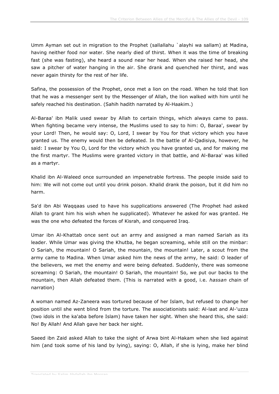Umm Ayman set out in migration to the Prophet (sallallahu `alayhi wa sallam) at Madina, having neither food nor water. She nearly died of thirst. When it was the time of breaking fast (she was fasting), she heard a sound near her head. When she raised her head, she saw a pitcher of water hanging in the air. She drank and quenched her thirst, and was never again thirsty for the rest of her life.

Safina, the possession of the Prophet, once met a lion on the road. When he told that lion that he was a messenger sent by the Messenger of Allah, the lion walked with him until he safely reached his destination. (Sahih hadith narrated by Al-Haakim.)

Al-Baraa' ibn Malik used swear by Allah to certain things, which always came to pass. When fighting became very intense, the Muslims used to say to him: O, Baraa', swear by your Lord! Then, he would say: O, Lord, I swear by You for that victory which you have granted us. The enemy would then be defeated. In the battle of Al-Qadisiya, however, he said: I swear by You O, Lord for the victory which you have granted us, and for making me the first martyr. The Muslims were granted victory in that battle, and Al-Baraa' was killed as a martyr.

Khalid ibn Al-Waleed once surrounded an impenetrable fortress. The people inside said to him: We will not come out until you drink poison. Khalid drank the poison, but it did him no harm.

Sa'd ibn Abi Waqqaas used to have his supplications answered (The Prophet had asked Allah to grant him his wish when he supplicated). Whatever he asked for was granted. He was the one who defeated the forces of Kisrah, and conquered Iraq.

Umar ibn Al-Khattab once sent out an army and assigned a man named Sariah as its leader. While Umar was giving the Khutba, he began screaming, while still on the minbar: O Sariah, the mountain! O Sariah, the mountain, the mountain! Later, a scout from the army came to Madina. When Umar asked him the news of the army, he said: O leader of the believers, we met the enemy and were being defeated. Suddenly, there was someone screaming: O Sariah, the mountain! O Sariah, the mountain! So, we put our backs to the mountain, then Allah defeated them. (This is narrated with a good, i.e. *hassan* chain of narration)

A woman named Az-Zaneera was tortured because of her Islam, but refused to change her position until she went blind from the torture. The associationists said: Al-laat and Al-'uzza (two idols in the ka'aba before Islam) have taken her sight. When she heard this, she said: No! By Allah! And Allah gave her back her sight.

Saeed ibn Zaid asked Allah to take the sight of Arwa bint Al-Hakam when she lied against him (and took some of his land by lying), saying: O, Allah, if she is lying, make her blind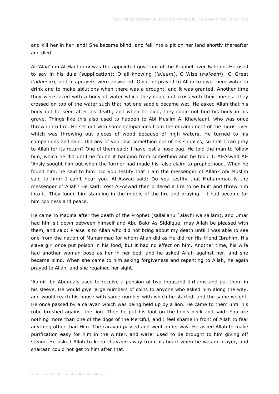and kill her in her land! She became blind, and fell into a pit on her land shortly thereafter and died.

Al-'Alaa' ibn Al-Hadhrami was the appointed governor of the Prophet over Bahrain. He used to say in his du'a (supplication): O all-knowing (*'aleem*), O Wise (*haleem*), O Great ('*adheem*), and his prayers were answered. Once he prayed to Allah to give them water to drink and to make ablutions when there was a drought, and it was granted. Another time they were faced with a body of water which they could not cross with their horses. They crossed on top of the water such that not one saddle became wet. He asked Allah that his body not be seen after his death, and when he died, they could not find his body in his grave. Things like this also used to happen to Abi Muslim Al-Khawlaani, who was once thrown into fire. He set out with some companions from the encampment of the Tigris river which was throwing out pieces of wood because of high waters. He turned to his companions and said: Did any of you lose something out of his supplies, so that I can pray to Allah for its return? One of them said: I have lost a nose-bag. He told the man to follow him, which he did until he found it hanging from something and he took it. Al-Aswad Al- 'Ansiy sought him out when the former had made his false claim to prophethood. When he found him, he said to him: Do you testify that I am the messenger of Allah? Abi Muslim said to him: I can't hear you. Al-Aswad said: Do you testify that Muhammad is the messenger of Allah? He said: Yes! Al-Aswad then ordered a fire to be built and threw him into it. They found him standing in the middle of the fire and praying - it had become for him coolness and peace.

He came to Madina after the death of the Prophet (sallallahu `alayhi wa sallam), and Umar had him sit down between himself and Abu Bakr As-Siddique, may Allah be pleased with them, and said: Praise is to Allah who did not bring about my death until I was able to see one from the nation of Muhammad for whom Allah did as He did for His friend Ibrahim. His slave girl once put poison in his food, but it had no effect on him. Another time, his wife had another woman pose as her in her bed, and he asked Allah against her, and she became blind. When she came to him asking forgiveness and repenting to Allah, he again prayed to Allah, and she regained her sight.

'Aamir ibn Abduqais used to receive a pension of two thousand dirhams and put them in his sleeve. He would give large numbers of coins to anyone who asked him along the way, and would reach his house with same number with which he started, and the same weight. He once passed by a caravan which was being held up by a lion. He came to them until his robe brushed against the lion. Then he put his foot on the lion's neck and said: You are nothing more than one of the dogs of the Merciful, and I feel shame in front of Allah to fear anything other than Him. The caravan passed and went on its way. He asked Allah to make purification easy for him in the winter, and water used to be brought to him giving off steam. He asked Allah to keep *shaitaan* away from his heart when he was in prayer, and shaitaan could not get to him after that.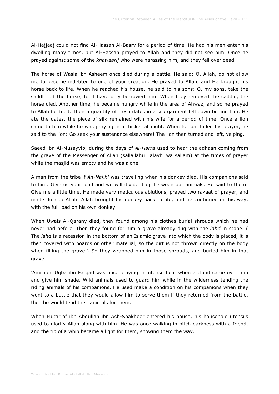Al-Hajjaaj could not find Al-Hassan Al-Basry for a period of time. He had his men enter his dwelling many times, but Al-Hassan prayed to Allah and they did not see him. Once he prayed against some of the *khawaarij* who were harassing him, and they fell over dead.

The horse of Wasla ibn Asheem once died during a battle. He said: O, Allah, do not allow me to become indebted to one of your creation. He prayed to Allah, and He brought his horse back to life. When he reached his house, he said to his sons: O, my sons, take the saddle off the horse, for I have only borrowed him. When they removed the saddle, the horse died. Another time, he became hungry while in the area of Ahwaz, and so he prayed to Allah for food. Then a quantity of fresh dates in a silk garment fell down behind him. He ate the dates, the piece of silk remained with his wife for a period of time. Once a lion came to him while he was praying in a thicket at night. When he concluded his prayer, he said to the lion: Go seek your sustenance elsewhere! The lion then turned and left, yelping.

Saeed ibn Al-Musayyib, during the days of *Al-Harra* used to hear the adhaan coming from the grave of the Messenger of Allah (sallallahu `alayhi wa sallam) at the times of prayer while the masjid was empty and he was alone.

A man from the tribe if *An-Nakh'* was travelling when his donkey died. His companions said to him: Give us your load and we will divide it up between our animals. He said to them: Give me a little time. He made very meticulous ablutions, prayed two rakaat of prayer, and made du'a to Allah. Allah brought his donkey back to life, and he continued on his way, with the full load on his own donkey.

When Uwais Al-Qarany died, they found among his clothes burial shrouds which he had never had before. Then they found for him a grave already dug with the *lahd* in stone. ( The *lahd* is a recession in the bottom of an Islamic grave into which the body is placed, it is then covered with boards or other material, so the dirt is not thrown directly on the body when filling the grave.) So they wrapped him in those shrouds, and buried him in that grave.

'Amr ibn 'Uqba ibn Farqad was once praying in intense heat when a cloud came over him and give him shade. Wild animals used to guard him while in the wilderness tending the riding animals of his companions. He used make a condition on his companions when they went to a battle that they would allow him to serve them if they returned from the battle, then he would tend their animals for them.

When Mutarraf ibn Abdullah ibn Ash-Shakheer entered his house, his household utensils used to glorify Allah along with him. He was once walking in pitch darkness with a friend, and the tip of a whip became a light for them, showing them the way.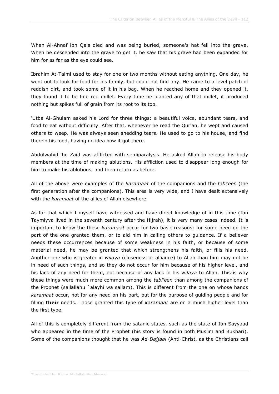When Al-Ahnaf ibn Qais died and was being buried, someone's hat fell into the grave. When he descended into the grave to get it, he saw that his grave had been expanded for him for as far as the eye could see.

Ibrahim At-Taimi used to stay for one or two months without eating anything. One day, he went out to look for food for his family, but could not find any. He came to a level patch of reddish dirt, and took some of it in his bag. When he reached home and they opened it, they found it to be fine red millet. Every time he planted any of that millet, it produced nothing but spikes full of grain from its root to its top.

'Utba Al-Ghulam asked his Lord for three things: a beautiful voice, abundant tears, and food to eat without difficulty. After that, whenever he read the Qur'an, he wept and caused others to weep. He was always seen shedding tears. He used to go to his house, and find therein his food, having no idea how it got there.

Abdulwahid ibn Zaid was afflicted with semiparalysis. He asked Allah to release his body members at the time of making ablutions. His affliction used to disappear long enough for him to make his ablutions, and then return as before.

All of the above were examples of the *karamaat* of the companions and the *tabi'een* (the first generation after the companions). This area is very wide, and I have dealt extensively with the *karamaat* of the allies of Allah elsewhere.

As for that which I myself have witnessed and have direct knowledge of in this time (Ibn Taymiyya lived in the seventh century after the Hijrah), it is very many cases indeed. It is important to know the these *karamaat* occur for two basic reasons: for some need on the part of the one granted them, or to aid him in calling others to guidance. If a believer needs these occurrences because of some weakness in his faith, or because of some material need, he may be granted that which strengthens his faith, or fills his need. Another one who is greater in *wilaya* (closeness or alliance) to Allah than him may not be in need of such things, and so they do not occur for him because of his higher level, and his lack of any need for them, not because of any lack in his *wilaya* to Allah. This is why these things were much more common among the *tabi'een* than among the companions of the Prophet (sallallahu `alayhi wa sallam). This is different from the one on whose hands *karamaat* occur, not for any need on his part, but for the purpose of guiding people and for filling **their** needs. Those granted this type of *karamaat* are on a much higher level than the first type.

All of this is completely different from the satanic states, such as the state of Ibn Sayyaad who appeared in the time of the Prophet (his story is found in both Muslim and Bukhari). Some of the companions thought that he was *Ad-Dajjaal* (Anti-Christ, as the Christians call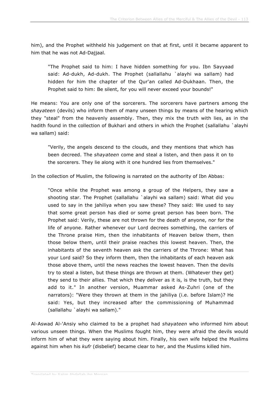him), and the Prophet withheld his judgement on that at first, until it became apparent to him that he was not Ad-Dajjaal.

"The Prophet said to him: I have hidden something for you. Ibn Sayyaad said: Ad-dukh, Ad-dukh. The Prophet (sallallahu `alayhi wa sallam) had hidden for him the chapter of the Qur'an called Ad-Dukhaan. Then, the Prophet said to him: Be silent, for you will never exceed your bounds!"

He means: You are only one of the sorcerers. The sorcerers have partners among the *shayateen* (devils) who inform them of many unseen things by means of the hearing which they "steal" from the heavenly assembly. Then, they mix the truth with lies, as in the hadith found in the collection of Bukhari and others in which the Prophet (sallallahu `alayhi wa sallam) said:

"Verily, the angels descend to the clouds, and they mentions that which has been decreed. The *shayateen* come and steal a listen, and then pass it on to the sorcerers. They lie along with it one hundred lies from themselves."

In the collection of Muslim, the following is narrated on the authority of Ibn Abbas:

"Once while the Prophet was among a group of the Helpers, they saw a shooting star. The Prophet (sallallahu `alayhi wa sallam) said: What did you used to say in the jahiliya when you saw these? They said: We used to say that some great person has died or some great person has been born. The Prophet said: Verily, these are not thrown for the death of anyone, nor for the life of anyone. Rather whenever our Lord decrees something, the carriers of the Throne praise Him, then the inhabitants of Heaven below them, then those below them, until their praise reaches this lowest heaven. Then, the inhabitants of the seventh heaven ask the carriers of the Throne: What has your Lord said? So they inform them, then the inhabitants of each heaven ask those above them, until the news reaches the lowest heaven. Then the devils try to steal a listen, but these things are thrown at them. (Whatever they get) they send to their allies. That which they deliver as it is, is the truth, but they add to it." In another version, Muammar asked As-Zuhri (one of the narrators): "Were they thrown at them in the jahiliya (i.e. before Islam)? He said: Yes, but they increased after the commissioning of Muhammad (sallallahu `alayhi wa sallam)."

Al-Aswad Al-'Ansiy who claimed to be a prophet had *shayateen* who informed him about various unseen things. When the Muslims fought him, they were afraid the devils would inform him of what they were saying about him. Finally, his own wife helped the Muslims against him when his *kufr* (disbelief) became clear to her, and the Muslims killed him.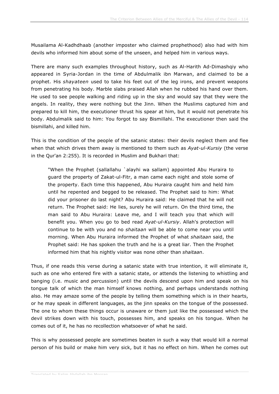Musailama Al-Kadhdhaab (another imposter who claimed prophethood) also had with him devils who informed him about some of the unseen, and helped him in various ways.

There are many such examples throughout history, such as Al-Harith Ad-Dimashqiy who appeared in Syria-Jordan in the time of Abdulmalik ibn Marwan, and claimed to be a prophet. His *shayateen* used to take his feet out of the leg irons, and prevent weapons from penetrating his body. Marble slabs praised Allah when he rubbed his hand over them. He used to see people walking and riding up in the sky and would say that they were the angels. In reality, they were nothing but the Jinn. When the Muslims captured him and prepared to kill him, the executioner thrust his spear at him, but it would not penetrate his body. Abdulmalik said to him: You forgot to say Bismillahi. The executioner then said the bismillahi, and killed him.

This is the condition of the people of the satanic states: their devils neglect them and flee when that which drives them away is mentioned to them such as *Ayat-ul-Kursiy* (the verse in the Qur'an 2:255). It is recorded in Muslim and Bukhari that:

"When the Prophet (sallallahu `alayhi wa sallam) appointed Abu Huraira to guard the property of Zakat-ul-Fitr, a man came each night and stole some of the property. Each time this happened, Abu Huraira caught him and held him until he repented and begged to be released. The Prophet said to him: What did your prisoner do last night? Abu Huraira said: He claimed that he will not return. The Prophet said: He lies, surely he will return. On the third time, the man said to Abu Huraira: Leave me, and I will teach you that which will benefit you. When you go to bed read *Ayat-ul-Kursiy*. Allah's protection will continue to be with you and no *shaitaan* will be able to come near you until morning. When Abu Huraira informed the Prophet of what *shaitaan* said, the Prophet said: He has spoken the truth and he is a great liar. Then the Prophet informed him that his nightly visitor was none other than *shaitaan*.

Thus, if one reads this verse during a satanic state with true intention, it will eliminate it, such as one who entered fire with a satanic state, or attends the listening to whistling and banging (i.e. music and percussion) until the devils descend upon him and speak on his tongue talk of which the man himself knows nothing, and perhaps understands nothing also. He may amaze some of the people by telling them something which is in their hearts, or he may speak in different languages, as the jinn speaks on the tongue of the possessed. The one to whom these things occur is unaware or them just like the possessed which the devil strikes down with his touch, possesses him, and speaks on his tongue. When he comes out of it, he has no recollection whatsoever of what he said.

This is why possessed people are sometimes beaten in such a way that would kill a normal person of his build or make him very sick, but it has no effect on him. When he comes out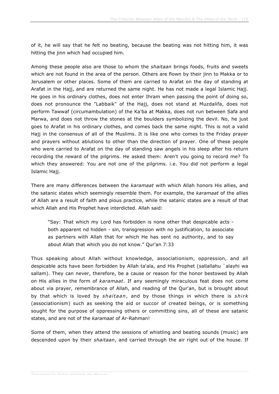of it, he will say that he felt no beating, because the beating was not hitting him, it was hitting the jinn which had occupied him.

Among these people also are those to whom the *shaitaan* brings foods, fruits and sweets which are not found in the area of the person. Others are flown by their jinn to Makka or to Jerusalem or other places. Some of them are carried to Arafat on the day of standing at Arafat in the Hajj, and are returned the same night. He has not made a legal Islamic Hajj. He goes in his ordinary clothes, does not enter Ihram when passing the point of doing so, does not pronounce the "Labbaik" of the Hajj, does not stand at Muzdalifa, does not perform Tawwaf (circumambulation) of the Ka'ba at Makka, does not run between Safa and Marwa, and does not throw the stones at the boulders symbolizing the devil. No, he just goes to Arafat in his ordinary clothes, and comes back the same night. This is not a valid Hajj in the consensus of all of the Muslims. It is like one who comes to the Friday prayer and prayers without ablutions to other than the direction of prayer. One of these people who were carried to Arafat on the day of standing saw angels in his sleep after his return recording the reward of the pilgrims. He asked them: Aren't you going to record me? To which they answered: You are not one of the pilgrims. i.e. You did not perform a legal Islamic Hajj.

There are many differences between the *karamaat* with which Allah honors His allies, and the satanic states which seemingly resemble them. For example, the *karamaat* of the allies of Allah are a result of faith and pious practice, while the satanic states are a result of that which Allah and His Prophet have interdicted. Allah said:

"Say: That which my Lord has forbidden is none other that despicable acts both apparent nd hidden - sin, transgression with no justification, to associate as partners with Allah that for which He has sent no authority, and to say about Allah that which you do not know." Qur'an 7:33

Thus speaking about Allah without knowledge, associationism, oppression, and all despicable acts have been forbidden by Allah ta'ala, and His Prophet (sallallahu `alayhi wa sallam). They can never, therefore, be a cause or reason for the honor bestowed by Allah on His allies in the form of *karamaat*. If any seemingly miraculous feat does not come about via prayer, remembrance of Allah, and reading of the Qur'an, but is brought about by that which is loved by *shaitaan*, and by those things in which there is *shirk* (associationism) such as seeking the aid or succor of created beings, or is something sought for the purpose of oppressing others or committing sins, all of these are satanic states, and are not of the *karamaat* of Ar-Rahman!

Some of them, when they attend the sessions of whistling and beating sounds (music) are descended upon by their *shaitaan*, and carried through the air right out of the house. If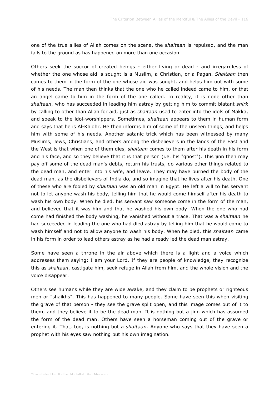one of the true allies of Allah comes on the scene, the *shaitaan* is repulsed, and the man falls to the ground as has happened on more than one occasion.

Others seek the succor of created beings - either living or dead - and irregardless of whether the one whose aid is sought is a Muslim, a Christian, or a Pagan. *Shaitaan* then comes to them in the form of the one whose aid was sought, and helps him out with some of his needs. The man then thinks that the one who he called indeed came to him, or that an angel came to him in the form of the one called. In reality, it is none other than *shaitaan*, who has succeeded in leading him astray by getting him to commit blatant *shirk* by calling to other than Allah for aid, just as *shaitaan* used to enter into the idols of Makka, and speak to the idol-worshippers. Sometimes, *shaitaan* appears to them in human form and says that he is Al-Khidhr. He then informs him of some of the unseen things, and helps him with some of his needs. Another satanic trick which has been witnessed by many Muslims, Jews, Christians, and others among the disbelievers in the lands of the East and the West is that when one of them dies, *shaitaan* comes to them after his death in his form and his face, and so they believe that it is that person (i.e. his "ghost"). This jinn then may pay off some of the dead man's debts, return his trusts, do various other things related to the dead man, and enter into his wife, and leave. They may have burned the body of the dead man, as the disbelievers of India do, and so imagine that he lives after his death. One of these who are fooled by *shaitaan* was an old man in Egypt. He left a will to his servant not to let anyone wash his body, telling him that he would come himself after his death to wash his own body. When he died, his servant saw someone come in the form of the man, and believed that it was him and that he washed his own body! When the one who had come had finished the body washing, he vanished without a trace. That was a *shaitaan* he had succeeded in leading the one who had died astray by telling him that he would come to wash himself and not to allow anyone to wash his body. When he died, this *shaitaan* came in his form in order to lead others astray as he had already led the dead man astray.

Some have seen a throne in the air above which there is a light and a voice which addresses them saying: I am your Lord. If they are people of knowledge, they recognize this as *shaitaan*, castigate him, seek refuge in Allah from him, and the whole vision and the voice disappear.

Others see humans while they are wide awake, and they claim to be prophets or righteous men or "shaikhs". This has happened to many people. Some have seen this when visiting the grave of that person - they see the grave split open, and this image comes out of it to them, and they believe it to be the dead man. It is nothing but a jinn which has assumed the form of the dead man. Others have seen a horseman coming out of the grave or entering it. That, too, is nothing but a *shaitaan*. Anyone who says that they have seen a prophet with his eyes saw nothing but his own imagination.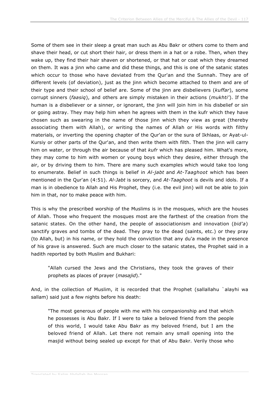Some of them see in their sleep a great man such as Abu Bakr or others come to them and shave their head, or cut short their hair, or dress them in a hat or a robe. Then, when they wake up, they find their hair shaven or shortened, or that hat or coat which they dreamed on them. It was a jinn who came and did these things, and this is one of the satanic states which occur to those who have deviated from the Qur'an and the Sunnah. They are of different levels (of deviation), just as the jinn which become attached to them and are of their type and their school of belief are. Some of the jinn are disbelievers (*kuffar*), some corrupt sinners (*faasiq*), and others are simply mistaken in their actions (*mukhti'*). If the human is a disbeliever or a sinner, or ignorant, the jinn will join him in his disbelief or sin or going astray. They may help him when he agrees with them in the kufr which they have chosen such as swearing in the name of those jinn which they view as great (thereby associating them with Allah), or writing the names of Allah or His words with filthy materials, or inverting the opening chapter of the Qur'an or the sura of Ikhlaas, or Ayat-ul-Kursiy or other parts of the Qur'an, and then write them with filth. Then the jinn will carry him on water, or through the air because of that *kufr* which has pleased him. What's more, they may come to him with women or young boys which they desire, either through the air, or by driving them to him. There are many such examples which would take too long to enumerate. Belief in such things is belief in *Al-jabt* and *At-Taaghoot* which has been mentioned in the Qur'an (4:51). *Al-Jabt* is sorcery, and *At-Taaghoot* is devils and idols. If a man is in obedience to Allah and His Prophet, they (i.e. the evil jinn) will not be able to join him in that, nor to make peace with him.

This is why the prescribed worship of the Muslims is in the mosques, which are the houses of Allah. Those who frequent the mosques most are the farthest of the creation from the satanic states. On the other hand, the people of associationism and innovation (*bid'a*) sanctify graves and tombs of the dead. They pray to the dead (saints, etc.) or they pray (to Allah, but) in his name, or they hold the conviction that any du'a made in the presence of his grave is answered. Such are much closer to the satanic states, the Prophet said in a hadith reported by both Muslim and Bukhari:

"Allah cursed the Jews and the Christians, they took the graves of their prophets as places of prayer (*masajid*)."

And, in the collection of Muslim, it is recorded that the Prophet (sallallahu `alayhi wa sallam) said just a few nights before his death:

"The most generous of people with me with his companionship and that which he possesses is Abu Bakr. If I were to take a beloved friend from the people of this world, I would take Abu Bakr as my beloved friend, but I am the beloved friend of Allah. Let there not remain any small opening into the masjid without being sealed up except for that of Abu Bakr. Verily those who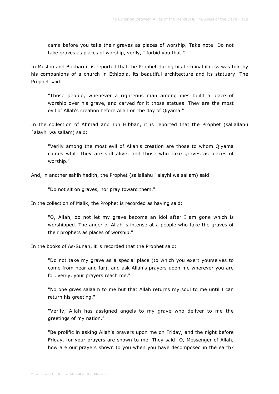came before you take their graves as places of worship. Take note! Do not take graves as places of worship, verily, I forbid you that."

In Muslim and Bukhari it is reported that the Prophet during his terminal illness was told by his companions of a church in Ethiopia, its beautiful architecture and its statuary. The Prophet said:

"Those people, whenever a righteous man among dies build a place of worship over his grave, and carved for it those statues. They are the most evil of Allah's creation before Allah on the day of Qiyama."

In the collection of Ahmad and Ibn Hibban, it is reported that the Prophet (sallallahu `alayhi wa sallam) said:

"Verily among the most evil of Allah's creation are those to whom Qiyama comes while they are still alive, and those who take graves as places of worship."

And, in another sahih hadith, the Prophet (sallallahu `alayhi wa sallam) said:

"Do not sit on graves, nor pray toward them."

In the collection of Malik, the Prophet is recorded as having said:

"O, Allah, do not let my grave become an idol after I am gone which is worshipped. The anger of Allah is intense at a people who take the graves of their prophets as places of worship."

In the books of As-Sunan, it is recorded that the Prophet said:

"Do not take my grave as a special place (to which you exert yourselves to come from near and far), and ask Allah's prayers upon me wherever you are for, verily, your prayers reach me."

"No one gives salaam to me but that Allah returns my soul to me until I can return his greeting."

"Verily, Allah has assigned angels to my grave who deliver to me the greetings of my nation."

"Be prolific in asking Allah's prayers upon me on Friday, and the night before Friday, for your prayers are shown to me. They said: O, Messenger of Allah, how are our prayers shown to you when you have decomposed in the earth?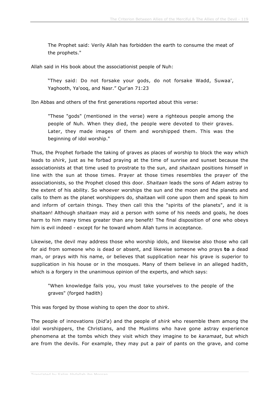The Prophet said: Verily Allah has forbidden the earth to consume the meat of the prophets."

Allah said in His book about the associationist people of Nuh:

"They said: Do not forsake your gods, do not forsake Wadd, Suwaa', Yaghooth, Ya'ooq, and Nasr." Qur'an 71:23

Ibn Abbas and others of the first generations reported about this verse:

"These "gods" (mentioned in the verse) were a righteous people among the people of Nuh. When they died, the people were devoted to their graves. Later, they made images of them and worshipped them. This was the beginning of idol worship."

Thus, the Prophet forbade the taking of graves as places of worship to block the way which leads to *shirk*, just as he forbad praying at the time of sunrise and sunset because the associationists at that time used to prostrate to the sun, and *shaitaan* positions himself in line with the sun at those times. Prayer at those times resembles the prayer of the associationists, so the Prophet closed this door. *Shaitaan* leads the sons of Adam astray to the extent of his ability. So whoever worships the sun and the moon and the planets and calls to them as the planet worshippers do, shaitaan will cone upon them and speak to him and inform of certain things. They then call this the "spirits of the planets", and it is shaitaan! Although *shaitaan* may aid a person with some of his needs and goals, he does harm to him many times greater than any benefit! The final disposition of one who obeys him is evil indeed - except for he toward whom Allah turns in acceptance.

Likewise, the devil may address those who worship idols, and likewise also those who call for aid from someone who is dead or absent, and likewise someone who prays **to** a dead man, or prays with his name, or believes that supplication near his grave is superior to supplication in his house or in the mosques. Many of them believe in an alleged hadith, which is a forgery in the unanimous opinion of the experts, and which says:

"When knowledge fails you, you must take yourselves to the people of the graves" (forged hadith)

This was forged by those wishing to open the door to *shirk*.

The people of innovations (*bid'a*) and the people of *shirk* who resemble them among the idol worshippers, the Christians, and the Muslims who have gone astray experience phenomena at the tombs which they visit which they imagine to be *karamaat*, but which are from the devils. For example, they may put a pair of pants on the grave, and come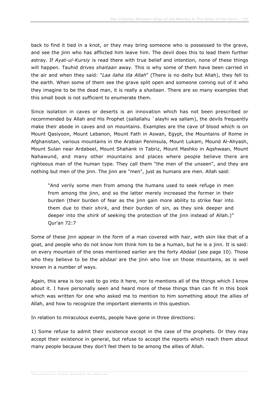back to find it tied in a knot, or they may bring someone who is possessed to the grave, and see the jinn who has afflicted him leave him. The devil does this to lead them further astray. If *Ayat-ul-Kursiy* is read there with true belief and intention, none of these things will happen. Tauhid drives *shaitaan* away. This is why some of them have been carried in the air and when they said: "*Laa ilaha illa Allah*" (There is no deity but Allah), they fell to the earth. When some of them see the grave split open and someone coming out of it who they imagine to be the dead man, it is really a *shaitaan*. There are so many examples that this small book is not sufficient to enumerate them.

Since isolation in caves or deserts is an innovation which has not been prescribed or recommended by Allah and His Prophet (sallallahu `alayhi wa sallam), the devils frequently make their abode in caves and on mountains. Examples are the cave of blood which is on Mount Qasiyoon, Mount Lebanon, Mount Fath in Aswan, Egypt, the Mountains of Rome in Afghanistan, various mountains in the Arabian Peninsula, Mount Lukam, Mound Al-Ahyash, Mount Sulan near Ardabeel, Mount Shahank in Tabriz, Mount Mashko in Aqshwaan, Mount Nahawund, and many other mountains and places where people believe there are righteous man of the human type. They call them "the men of the unseen", and they are nothing but men of the jinn. The jinn are "men", just as humans are men. Allah said:

"And verily some men from among the humans used to seek refuge in men from among the jinn, and so the latter merely increased the former in their burden (their burden of fear as the jinn gain more ability to strike fear into them due to their *shirk*, and their burden of sin, as they sink deeper and deeper into the *shirk* of seeking the protection of the jinn instead of Allah.)" Qur'an 72:7

Some of these jinn appear in the form of a man covered with hair, with skin like that of a goat, and people who do not know him think him to be a human, but he is a jinn. It is said: on every mountain of the ones mentioned earlier are the forty *Abdaal* (see page 10). Those who they believe to be the *abdaal* are the jinn who live on those mountains, as is well known in a number of ways.

Again, this area is too vast to go into it here, nor to mentions all of the things which I know about it. I have personally seen and heard more of these things than can fit in this book which was written for one who asked me to mention to him something about the allies of Allah, and how to recognize the important elements in this question.

In relation to miraculous events, people have gone in three directions:

1) Some refuse to admit their existence except in the case of the prophets. Or they may accept their existence in general, but refuse to accept the reports which reach them about many people because they don't feel them to be among the allies of Allah.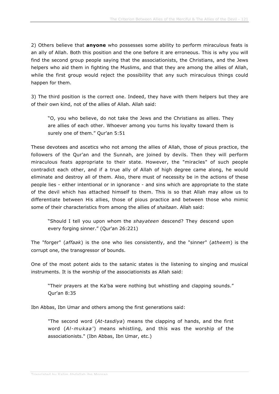2) Others believe that **anyone** who possesses some ability to perform miraculous feats is an ally of Allah. Both this position and the one before it are erroneous. This is why you will find the second group people saying that the associationists, the Christians, and the Jews helpers who aid them in fighting the Muslims, and that they are among the allies of Allah, while the first group would reject the possibility that any such miraculous things could happen for them.

3) The third position is the correct one. Indeed, they have with them helpers but they are of their own kind, not of the allies of Allah. Allah said:

"O, you who believe, do not take the Jews and the Christians as allies. They are allies of each other. Whoever among you turns his loyalty toward them is surely one of them." Qur'an 5:51

These devotees and ascetics who not among the allies of Allah, those of pious practice, the followers of the Qur'an and the Sunnah, are joined by devils. Then they will perform miraculous feats appropriate to their state. However, the "miracles" of such people contradict each other, and if a true ally of Allah of high degree came along, he would eliminate and destroy all of them. Also, there must of necessity be in the actions of these people lies - either intentional or in ignorance - and sins which are appropriate to the state of the devil which has attached himself to them. This is so that Allah may allow us to differentiate between His allies, those of pious practice and between those who mimic some of their characteristics from among the allies of *shaitaan*. Allah said:

"Should I tell you upon whom the *shayateen* descend? They descend upon every forging sinner." (Qur'an 26:221)

The "forger" (*affaak*) is the one who lies consistently, and the "sinner" (*atheem*) is the corrupt one, the transgressor of bounds.

One of the most potent aids to the satanic states is the listening to singing and musical instruments. It is the worship of the associationists as Allah said:

"Their prayers at the Ka'ba were nothing but whistling and clapping sounds." Qur'an 8:35

Ibn Abbas, Ibn Umar and others among the first generations said:

"The second word (*At-tasdiya*) means the clapping of hands, and the first word (*Al-mukaa'*) means whistling, and this was the worship of the associationists." (Ibn Abbas, Ibn Umar, etc.)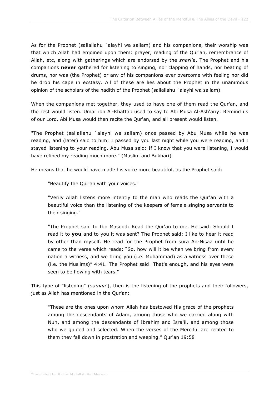As for the Prophet (sallallahu `alayhi wa sallam) and his companions, their worship was that which Allah had enjoined upon them: prayer, reading of the Qur'an, remembrance of Allah, etc, along with gatherings which are endorsed by the *shari'a*. The Prophet and his companions **never** gathered for listening to singing, nor clapping of hands, nor beating of drums, nor was (the Prophet) or any of his companions ever overcome with feeling nor did he drop his cape in ecstasy. All of these are lies about the Prophet in the unanimous opinion of the scholars of the hadith of the Prophet (sallallahu `alayhi wa sallam).

When the companions met together, they used to have one of them read the Qur'an, and the rest would listen. Umar ibn Al-Khattab used to say to Abi Musa Al-Ash'ariy: Remind us of our Lord. Abi Musa would then recite the Qur'an, and all present would listen.

"The Prophet (sallallahu `alayhi wa sallam) once passed by Abu Musa while he was reading, and (later) said to him: I passed by you last night while you were reading, and I stayed listening to your reading. Abu Musa said: If I know that you were listening, I would have refined my reading much more." (Muslim and Bukhari)

He means that he would have made his voice more beautiful, as the Prophet said:

"Beautify the Qur'an with your voices."

"Verily Allah listens more intently to the man who reads the Qur'an with a beautiful voice than the listening of the keepers of female singing servants to their singing."

"The Prophet said to Ibn Masood: Read the Qur'an to me. He said: Should I read it to **you** and to you it was sent? The Prophet said: I like to hear it read by other than myself. He read for the Prophet from sura An-Nisaa until he came to the verse which reads: "So, how will it be when we bring from every nation a witness, and we bring you (i.e. Muhammad) as a witness over these (i.e. the Muslims)" 4:41. The Prophet said: That's enough, and his eyes were seen to be flowing with tears."

This type of "listening" (*samaa'*), then is the listening of the prophets and their followers, just as Allah has mentioned in the Qur'an:

"These are the ones upon whom Allah has bestowed His grace of the prophets among the descendants of Adam, among those who we carried along with Nuh, and among the descendants of Ibrahim and Isra'il, and among those who we guided and selected. When the verses of the Merciful are recited to them they fall down in prostration and weeping." Qur'an 19:58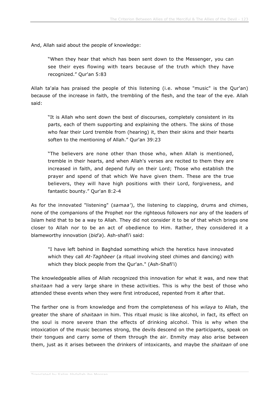And, Allah said about the people of knowledge:

"When they hear that which has been sent down to the Messenger, you can see their eyes flowing with tears because of the truth which they have recognized." Qur'an 5:83

Allah ta'ala has praised the people of this listening (i.e. whose "music" is the Qur'an) because of the increase in faith, the trembling of the flesh, and the tear of the eye. Allah said:

"It is Allah who sent down the best of discourses, completely consistent in its parts, each of them supporting and explaining the others. The skins of those who fear their Lord tremble from (hearing) it, then their skins and their hearts soften to the mentioning of Allah." Qur'an 39:23

"The believers are none other than those who, when Allah is mentioned, tremble in their hearts, and when Allah's verses are recited to them they are increased in faith, and depend fully on their Lord; Those who establish the prayer and spend of that which We have given them. These are the true believers, they will have high positions with their Lord, forgiveness, and fantastic bounty." Qur'an 8:2-4

As for the innovated "listening" (*samaa'*), the listening to clapping, drums and chimes, none of the companions of the Prophet nor the righteous followers nor any of the leaders of Islam held that to be a way to Allah. They did not consider it to be of that which brings one closer to Allah nor to be an act of obedience to Him. Rather, they considered it a blameworthy innovation (*bid'a*). Ash-shafi'i said:

"I have left behind in Baghdad something which the heretics have innovated which they call *At-Taghbeer* (a ritual involving steel chimes and dancing) with which they block people from the Qur'an." (Ash-Shafi'i)

The knowledgeable allies of Allah recognized this innovation for what it was, and new that *shaitaan* had a very large share in these activities. This is why the best of those who attended these events when they were first introduced, repented from it after that.

The farther one is from knowledge and from the completeness of his *wilaya* to Allah, the greater the share of *shaitaan* in him. This ritual music is like alcohol, in fact, its effect on the soul is more severe than the effects of drinking alcohol. This is why when the intoxication of the music becomes strong, the devils descend on the participants, speak on their tongues and carry some of them through the air. Enmity may also arise between them, just as it arises between the drinkers of intoxicants, and maybe the *shaitaan* of one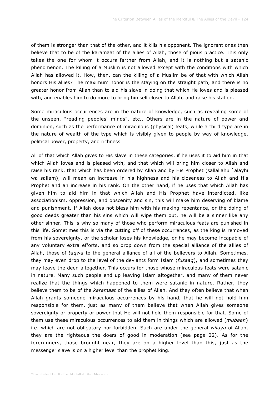of them is stronger than that of the other, and it kills his opponent. The ignorant ones then believe that to be of the karamaat of the allies of Allah, those of pious practice. This only takes the one for whom it occurs farther from Allah, and it is nothing but a satanic phenomenon. The killing of a Muslim is not allowed except with the conditions with which Allah has allowed it. How, then, can the killing of a Muslim be of that with which Allah honors His allies? The maximum honor is the staying on the straight path, and there is no greater honor from Allah than to aid his slave in doing that which He loves and is pleased with, and enables him to do more to bring himself closer to Allah, and raise his station.

Some miraculous occurrences are in the nature of knowledge, such as revealing some of the unseen, "reading peoples' minds", etc.. Others are in the nature of power and dominion, such as the performance of miraculous (physical) feats, while a third type are in the nature of wealth of the type which is visibly given to people by way of knowledge, political power, property, and richness.

All of that which Allah gives to His slave in these categories, if he uses it to aid him in that which Allah loves and is pleased with, and that which will bring him closer to Allah and raise his rank, that which has been ordered by Allah and by His Prophet (sallallahu `alayhi wa sallam), will mean an increase in his highness and his closeness to Allah and His Prophet and an increase in his rank. On the other hand, if he uses that which Allah has given him to aid him in that which Allah and His Prophet have interdicted, like associationism, oppression, and obscenity and sin, this will make him deserving of blame and punishment. If Allah does not bless him with his making repentance, or the doing of good deeds greater than his sins which will wipe them out, he will be a sinner like any other sinner. This is why so many of those who perform miraculous feats are punished in this life. Sometimes this is via the cutting off of these occurrences, as the king is removed from his sovereignty, or the scholar loses his knowledge, or he may become incapable of any voluntary extra efforts, and so drop down from the special alliance of the allies of Allah, those of *taqwa* to the general alliance of all of the believers to Allah. Sometimes, they may even drop to the level of the deviants form Islam (*fusaaq*), and sometimes they may leave the deen altogether. This occurs for those whose miraculous feats were satanic in nature. Many such people end up leaving Islam altogether, and many of them never realize that the things which happened to them were satanic in nature. Rather, they believe them to be of the *karamaat* of the allies of Allah. And they often believe that when Allah grants someone miraculous occurrences by his hand, that he will not hold him responsible for them, just as many of them believe that when Allah gives someone sovereignty or property or power that He will not hold them responsible for that. Some of them use these miraculous occurrences to aid them in things which are allowed (*mubaah*) i.e. which are not obligatory nor forbidden. Such are under the general *wilaya* of Allah, they are the righteous the doers of good in moderation (see page 22). As for the forerunners, those brought near, they are on a higher level than this, just as the messenger slave is on a higher level than the prophet king.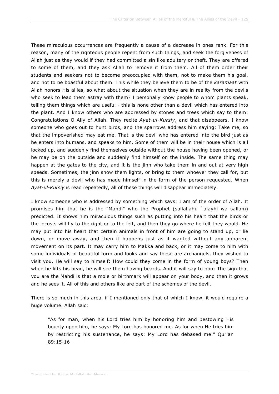These miraculous occurrences are frequently a cause of a decrease in ones rank. For this reason, many of the righteous people repent from such things, and seek the forgiveness of Allah just as they would if they had committed a sin like adultery or theft. They are offered to some of them, and they ask Allah to remove it from them. All of them order their students and seekers not to become preoccupied with them, not to make them his goal, and not to be boastful about them. This while they believe them to be of the *karamaat* with Allah honors His allies, so what about the situation when they are in reality from the devils who seek to lead them astray with them? I personally know people to whom plants speak, telling them things which are useful - this is none other than a devil which has entered into the plant. And I know others who are addressed by stones and trees which say to them: Congratulations O Ally of Allah. They recite *Ayat-ul-Kursiy*, and that disappears. I know someone who goes out to hunt birds, and the sparrows address him saying: Take me, so that the impoverished may eat me. That is the devil who has entered into the bird just as he enters into humans, and speaks to him. Some of them will be in their house which is all locked up, and suddenly find themselves outside without the house having been opened, or he may be on the outside and suddenly find himself on the inside. The same thing may happen at the gates to the city, and it is the jinn who take them in and out at very high speeds. Sometimes, the jinn show them lights, or bring to them whoever they call for, but this is merely a devil who has made himself in the form of the person requested. When *Ayat-ul-Kursiy* is read repeatedly, all of these things will disappear immediately.

I know someone who is addressed by something which says: I am of the order of Allah. It promises him that he is the "Mahdi" who the Prophet (sallallahu `alayhi wa sallam) predicted. It shows him miraculous things such as putting into his heart that the birds or the locusts will fly to the right or to the left, and then they go where he felt they would. He may put into his heart that certain animals in front of him are going to stand up, or lie down, or move away, and then it happens just as it wanted without any apparent movement on its part. It may carry him to Makka and back, or it may come to him with some individuals of beautiful form and looks and say these are archangels, they wished to visit you. He will say to himself: How could they come in the form of young boys? Then when he lifts his head, he will see them having beards. And it will say to him: The sign that you are the Mahdi is that a mole or birthmark will appear on your body, and then it grows and he sees it. All of this and others like are part of the schemes of the devil.

There is so much in this area, if I mentioned only that of which I know, it would require a huge volume. Allah said:

"As for man, when his Lord tries him by honoring him and bestowing His bounty upon him, he says: My Lord has honored me. As for when He tries him by restricting his sustenance, he says: My Lord has debased me." Qur'an 89:15-16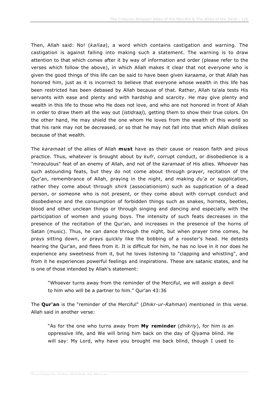Then, Allah said: No! (*kallaa*), a word which contains castigation and warning. The castigation is against falling into making such a statement. The warning is to draw attention to that which comes after it by way of information and order (please refer to the verses which follow the above), in which Allah makes it clear that not everyone who is given the good things of this life can be said to have been given *karaama*, or that Allah has honored him, just as it is incorrect to believe that everyone whose wealth in this life has been restricted has been debased by Allah because of that. Rather, Allah ta'ala tests His servants with ease and plenty and with hardship and scarcity. He may give plenty and wealth in this life to those who He does not love, and who are not honored in front of Allah in order to draw them all the way out (*istidraaj*), getting them to show their true colors. On the other hand, He may shield the one whom He loves from the wealth of this world so that his rank may not be decreased, or so that he may not fall into that which Allah dislikes because of that wealth.

The *karamaat* of the allies of Allah **must** have as their cause or reason faith and pious practice. Thus, whatever is brought about by *kufr*, corrupt conduct, or disobedience is a "miraculous" feat of an enemy of Allah, and not of the *karamaat* of His allies. Whoever has such astounding feats, but they do not come about through prayer, recitation of the Qur'an, remembrance of Allah, praying in the night, and making *du'a* or supplication, rather they come about through *shirk* (associationism) such as supplication of a dead person, or someone who is not present, or they come about with corrupt conduct and disobedience and the consumption of forbidden things such as snakes, hornets, beetles, blood and other unclean things or through singing and dancing and especially with the participation of women and young boys. The intensity of such feats decreases in the presence of the recitation of the Qur'an, and increases in the presence of the horns of Satan (music). Thus, he can dance through the night, but when prayer time comes, he prays sitting down, or prays quickly like the bobbing of a rooster's head. He detests hearing the Qur'an, and flees from it. It is difficult for him, he has no love in it nor does he experience any sweetness from it, but he loves listening to "clapping and whistling", and from it he experiences powerful feelings and inspirations. These are satanic states, and he is one of those intended by Allah's statement:

"Whoever turns away from the reminder of the Merciful, we will assign a devil to him who will be a partner to him." Qur'an 43:36

The **Qur'an** is the "reminder of the Merciful" (*Dhikr-ur-Rahman*) mentioned in this verse. Allah said in another verse:

"As for the one who turns away from **My reminder** (*dhikriy*), for him is an oppressive life, and We will bring him back on the day of Qiyama blind. He will say: My Lord, why have you brought me back blind, though I used to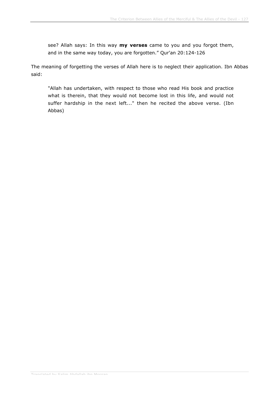see? Allah says: In this way **my verses** came to you and you forgot them, and in the same way today, you are forgotten." Qur'an 20:124-126

The meaning of forgetting the verses of Allah here is to neglect their application. Ibn Abbas said:

"Allah has undertaken, with respect to those who read His book and practice what is therein, that they would not become lost in this life, and would not suffer hardship in the next left..." then he recited the above verse. (Ibn Abbas)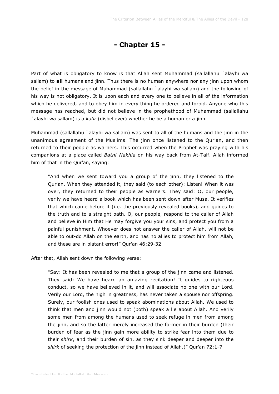## **- Chapter 15 -**

Part of what is obligatory to know is that Allah sent Muhammad (sallallahu `alayhi wa sallam) to **all** humans and jinn. Thus there is no human anywhere nor any jinn upon whom the belief in the message of Muhammad (sallallahu `alayhi wa sallam) and the following of his way is not obligatory. It is upon each and every one to believe in all of the information which he delivered, and to obey him in every thing he ordered and forbid. Anyone who this message has reached, but did not believe in the prophethood of Muhammad (sallallahu `alayhi wa sallam) is a *kafir* (disbeliever) whether he be a human or a jinn.

Muhammad (sallallahu `alayhi wa sallam) was sent to all of the humans and the jinn in the unanimous agreement of the Muslims. The jinn once listened to the Qur'an, and then returned to their people as warners. This occurred when the Prophet was praying with his companions at a place called *Batni Nakhla* on his way back from At-Taif. Allah informed him of that in the Qur'an, saying:

"And when we sent toward you a group of the jinn, they listened to the Qur'an. When they attended it, they said (to each other): Listen! When it was over, they returned to their people as warners. They said: O, our people, verily we have heard a book which has been sent down after Musa. It verifies that which came before it (i.e. the previously revealed books), and guides to the truth and to a straight path. O, our people, respond to the caller of Allah and believe in Him that He may forgive you your sins, and protect you from a painful punishment. Whoever does not answer the caller of Allah, will not be able to out-do Allah on the earth, and has no allies to protect him from Allah, and these are in blatant error!" Qur'an 46:29-32

After that, Allah sent down the following verse:

"Say: It has been revealed to me that a group of the jinn came and listened. They said: We have heard an amazing recitation! It quides to righteous conduct, so we have believed in it, and will associate no one with our Lord. Verily our Lord, the high in greatness, has never taken a spouse nor offspring. Surely, our foolish ones used to speak abominations about Allah. We used to think that men and jinn would not (both) speak a lie about Allah. And verily some men from among the humans used to seek refuge in men from among the jinn, and so the latter merely increased the former in their burden (their burden of fear as the jinn gain more ability to strike fear into them due to their *shirk*, and their burden of sin, as they sink deeper and deeper into the *shirk* of seeking the protection of the jinn instead of Allah.)" Qur'an 72:1-7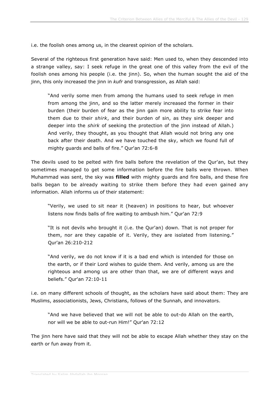i.e. the foolish ones among us, in the clearest opinion of the scholars.

Several of the righteous first generation have said: Men used to, when they descended into a strange valley, say: I seek refuge in the great one of this valley from the evil of the foolish ones among his people (i.e. the jinn). So, when the human sought the aid of the jinn, this only increased the jinn in *kufr* and transgression, as Allah said:

"And verily some men from among the humans used to seek refuge in men from among the jinn, and so the latter merely increased the former in their burden (their burden of fear as the jinn gain more ability to strike fear into them due to their *shirk*, and their burden of sin, as they sink deeper and deeper into the *shirk* of seeking the protection of the jinn instead of Allah.) And verily, they thought, as you thought that Allah would not bring any one back after their death. And we have touched the sky, which we found full of mighty guards and balls of fire." Qur'an 72:6-8

The devils used to be pelted with fire balls before the revelation of the Qur'an, but they sometimes managed to get some information before the fire balls were thrown. When Muhammad was sent, the sky was **filled** with mighty guards and fire balls, and these fire balls began to be already waiting to strike them before they had even gained any information. Allah informs us of their statement:

"Verily, we used to sit near it (heaven) in positions to hear, but whoever listens now finds balls of fire waiting to ambush him." Qur'an 72:9

"It is not devils who brought it (i.e. the Qur'an) down. That is not proper for them, nor are they capable of it. Verily, they are isolated from listening." Qur'an 26:210-212

"And verily, we do not know if it is a bad end which is intended for those on the earth, or if their Lord wishes to guide them. And verily, among us are the righteous and among us are other than that, we are of different ways and beliefs." Qur'an 72:10-11

i.e. on many different schools of thought, as the scholars have said about them: They are Muslims, associationists, Jews, Christians, follows of the Sunnah, and innovators.

"And we have believed that we will not be able to out-do Allah on the earth, nor will we be able to out-run Him!" Qur'an 72:12

The jinn here have said that they will not be able to escape Allah whether they stay on the earth or fun away from it.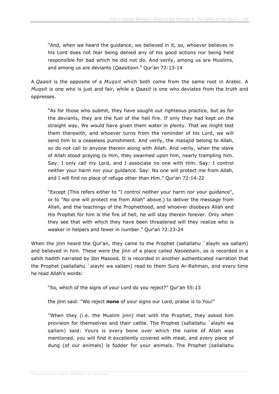"And, when we heard the guidance, we believed in it, so, whoever believes in his Lord does not fear being denied any of his good actions nor being held responsible for bad which he did not do. And verily, among us are Muslims, and among us are deviants (*Qaasitoon*." Qur'an 72:13-14

A *Qaasit* is the opposite of a *Muqsit* which both come from the same root in Arabic. A *Muqsit* is one who is just and fair, while a *Qaasit* is one who deviates from the truth and oppresses.

"As for those who submit, they have sought out righteous practice, but as for the deviants, they are the fuel of the hell fire. If only they had kept on the straight way, We would have given them water in plenty. That we might test them therewith, and whoever turns from the reminder of his Lord, we will send him to a ceaseless punishment. And verily, the *masajid* belong to Allah, so do not call to anyone therein along with Allah. And verily, when the slave of Allah stood praying to Him, they swarmed upon him, nearly trampling him. Say: I only call my Lord, and I associate no one with Him. Say: I control neither your harm nor your guidance. Say: No one will protect me from Allah, and I will find no place of refuge other than Him." Qur'an 72:14-22

"Except (This refers either to "I control neither your harm nor your guidance", or to "No one will protect me from Allah" above.) to deliver the message from Allah, and the teachings of the Prophethood, and whoever disobeys Allah and His Prophet for him is the fire of hell, he will stay therein forever. Only when they see that with which they have been threatened will they realize who is weaker in helpers and fewer in number." Qur'an 72:23-24

When the jinn heard the Qur'an, they came to the Prophet (sallallahu `alayhi wa sallam) and believed in him. These were the jinn of a place called *Naseebain*, as is recorded in a sahih hadith narrated by Ibn Masood. It is recorded in another authenticated narration that the Prophet (sallallahu `alayhi wa sallam) read to them Sura Ar-Rahman, and every time he read Allah's words:

"So, which of the signs of your Lord do you reject?" Qur'an 55:13

the jinn said: "We reject **none** of your signs our Lord, praise is to You!"

"When they (i.e. the Muslim jinn) met with the Prophet, they asked him provision for themselves and their cattle. The Prophet (sallallahu `alayhi wa sallam) said: Yours is every bone over which the name of Allah was mentioned, you will find it excellently covered with meat, and every piece of dung (of our animals) is fodder for your animals. The Prophet (sallallahu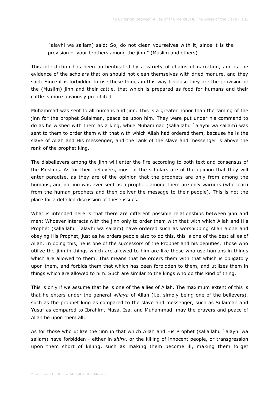`alayhi wa sallam) said: So, do not clean yourselves with it, since it is the provision of your brothers among the jinn." (Muslim and others)

This interdiction has been authenticated by a variety of chains of narration, and is the evidence of the scholars that on should not clean themselves with dried manure, and they said: Since it is forbidden to use these things in this way because they are the provision of the (Muslim) jinn and their cattle, that which is prepared as food for humans and their cattle is more obviously prohibited.

Muhammad was sent to all humans and jinn. This is a greater honor than the taming of the jinn for the prophet Sulaiman, peace be upon him. They were put under his command to do as he wished with them as a king, while Muhammad (sallallahu `alayhi wa sallam) was sent to them to order them with that with which Allah had ordered them, because he is the slave of Allah and His messenger, and the rank of the slave and messenger is above the rank of the prophet king.

The disbelievers among the jinn will enter the fire according to both text and consensus of the Muslims. As for their believers, most of the scholars are of the opinion that they will enter paradise, as they are of the opinion that the prophets are only from among the humans, and no jinn was ever sent as a prophet, among them are only warners (who learn from the human prophets and then deliver the message to their people). This is not the place for a detailed discussion of these issues.

What is intended here is that there are different possible relationships between jinn and men: Whoever interacts with the jinn only to order them with that with which Allah and His Prophet (sallallahu `alayhi wa sallam) have ordered such as worshipping Allah alone and obeying His Prophet, just as he orders people also to do this, this is one of the best allies of Allah. In doing this, he is one of the successors of the Prophet and his deputies. Those who utilize the jinn in things which are allowed to him are like those who use humans in things which are allowed to them. This means that he orders them with that which is obligatory upon them, and forbids them that which has been forbidden to them, and utilizes them in things which are allowed to him. Such are similar to the kings who do this kind of thing.

This is only if we assume that he is one of the allies of Allah. The maximum extent of this is that he enters under the general *wilaya* of Allah (i.e. simply being one of the believers), such as the prophet king as compared to the slave and messenger, such as Sulaiman and Yusuf as compared to Ibrahim, Musa, Isa, and Muhammad, may the prayers and peace of Allah be upon them all.

As for those who utilize the jinn in that which Allah and His Prophet (sallallahu `alayhi wa sallam) have forbidden - either in *shirk*, or the killing of innocent people, or transgression upon them short of killing, such as making them become ill, making them forget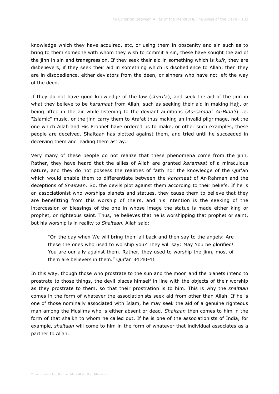knowledge which they have acquired, etc, or using them in obscenity and sin such as to bring to them someone with whom they wish to commit a sin, these have sought the aid of the jinn in sin and transgression. If they seek their aid in something which is *kufr*, they are disbelievers, if they seek their aid in something which is disobedience to Allah, then they are in disobedience, either deviators from the deen, or sinners who have not left the way of the deen.

If they do not have good knowledge of the law (*shari'a*), and seek the aid of the jinn in what they believe to be *karamaat* from Allah, such as seeking their aid in making Hajj, or being lifted in the air while listening to the deviant auditions (*As-samaa' Al-Bida'i*) i.e. "Islamic" music, or the jinn carry them to Arafat thus making an invalid pilgrimage, not the one which Allah and His Prophet have ordered us to make, or other such examples, these people are deceived. Shaitaan has plotted against them, and tried until he succeeded in deceiving them and leading them astray.

Very many of these people do not realize that these phenomena come from the jinn. Rather, they have heard that the allies of Allah are granted *karamaat* of a miraculous nature, and they do not possess the realities of faith nor the knowledge of the Qur'an which would enable them to differentiate between the *karamaat* of Ar-Rahman and the deceptions of *Shaitaan*. So, the devils plot against them according to their beliefs. If he is an associationist who worships planets and statues, they cause them to believe that they are benefitting from this worship of theirs, and his intention is the seeking of the intercession or blessings of the one in whose image the statue is made either king or prophet, or righteous saint. Thus, he believes that he is worshipping that prophet or saint, but his worship is in reality to *Shaitaan*. Allah said:

"On the day when We will bring them all back and then say to the angels: Are these the ones who used to worship you? They will say: May You be glorified! You are our ally against them. Rather, they used to worship the jinn, most of them are believers in them." Qur'an 34:40-41

In this way, though those who prostrate to the sun and the moon and the planets intend to prostrate to those things, the devil places himself in line with the objects of their worship as they prostrate to them, so that their prostration is to him. This is why the *shaitaan* comes in the form of whatever the associationists seek aid from other than Allah. If he is one of those nominally associated with Islam, he may seek the aid of a genuine righteous man among the Muslims who is either absent or dead. *Shaitaan* then comes to him in the form of that shaikh to whom he called out. If he is one of the associationists of India, for example, *shaitaan* will come to him in the form of whatever that individual associates as a partner to Allah.